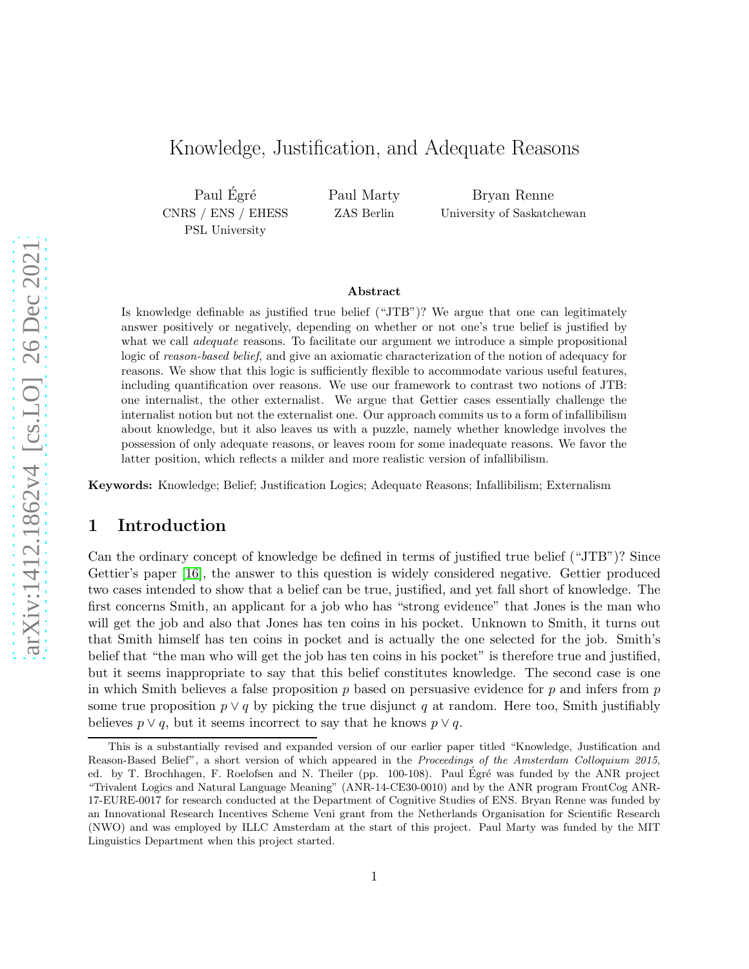# Knowledge, Justification, and Adequate Reasons

Paul Égré CNRS / ENS / EHESS PSL University

Paul Marty ZAS Berlin

Bryan Renne University of Saskatchewan

#### Abstract

Is knowledge definable as justified true belief ("JTB")? We argue that one can legitimately answer positively or negatively, depending on whether or not one's true belief is justified by what we call *adequate* reasons. To facilitate our argument we introduce a simple propositional logic of *reason-based belief*, and give an axiomatic characterization of the notion of adequacy for reasons. We show that this logic is sufficiently flexible to accommodate various useful features, including quantification over reasons. We use our framework to contrast two notions of JTB: one internalist, the other externalist. We argue that Gettier cases essentially challenge the internalist notion but not the externalist one. Our approach commits us to a form of infallibilism about knowledge, but it also leaves us with a puzzle, namely whether knowledge involves the possession of only adequate reasons, or leaves room for some inadequate reasons. We favor the latter position, which reflects a milder and more realistic version of infallibilism.

Keywords: Knowledge; Belief; Justification Logics; Adequate Reasons; Infallibilism; Externalism

## 1 Introduction

Can the ordinary concept of knowledge be defined in terms of justified true belief ("JTB")? Since Gettier's paper [\[16\]](#page-41-0), the answer to this question is widely considered negative. Gettier produced two cases intended to show that a belief can be true, justified, and yet fall short of knowledge. The first concerns Smith, an applicant for a job who has "strong evidence" that Jones is the man who will get the job and also that Jones has ten coins in his pocket. Unknown to Smith, it turns out that Smith himself has ten coins in pocket and is actually the one selected for the job. Smith's belief that "the man who will get the job has ten coins in his pocket" is therefore true and justified, but it seems inappropriate to say that this belief constitutes knowledge. The second case is one in which Smith believes a false proposition  $p$  based on persuasive evidence for  $p$  and infers from  $p$ some true proposition  $p \lor q$  by picking the true disjunct q at random. Here too, Smith justifiably believes  $p \vee q$ , but it seems incorrect to say that he knows  $p \vee q$ .

This is a substantially revised and expanded version of our earlier paper titled "Knowledge, Justification and Reason-Based Belief", a short version of which appeared in the Proceedings of the Amsterdam Colloquium 2015, ed. by T. Brochhagen, F. Roelofsen and N. Theiler (pp. 100-108). Paul Égré was funded by the ANR project "Trivalent Logics and Natural Language Meaning" (ANR-14-CE30-0010) and by the ANR program FrontCog ANR-17-EURE-0017 for research conducted at the Department of Cognitive Studies of ENS. Bryan Renne was funded by an Innovational Research Incentives Scheme Veni grant from the Netherlands Organisation for Scientific Research (NWO) and was employed by ILLC Amsterdam at the start of this project. Paul Marty was funded by the MIT Linguistics Department when this project started.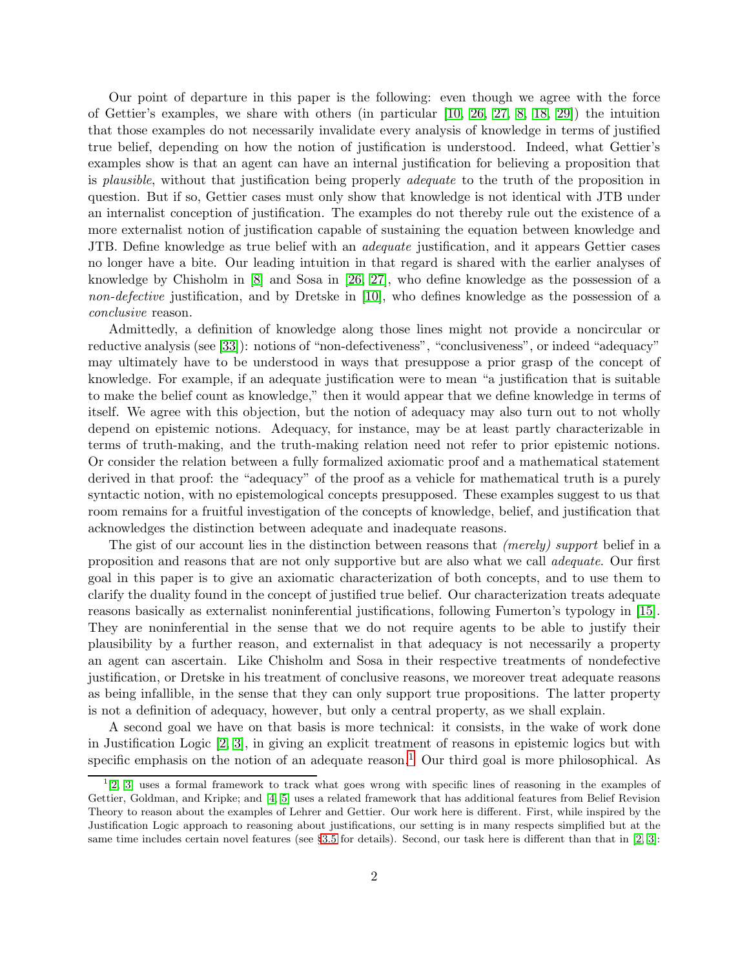Our point of departure in this paper is the following: even though we agree with the force of Gettier's examples, we share with others (in particular [\[10,](#page-40-0) [26,](#page-41-1) [27,](#page-41-2) [8,](#page-40-1) [18,](#page-41-3) [29\]](#page-41-4)) the intuition that those examples do not necessarily invalidate every analysis of knowledge in terms of justified true belief, depending on how the notion of justification is understood. Indeed, what Gettier's examples show is that an agent can have an internal justification for believing a proposition that is *plausible*, without that justification being properly *adequate* to the truth of the proposition in question. But if so, Gettier cases must only show that knowledge is not identical with JTB under an internalist conception of justification. The examples do not thereby rule out the existence of a more externalist notion of justification capable of sustaining the equation between knowledge and JTB. Define knowledge as true belief with an *adequate* justification, and it appears Gettier cases no longer have a bite. Our leading intuition in that regard is shared with the earlier analyses of knowledge by Chisholm in [\[8\]](#page-40-1) and Sosa in [\[26,](#page-41-1) [27\]](#page-41-2), who define knowledge as the possession of a *non-defective* justification, and by Dretske in [\[10\]](#page-40-0), who defines knowledge as the possession of a *conclusive* reason.

Admittedly, a definition of knowledge along those lines might not provide a noncircular or reductive analysis (see [\[33\]](#page-41-5)): notions of "non-defectiveness", "conclusiveness", or indeed "adequacy" may ultimately have to be understood in ways that presuppose a prior grasp of the concept of knowledge. For example, if an adequate justification were to mean "a justification that is suitable to make the belief count as knowledge," then it would appear that we define knowledge in terms of itself. We agree with this objection, but the notion of adequacy may also turn out to not wholly depend on epistemic notions. Adequacy, for instance, may be at least partly characterizable in terms of truth-making, and the truth-making relation need not refer to prior epistemic notions. Or consider the relation between a fully formalized axiomatic proof and a mathematical statement derived in that proof: the "adequacy" of the proof as a vehicle for mathematical truth is a purely syntactic notion, with no epistemological concepts presupposed. These examples suggest to us that room remains for a fruitful investigation of the concepts of knowledge, belief, and justification that acknowledges the distinction between adequate and inadequate reasons.

The gist of our account lies in the distinction between reasons that *(merely) support* belief in a proposition and reasons that are not only supportive but are also what we call *adequate*. Our first goal in this paper is to give an axiomatic characterization of both concepts, and to use them to clarify the duality found in the concept of justified true belief. Our characterization treats adequate reasons basically as externalist noninferential justifications, following Fumerton's typology in [\[15\]](#page-41-6). They are noninferential in the sense that we do not require agents to be able to justify their plausibility by a further reason, and externalist in that adequacy is not necessarily a property an agent can ascertain. Like Chisholm and Sosa in their respective treatments of nondefective justification, or Dretske in his treatment of conclusive reasons, we moreover treat adequate reasons as being infallible, in the sense that they can only support true propositions. The latter property is not a definition of adequacy, however, but only a central property, as we shall explain.

A second goal we have on that basis is more technical: it consists, in the wake of work done in Justification Logic [\[2,](#page-40-2) [3\]](#page-40-3), in giving an explicit treatment of reasons in epistemic logics but with specific emphasis on the notion of an adequate reason.<sup>[1](#page-1-0)</sup> Our third goal is more philosophical. As

<span id="page-1-0"></span><sup>&</sup>lt;sup>1</sup>[\[2,](#page-40-2) [3\]](#page-40-3) uses a formal framework to track what goes wrong with specific lines of reasoning in the examples of Gettier, Goldman, and Kripke; and [\[4,](#page-40-4) [5\]](#page-40-5) uses a related framework that has additional features from Belief Revision Theory to reason about the examples of Lehrer and Gettier. Our work here is different. First, while inspired by the Justification Logic approach to reasoning about justifications, our setting is in many respects simplified but at the same time includes certain novel features (see §[3.5](#page-12-0) for details). Second, our task here is different than that in [\[2,](#page-40-2) [3\]](#page-40-3):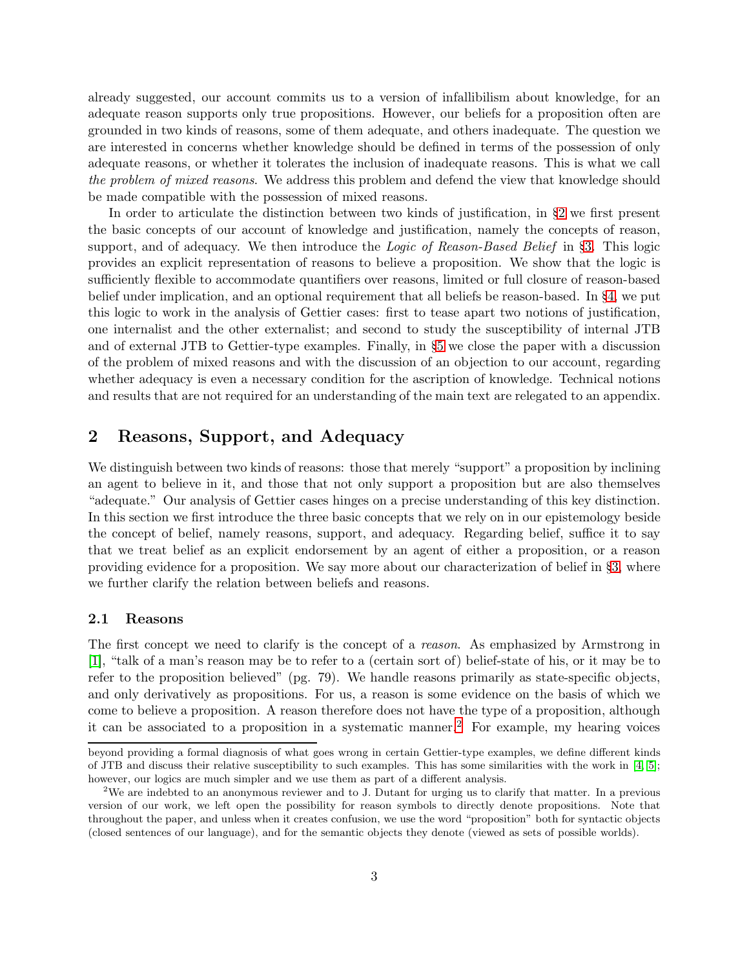already suggested, our account commits us to a version of infallibilism about knowledge, for an adequate reason supports only true propositions. However, our beliefs for a proposition often are grounded in two kinds of reasons, some of them adequate, and others inadequate. The question we are interested in concerns whether knowledge should be defined in terms of the possession of only adequate reasons, or whether it tolerates the inclusion of inadequate reasons. This is what we call *the problem of mixed reasons*. We address this problem and defend the view that knowledge should be made compatible with the possession of mixed reasons.

In order to articulate the distinction between two kinds of justification, in §[2](#page-2-0) we first present the basic concepts of our account of knowledge and justification, namely the concepts of reason, support, and of adequacy. We then introduce the *Logic of Reason-Based Belief* in §[3.](#page-6-0) This logic provides an explicit representation of reasons to believe a proposition. We show that the logic is sufficiently flexible to accommodate quantifiers over reasons, limited or full closure of reason-based belief under implication, and an optional requirement that all beliefs be reason-based. In §[4,](#page-17-0) we put this logic to work in the analysis of Gettier cases: first to tease apart two notions of justification, one internalist and the other externalist; and second to study the susceptibility of internal JTB and of external JTB to Gettier-type examples. Finally, in §[5](#page-20-0) we close the paper with a discussion of the problem of mixed reasons and with the discussion of an objection to our account, regarding whether adequacy is even a necessary condition for the ascription of knowledge. Technical notions and results that are not required for an understanding of the main text are relegated to an appendix.

# <span id="page-2-0"></span>2 Reasons, Support, and Adequacy

We distinguish between two kinds of reasons: those that merely "support" a proposition by inclining an agent to believe in it, and those that not only support a proposition but are also themselves "adequate." Our analysis of Gettier cases hinges on a precise understanding of this key distinction. In this section we first introduce the three basic concepts that we rely on in our epistemology beside the concept of belief, namely reasons, support, and adequacy. Regarding belief, suffice it to say that we treat belief as an explicit endorsement by an agent of either a proposition, or a reason providing evidence for a proposition. We say more about our characterization of belief in §[3,](#page-6-0) where we further clarify the relation between beliefs and reasons.

#### 2.1 Reasons

The first concept we need to clarify is the concept of a *reason*. As emphasized by Armstrong in [\[1\]](#page-40-6), "talk of a man's reason may be to refer to a (certain sort of) belief-state of his, or it may be to refer to the proposition believed" (pg. 79). We handle reasons primarily as state-specific objects, and only derivatively as propositions. For us, a reason is some evidence on the basis of which we come to believe a proposition. A reason therefore does not have the type of a proposition, although it can be associated to a proposition in a systematic manner.<sup>[2](#page-2-1)</sup> For example, my hearing voices

beyond providing a formal diagnosis of what goes wrong in certain Gettier-type examples, we define different kinds of JTB and discuss their relative susceptibility to such examples. This has some similarities with the work in [\[4,](#page-40-4) [5\]](#page-40-5); however, our logics are much simpler and we use them as part of a different analysis.

<span id="page-2-1"></span><sup>&</sup>lt;sup>2</sup>We are indebted to an anonymous reviewer and to J. Dutant for urging us to clarify that matter. In a previous version of our work, we left open the possibility for reason symbols to directly denote propositions. Note that throughout the paper, and unless when it creates confusion, we use the word "proposition" both for syntactic objects (closed sentences of our language), and for the semantic objects they denote (viewed as sets of possible worlds).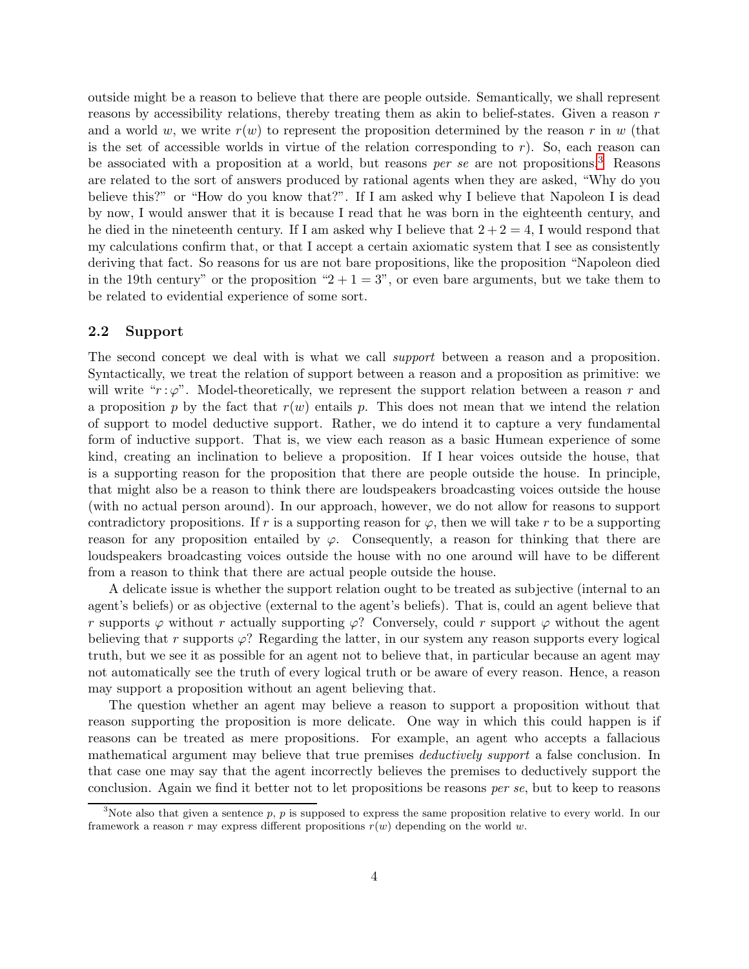outside might be a reason to believe that there are people outside. Semantically, we shall represent reasons by accessibility relations, thereby treating them as akin to belief-states. Given a reason r and a world w, we write  $r(w)$  to represent the proposition determined by the reason r in w (that is the set of accessible worlds in virtue of the relation corresponding to  $r$ ). So, each reason can be associated with a proposition at a world, but reasons *per se* are not propositions.[3](#page-3-0) Reasons are related to the sort of answers produced by rational agents when they are asked, "Why do you believe this?" or "How do you know that?". If I am asked why I believe that Napoleon I is dead by now, I would answer that it is because I read that he was born in the eighteenth century, and he died in the nineteenth century. If I am asked why I believe that  $2+2=4$ , I would respond that my calculations confirm that, or that I accept a certain axiomatic system that I see as consistently deriving that fact. So reasons for us are not bare propositions, like the proposition "Napoleon died in the 19th century" or the proposition " $2 + 1 = 3$ ", or even bare arguments, but we take them to be related to evidential experience of some sort.

## 2.2 Support

The second concept we deal with is what we call *support* between a reason and a proposition. Syntactically, we treat the relation of support between a reason and a proposition as primitive: we will write " $r : \varphi$ ". Model-theoretically, we represent the support relation between a reason r and a proposition p by the fact that  $r(w)$  entails p. This does not mean that we intend the relation of support to model deductive support. Rather, we do intend it to capture a very fundamental form of inductive support. That is, we view each reason as a basic Humean experience of some kind, creating an inclination to believe a proposition. If I hear voices outside the house, that is a supporting reason for the proposition that there are people outside the house. In principle, that might also be a reason to think there are loudspeakers broadcasting voices outside the house (with no actual person around). In our approach, however, we do not allow for reasons to support contradictory propositions. If r is a supporting reason for  $\varphi$ , then we will take r to be a supporting reason for any proposition entailed by  $\varphi$ . Consequently, a reason for thinking that there are loudspeakers broadcasting voices outside the house with no one around will have to be different from a reason to think that there are actual people outside the house.

A delicate issue is whether the support relation ought to be treated as subjective (internal to an agent's beliefs) or as objective (external to the agent's beliefs). That is, could an agent believe that r supports  $\varphi$  without r actually supporting  $\varphi$ ? Conversely, could r support  $\varphi$  without the agent believing that r supports  $\varphi$ ? Regarding the latter, in our system any reason supports every logical truth, but we see it as possible for an agent not to believe that, in particular because an agent may not automatically see the truth of every logical truth or be aware of every reason. Hence, a reason may support a proposition without an agent believing that.

The question whether an agent may believe a reason to support a proposition without that reason supporting the proposition is more delicate. One way in which this could happen is if reasons can be treated as mere propositions. For example, an agent who accepts a fallacious mathematical argument may believe that true premises *deductively support* a false conclusion. In that case one may say that the agent incorrectly believes the premises to deductively support the conclusion. Again we find it better not to let propositions be reasons *per se*, but to keep to reasons

<span id="page-3-0"></span><sup>&</sup>lt;sup>3</sup>Note also that given a sentence p, p is supposed to express the same proposition relative to every world. In our framework a reason r may express different propositions  $r(w)$  depending on the world w.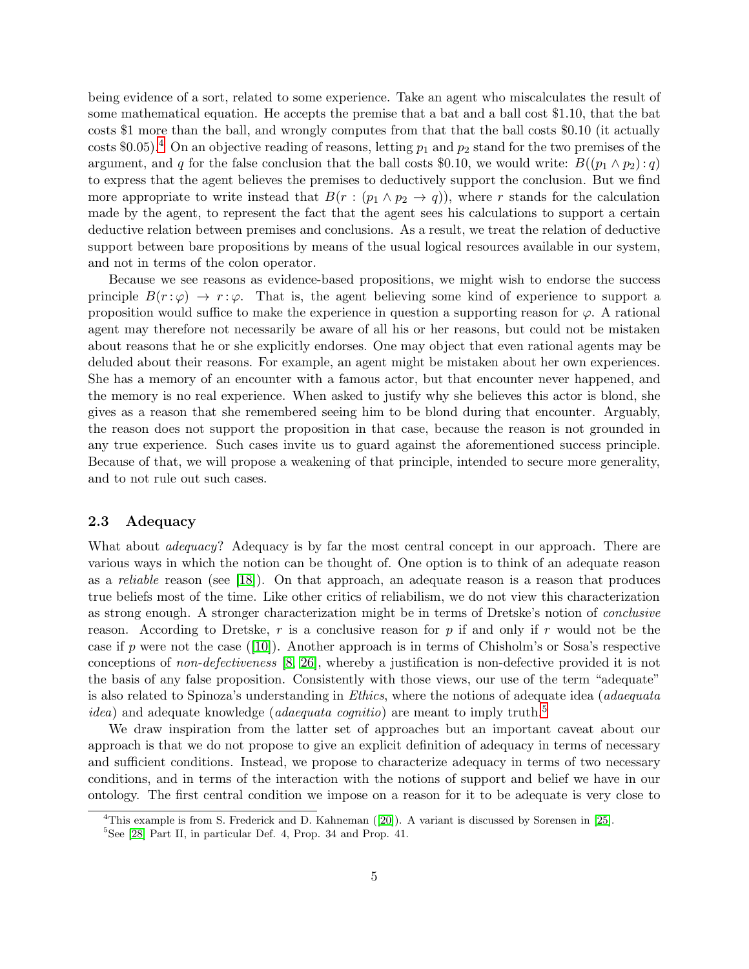being evidence of a sort, related to some experience. Take an agent who miscalculates the result of some mathematical equation. He accepts the premise that a bat and a ball cost \$1.10, that the bat costs \$1 more than the ball, and wrongly computes from that that the ball costs \$0.10 (it actually costs \$0.05).<sup>[4](#page-4-0)</sup> On an objective reading of reasons, letting  $p_1$  and  $p_2$  stand for the two premises of the argument, and q for the false conclusion that the ball costs \$0.10, we would write:  $B((p_1 \wedge p_2):q)$ to express that the agent believes the premises to deductively support the conclusion. But we find more appropriate to write instead that  $B(r:(p_1 \wedge p_2 \rightarrow q))$ , where r stands for the calculation made by the agent, to represent the fact that the agent sees his calculations to support a certain deductive relation between premises and conclusions. As a result, we treat the relation of deductive support between bare propositions by means of the usual logical resources available in our system, and not in terms of the colon operator.

Because we see reasons as evidence-based propositions, we might wish to endorse the success principle  $B(r : \varphi) \to r : \varphi$ . That is, the agent believing some kind of experience to support a proposition would suffice to make the experience in question a supporting reason for  $\varphi$ . A rational agent may therefore not necessarily be aware of all his or her reasons, but could not be mistaken about reasons that he or she explicitly endorses. One may object that even rational agents may be deluded about their reasons. For example, an agent might be mistaken about her own experiences. She has a memory of an encounter with a famous actor, but that encounter never happened, and the memory is no real experience. When asked to justify why she believes this actor is blond, she gives as a reason that she remembered seeing him to be blond during that encounter. Arguably, the reason does not support the proposition in that case, because the reason is not grounded in any true experience. Such cases invite us to guard against the aforementioned success principle. Because of that, we will propose a weakening of that principle, intended to secure more generality, and to not rule out such cases.

## 2.3 Adequacy

What about *adequacy*? Adequacy is by far the most central concept in our approach. There are various ways in which the notion can be thought of. One option is to think of an adequate reason as a *reliable* reason (see [\[18\]](#page-41-3)). On that approach, an adequate reason is a reason that produces true beliefs most of the time. Like other critics of reliabilism, we do not view this characterization as strong enough. A stronger characterization might be in terms of Dretske's notion of *conclusive* reason. According to Dretske, r is a conclusive reason for p if and only if r would not be the caseif p were not the case ([\[10\]](#page-40-0)). Another approach is in terms of Chisholm's or Sosa's respective conceptions of *non-defectiveness* [\[8,](#page-40-1) [26\]](#page-41-1), whereby a justification is non-defective provided it is not the basis of any false proposition. Consistently with those views, our use of the term "adequate" is also related to Spinoza's understanding in *Ethics*, where the notions of adequate idea (*adaequata idea*) and adequate knowledge *(adaequata cognitio)* are meant to imply truth.<sup>[5](#page-4-1)</sup>

We draw inspiration from the latter set of approaches but an important caveat about our approach is that we do not propose to give an explicit definition of adequacy in terms of necessary and sufficient conditions. Instead, we propose to characterize adequacy in terms of two necessary conditions, and in terms of the interaction with the notions of support and belief we have in our ontology. The first central condition we impose on a reason for it to be adequate is very close to

<sup>4</sup>This example is from S. Frederick and D. Kahneman ([\[20\]](#page-41-7)). A variant is discussed by Sorensen in [\[25\]](#page-41-8).

<span id="page-4-1"></span><span id="page-4-0"></span><sup>5</sup> See [\[28\]](#page-41-9) Part II, in particular Def. 4, Prop. 34 and Prop. 41.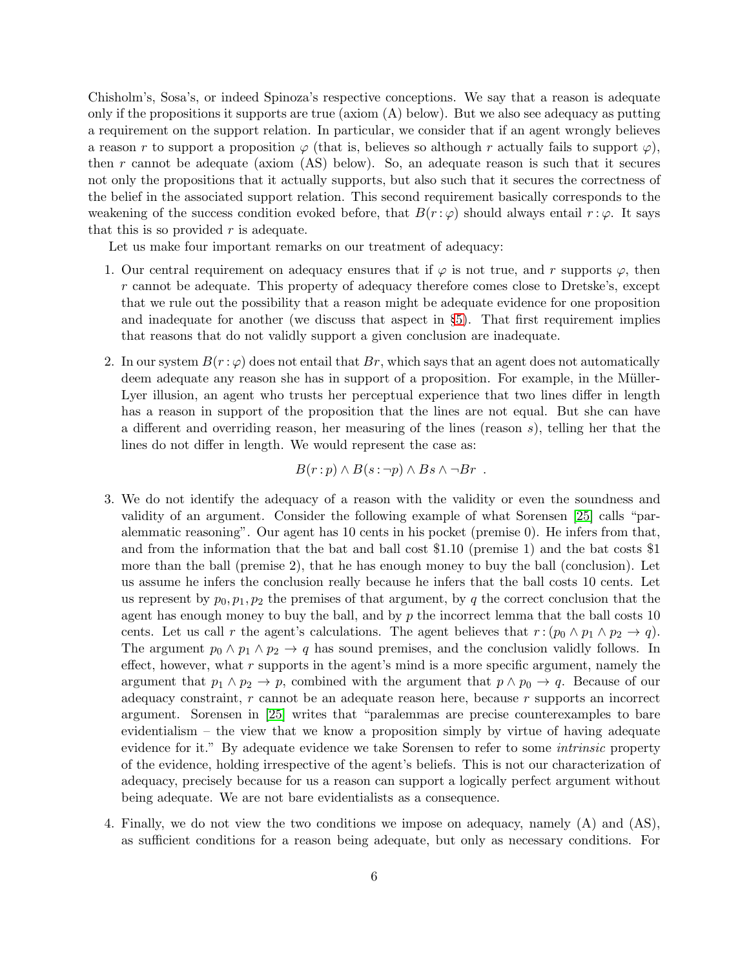Chisholm's, Sosa's, or indeed Spinoza's respective conceptions. We say that a reason is adequate only if the propositions it supports are true (axiom  $(A)$  below). But we also see adequacy as putting a requirement on the support relation. In particular, we consider that if an agent wrongly believes a reason r to support a proposition  $\varphi$  (that is, believes so although r actually fails to support  $\varphi$ ), then r cannot be adequate (axiom (AS) below). So, an adequate reason is such that it secures not only the propositions that it actually supports, but also such that it secures the correctness of the belief in the associated support relation. This second requirement basically corresponds to the weakening of the success condition evoked before, that  $B(r : \varphi)$  should always entail  $r : \varphi$ . It says that this is so provided  $r$  is adequate.

Let us make four important remarks on our treatment of adequacy:

- 1. Our central requirement on adequacy ensures that if  $\varphi$  is not true, and r supports  $\varphi$ , then r cannot be adequate. This property of adequacy therefore comes close to Dretske's, except that we rule out the possibility that a reason might be adequate evidence for one proposition and inadequate for another (we discuss that aspect in §[5\)](#page-20-0). That first requirement implies that reasons that do not validly support a given conclusion are inadequate.
- 2. In our system  $B(r : \varphi)$  does not entail that  $Br$ , which says that an agent does not automatically deem adequate any reason she has in support of a proposition. For example, in the Müller-Lyer illusion, an agent who trusts her perceptual experience that two lines differ in length has a reason in support of the proposition that the lines are not equal. But she can have a different and overriding reason, her measuring of the lines (reason s), telling her that the lines do not differ in length. We would represent the case as:

$$
B(r:p) \wedge B(s: \neg p) \wedge Bs \wedge \neg Br \ .
$$

- 3. We do not identify the adequacy of a reason with the validity or even the soundness and validity of an argument. Consider the following example of what Sorensen [\[25\]](#page-41-8) calls "paralemmatic reasoning". Our agent has 10 cents in his pocket (premise 0). He infers from that, and from the information that the bat and ball cost \$1.10 (premise 1) and the bat costs \$1 more than the ball (premise 2), that he has enough money to buy the ball (conclusion). Let us assume he infers the conclusion really because he infers that the ball costs 10 cents. Let us represent by  $p_0, p_1, p_2$  the premises of that argument, by q the correct conclusion that the agent has enough money to buy the ball, and by  $p$  the incorrect lemma that the ball costs 10 cents. Let us call r the agent's calculations. The agent believes that  $r : (p_0 \wedge p_1 \wedge p_2 \rightarrow q)$ . The argument  $p_0 \wedge p_1 \wedge p_2 \rightarrow q$  has sound premises, and the conclusion validly follows. In effect, however, what  $r$  supports in the agent's mind is a more specific argument, namely the argument that  $p_1 \wedge p_2 \rightarrow p$ , combined with the argument that  $p \wedge p_0 \rightarrow q$ . Because of our adequacy constraint,  $r$  cannot be an adequate reason here, because  $r$  supports an incorrect argument. Sorensen in [\[25\]](#page-41-8) writes that "paralemmas are precise counterexamples to bare evidentialism – the view that we know a proposition simply by virtue of having adequate evidence for it." By adequate evidence we take Sorensen to refer to some *intrinsic* property of the evidence, holding irrespective of the agent's beliefs. This is not our characterization of adequacy, precisely because for us a reason can support a logically perfect argument without being adequate. We are not bare evidentialists as a consequence.
- 4. Finally, we do not view the two conditions we impose on adequacy, namely (A) and (AS), as sufficient conditions for a reason being adequate, but only as necessary conditions. For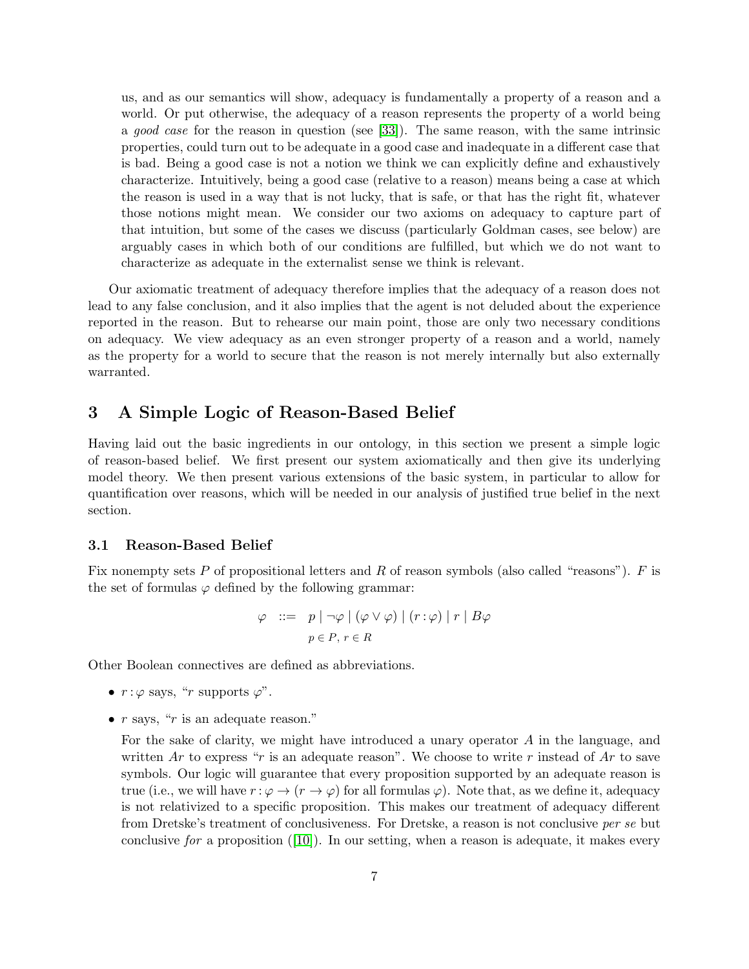us, and as our semantics will show, adequacy is fundamentally a property of a reason and a world. Or put otherwise, the adequacy of a reason represents the property of a world being a *good case* for the reason in question (see [\[33\]](#page-41-5)). The same reason, with the same intrinsic properties, could turn out to be adequate in a good case and inadequate in a different case that is bad. Being a good case is not a notion we think we can explicitly define and exhaustively characterize. Intuitively, being a good case (relative to a reason) means being a case at which the reason is used in a way that is not lucky, that is safe, or that has the right fit, whatever those notions might mean. We consider our two axioms on adequacy to capture part of that intuition, but some of the cases we discuss (particularly Goldman cases, see below) are arguably cases in which both of our conditions are fulfilled, but which we do not want to characterize as adequate in the externalist sense we think is relevant.

Our axiomatic treatment of adequacy therefore implies that the adequacy of a reason does not lead to any false conclusion, and it also implies that the agent is not deluded about the experience reported in the reason. But to rehearse our main point, those are only two necessary conditions on adequacy. We view adequacy as an even stronger property of a reason and a world, namely as the property for a world to secure that the reason is not merely internally but also externally warranted.

## <span id="page-6-0"></span>3 A Simple Logic of Reason-Based Belief

Having laid out the basic ingredients in our ontology, in this section we present a simple logic of reason-based belief. We first present our system axiomatically and then give its underlying model theory. We then present various extensions of the basic system, in particular to allow for quantification over reasons, which will be needed in our analysis of justified true belief in the next section.

### 3.1 Reason-Based Belief

Fix nonempty sets P of propositional letters and R of reason symbols (also called "reasons").  $F$  is the set of formulas  $\varphi$  defined by the following grammar:

$$
\varphi \ ::= \ p \mid \neg \varphi \mid (\varphi \lor \varphi) \mid (r : \varphi) \mid r \mid B\varphi
$$

$$
p \in P, r \in R
$$

Other Boolean connectives are defined as abbreviations.

- $r : \varphi$  says, "r supports  $\varphi$ ".
- $r$  says, " $r$  is an adequate reason."

For the sake of clarity, we might have introduced a unary operator A in the language, and written Ar to express "r is an adequate reason". We choose to write r instead of Ar to save symbols. Our logic will guarantee that every proposition supported by an adequate reason is true (i.e., we will have  $r : \varphi \to (r \to \varphi)$  for all formulas  $\varphi$ ). Note that, as we define it, adequacy is not relativized to a specific proposition. This makes our treatment of adequacy different from Dretske's treatment of conclusiveness. For Dretske, a reason is not conclusive *per se* but conclusive *for* a proposition([\[10\]](#page-40-0)). In our setting, when a reason is adequate, it makes every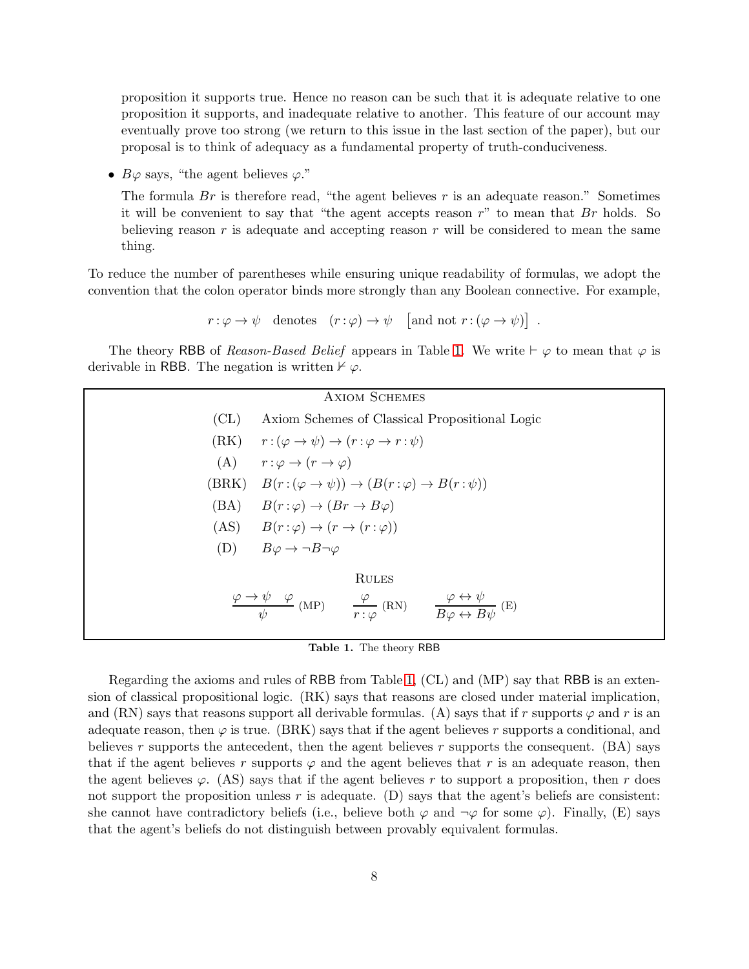proposition it supports true. Hence no reason can be such that it is adequate relative to one proposition it supports, and inadequate relative to another. This feature of our account may eventually prove too strong (we return to this issue in the last section of the paper), but our proposal is to think of adequacy as a fundamental property of truth-conduciveness.

•  $B\varphi$  says, "the agent believes  $\varphi$ ."

The formula  $Br$  is therefore read, "the agent believes  $r$  is an adequate reason." Sometimes it will be convenient to say that "the agent accepts reason  $r$ " to mean that  $Br$  holds. So believing reason  $r$  is adequate and accepting reason  $r$  will be considered to mean the same thing.

To reduce the number of parentheses while ensuring unique readability of formulas, we adopt the convention that the colon operator binds more strongly than any Boolean connective. For example,

$$
r: \varphi \to \psi
$$
 denotes  $(r: \varphi) \to \psi$  [and not  $r: (\varphi \to \psi)$ ]

.

The theory RBB of *Reason-Based Belief* appears in Table [1.](#page-7-0) We write  $\vdash \varphi$  to mean that  $\varphi$  is derivable in RBB. The negation is written  $\nvdash \varphi$ .

<span id="page-7-0"></span>

| <b>AXIOM SCHEMES</b> |                                                                                                                                                                                 |
|----------------------|---------------------------------------------------------------------------------------------------------------------------------------------------------------------------------|
| CL)                  | Axiom Schemes of Classical Propositional Logic                                                                                                                                  |
|                      | $(RK)$ $r: (\varphi \to \psi) \to (r: \varphi \to r: \psi)$                                                                                                                     |
|                      | (A) $r:\varphi \to (r \to \varphi)$                                                                                                                                             |
|                      | (BRK) $B(r:(\varphi \to \psi)) \to (B(r:\varphi) \to B(r:\psi))$                                                                                                                |
|                      | $(BA)$ $B(r:\varphi) \rightarrow (Br \rightarrow B\varphi)$                                                                                                                     |
|                      | (AS) $B(r:\varphi) \to (r \to (r:\varphi))$                                                                                                                                     |
|                      | (D) $B\varphi \to \neg B \neg \varphi$                                                                                                                                          |
|                      | <b>RULES</b>                                                                                                                                                                    |
|                      | $\frac{\varphi \to \psi \quad \varphi}{\psi}$ (MP) $\qquad \frac{\varphi}{r : \varphi}$ (RN) $\qquad \frac{\varphi \leftrightarrow \psi}{B \varphi \leftrightarrow B \psi}$ (E) |
|                      |                                                                                                                                                                                 |

Table 1. The theory RBB

Regarding the axioms and rules of RBB from Table [1,](#page-7-0) (CL) and (MP) say that RBB is an extension of classical propositional logic. (RK) says that reasons are closed under material implication, and (RN) says that reasons support all derivable formulas. (A) says that if r supports  $\varphi$  and r is an adequate reason, then  $\varphi$  is true. (BRK) says that if the agent believes r supports a conditional, and believes r supports the antecedent, then the agent believes r supports the consequent.  $(BA)$  says that if the agent believes r supports  $\varphi$  and the agent believes that r is an adequate reason, then the agent believes  $\varphi$ . (AS) says that if the agent believes r to support a proposition, then r does not support the proposition unless r is adequate. (D) says that the agent's beliefs are consistent: she cannot have contradictory beliefs (i.e., believe both  $\varphi$  and  $\neg \varphi$  for some  $\varphi$ ). Finally, (E) says that the agent's beliefs do not distinguish between provably equivalent formulas.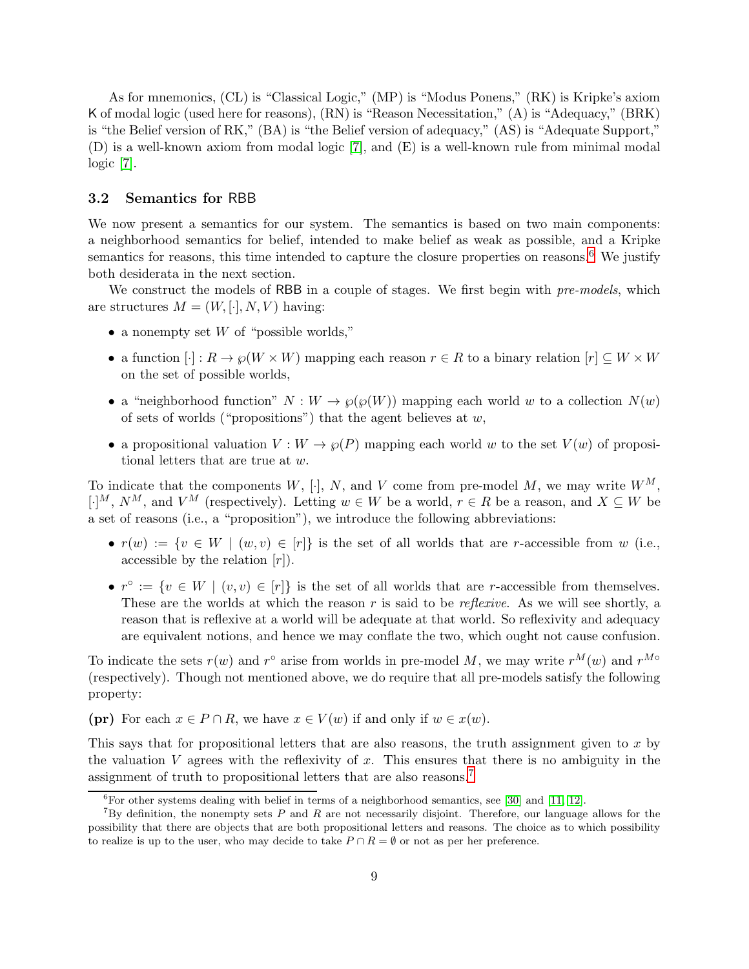As for mnemonics, (CL) is "Classical Logic," (MP) is "Modus Ponens," (RK) is Kripke's axiom K of modal logic (used here for reasons), (RN) is "Reason Necessitation," (A) is "Adequacy," (BRK) is "the Belief version of RK," (BA) is "the Belief version of adequacy," (AS) is "Adequate Support," (D) is a well-known axiom from modal logic [\[7\]](#page-40-7), and (E) is a well-known rule from minimal modal logic [\[7\]](#page-40-7).

### <span id="page-8-2"></span>3.2 Semantics for RBB

We now present a semantics for our system. The semantics is based on two main components: a neighborhood semantics for belief, intended to make belief as weak as possible, and a Kripke semantics for reasons, this time intended to capture the closure properties on reasons.<sup>[6](#page-8-0)</sup> We justify both desiderata in the next section.

We construct the models of RBB in a couple of stages. We first begin with *pre-models*, which are structures  $M = (W, [\cdot], N, V)$  having:

- a nonempty set  $W$  of "possible worlds,"
- a function  $[\cdot]: R \to \varphi(W \times W)$  mapping each reason  $r \in R$  to a binary relation  $[r] \subseteq W \times W$ on the set of possible worlds,
- a "neighborhood function"  $N: W \to \mathcal{O}(\mathcal{O}(W))$  mapping each world w to a collection  $N(w)$ of sets of worlds ("propositions") that the agent believes at  $w$ ,
- a propositional valuation  $V: W \to \wp(P)$  mapping each world w to the set  $V(w)$  of propositional letters that are true at w.

To indicate that the components  $W$ , [·], N, and V come from pre-model M, we may write  $W^M$ , [·]<sup>M</sup>,  $N^M$ , and  $V^M$  (respectively). Letting  $w \in W$  be a world,  $r \in R$  be a reason, and  $X \subseteq W$  be a set of reasons (i.e., a "proposition"), we introduce the following abbreviations:

- $r(w) := \{v \in W \mid (w, v) \in [r]\}\$ is the set of all worlds that are r-accessible from w (i.e., accessible by the relation  $[r]$ ).
- $r^{\circ} := \{v \in W \mid (v, v) \in [r]\}\$ is the set of all worlds that are r-accessible from themselves. These are the worlds at which the reason r is said to be *reflexive*. As we will see shortly, a reason that is reflexive at a world will be adequate at that world. So reflexivity and adequacy are equivalent notions, and hence we may conflate the two, which ought not cause confusion.

To indicate the sets  $r(w)$  and  $r^{\circ}$  arise from worlds in pre-model M, we may write  $r^M(w)$  and  $r^{M\circ}$ (respectively). Though not mentioned above, we do require that all pre-models satisfy the following property:

(pr) For each  $x \in P \cap R$ , we have  $x \in V(w)$  if and only if  $w \in x(w)$ .

This says that for propositional letters that are also reasons, the truth assignment given to  $x$  by the valuation  $V$  agrees with the reflexivity of  $x$ . This ensures that there is no ambiguity in the assignment of truth to propositional letters that are also reasons.[7](#page-8-1)

<span id="page-8-0"></span> ${}^{6}$ For other systems dealing with belief in terms of a neighborhood semantics, see [\[30\]](#page-41-10) and [\[11,](#page-40-8) [12\]](#page-40-9).

<span id="page-8-1"></span><sup>&</sup>lt;sup>7</sup>By definition, the nonempty sets P and R are not necessarily disjoint. Therefore, our language allows for the possibility that there are objects that are both propositional letters and reasons. The choice as to which possibility to realize is up to the user, who may decide to take  $P \cap R = \emptyset$  or not as per her preference.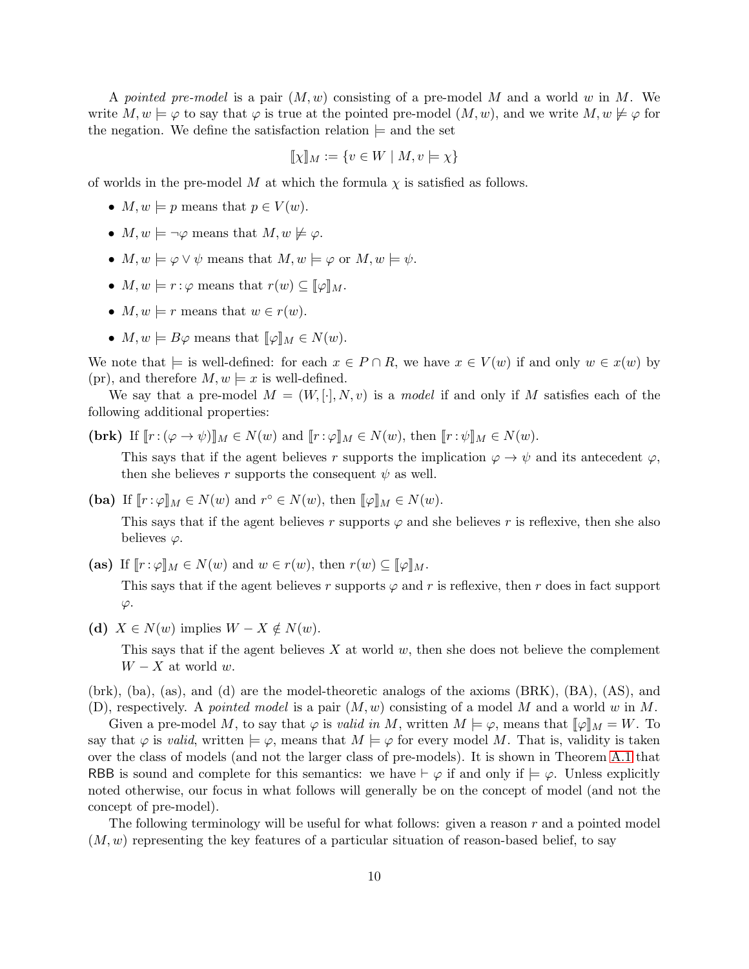A *pointed pre-model* is a pair (M, w) consisting of a pre-model M and a world w in M. We write  $M, w \models \varphi$  to say that  $\varphi$  is true at the pointed pre-model  $(M, w)$ , and we write  $M, w \not\models \varphi$  for the negation. We define the satisfaction relation  $\models$  and the set

$$
[\![\chi]\!]_M := \{ v \in W \mid M, v \models \chi \}
$$

of worlds in the pre-model M at which the formula  $\chi$  is satisfied as follows.

- $M, w \models p$  means that  $p \in V(w)$ .
- $M, w \models \neg \varphi$  means that  $M, w \not\models \varphi$ .
- $M, w \models \varphi \lor \psi$  means that  $M, w \models \varphi$  or  $M, w \models \psi$ .
- $M, w \models r : \varphi$  means that  $r(w) \subseteq [\![\varphi]\!]_M$ .
- $M, w \models r$  means that  $w \in r(w)$ .
- $M, w \models B\varphi$  means that  $[\![\varphi]\!]_M \in N(w)$ .

We note that  $\models$  is well-defined: for each  $x \in P \cap R$ , we have  $x \in V(w)$  if and only  $w \in x(w)$  by (pr), and therefore  $M, w \models x$  is well-defined.

We say that a pre-model  $M = (W, [\cdot], N, v)$  is a *model* if and only if M satisfies each of the following additional properties:

(brk) If  $[r:(\varphi \to \psi)]_M \in N(w)$  and  $[r:\varphi]_M \in N(w)$ , then  $[r:\psi]_M \in N(w)$ .

This says that if the agent believes r supports the implication  $\varphi \to \psi$  and its antecedent  $\varphi$ , then she believes r supports the consequent  $\psi$  as well.

(ba) If  $[\![r:\varphi]\!]_M \in N(w)$  and  $r^{\circ} \in N(w)$ , then  $[\![\varphi]\!]_M \in N(w)$ . This says that if the agent believes r supports  $\varphi$  and she believes r is reflexive, then she also believes  $\varphi$ .

(as) If  $\llbracket r : \varphi \rrbracket_M \in N(w)$  and  $w \in r(w)$ , then  $r(w) \subseteq \llbracket \varphi \rrbracket_M$ .

This says that if the agent believes r supports  $\varphi$  and r is reflexive, then r does in fact support  $\varphi$ .

(d)  $X \in N(w)$  implies  $W - X \notin N(w)$ .

This says that if the agent believes  $X$  at world  $w$ , then she does not believe the complement  $W - X$  at world w.

(brk), (ba), (as), and (d) are the model-theoretic analogs of the axioms (BRK), (BA), (AS), and (D), respectively. A *pointed model* is a pair (M, w) consisting of a model M and a world w in M.

Given a pre-model M, to say that  $\varphi$  is *valid in* M, written  $M \models \varphi$ , means that  $[\![\varphi]\!]_M = W$ . To say that  $\varphi$  is *valid*, written  $\models \varphi$ , means that  $M \models \varphi$  for every model M. That is, validity is taken over the class of models (and not the larger class of pre-models). It is shown in Theorem [A.1](#page-26-0) that RBB is sound and complete for this semantics: we have  $\vdash \varphi$  if and only if  $\models \varphi$ . Unless explicitly noted otherwise, our focus in what follows will generally be on the concept of model (and not the concept of pre-model).

The following terminology will be useful for what follows: given a reason r and a pointed model  $(M, w)$  representing the key features of a particular situation of reason-based belief, to say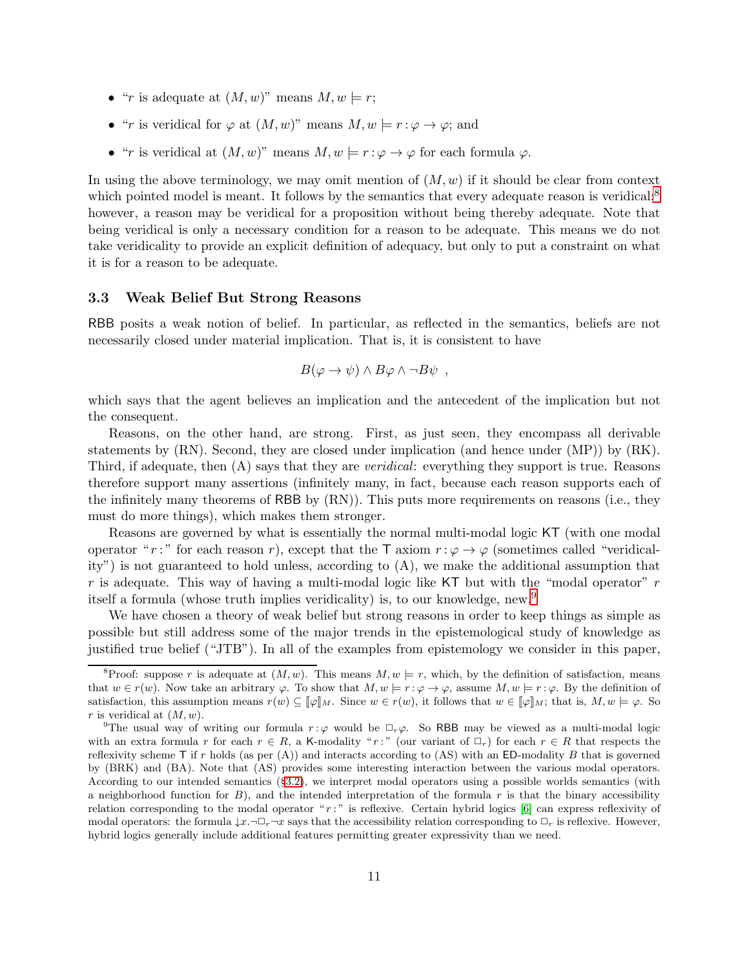- "r is adequate at  $(M, w)$ " means  $M, w \models r$ ;
- "r is veridical for  $\varphi$  at  $(M, w)$ " means  $M, w \models r : \varphi \rightarrow \varphi$ ; and
- "r is veridical at  $(M, w)$ " means  $M, w \models r : \varphi \rightarrow \varphi$  for each formula  $\varphi$ .

In using the above terminology, we may omit mention of  $(M, w)$  if it should be clear from context which pointed model is meant. It follows by the semantics that every adequate reason is veridical; $\delta$ however, a reason may be veridical for a proposition without being thereby adequate. Note that being veridical is only a necessary condition for a reason to be adequate. This means we do not take veridicality to provide an explicit definition of adequacy, but only to put a constraint on what it is for a reason to be adequate.

#### 3.3 Weak Belief But Strong Reasons

RBB posits a weak notion of belief. In particular, as reflected in the semantics, beliefs are not necessarily closed under material implication. That is, it is consistent to have

$$
B(\varphi \to \psi) \land B\varphi \land \neg B\psi ,
$$

which says that the agent believes an implication and the antecedent of the implication but not the consequent.

Reasons, on the other hand, are strong. First, as just seen, they encompass all derivable statements by (RN). Second, they are closed under implication (and hence under (MP)) by (RK). Third, if adequate, then (A) says that they are *veridical*: everything they support is true. Reasons therefore support many assertions (infinitely many, in fact, because each reason supports each of the infinitely many theorems of RBB by (RN)). This puts more requirements on reasons (i.e., they must do more things), which makes them stronger.

Reasons are governed by what is essentially the normal multi-modal logic KT (with one modal operator " r : " for each reason r), except that the T axiom  $r : \varphi \to \varphi$  (sometimes called "veridicality") is not guaranteed to hold unless, according to (A), we make the additional assumption that r is adequate. This way of having a multi-modal logic like  $KT$  but with the "modal operator" r itself a formula (whose truth implies veridicality) is, to our knowledge, new.[9](#page-10-1)

We have chosen a theory of weak belief but strong reasons in order to keep things as simple as possible but still address some of the major trends in the epistemological study of knowledge as justified true belief ("JTB"). In all of the examples from epistemology we consider in this paper,

<span id="page-10-0"></span><sup>&</sup>lt;sup>8</sup>Proof: suppose r is adequate at  $(M, w)$ . This means  $M, w \models r$ , which, by the definition of satisfaction, means that  $w \in r(w)$ . Now take an arbitrary  $\varphi$ . To show that  $M, w \models r : \varphi \rightarrow \varphi$ , assume  $M, w \models r : \varphi$ . By the definition of satisfaction, this assumption means  $r(w) \subseteq \llbracket \varphi \rrbracket_M$ . Since  $w \in r(w)$ , it follows that  $w \in \llbracket \varphi \rrbracket_M$ ; that is,  $M, w \models \varphi$ . So r is veridical at  $(M, w)$ .

<span id="page-10-1"></span><sup>&</sup>lt;sup>9</sup>The usual way of writing our formula  $r : \varphi$  would be  $\Box_r \varphi$ . So RBB may be viewed as a multi-modal logic with an extra formula r for each  $r \in R$ , a K-modality "r:" (our variant of  $\Box_r$ ) for each  $r \in R$  that respects the reflexivity scheme  $\mathsf{T}$  if r holds (as per (A)) and interacts according to (AS) with an ED-modality B that is governed by (BRK) and (BA). Note that (AS) provides some interesting interaction between the various modal operators. According to our intended semantics (§[3.2\)](#page-8-2), we interpret modal operators using a possible worlds semantics (with a neighborhood function for  $B$ ), and the intended interpretation of the formula r is that the binary accessibility relation corresponding to the modal operator "r:" is reflexive. Certain hybrid logics [\[6\]](#page-40-10) can express reflexivity of modal operators: the formula  $\downarrow x.\neg \Box_r \neg x$  says that the accessibility relation corresponding to  $\Box_r$  is reflexive. However, hybrid logics generally include additional features permitting greater expressivity than we need.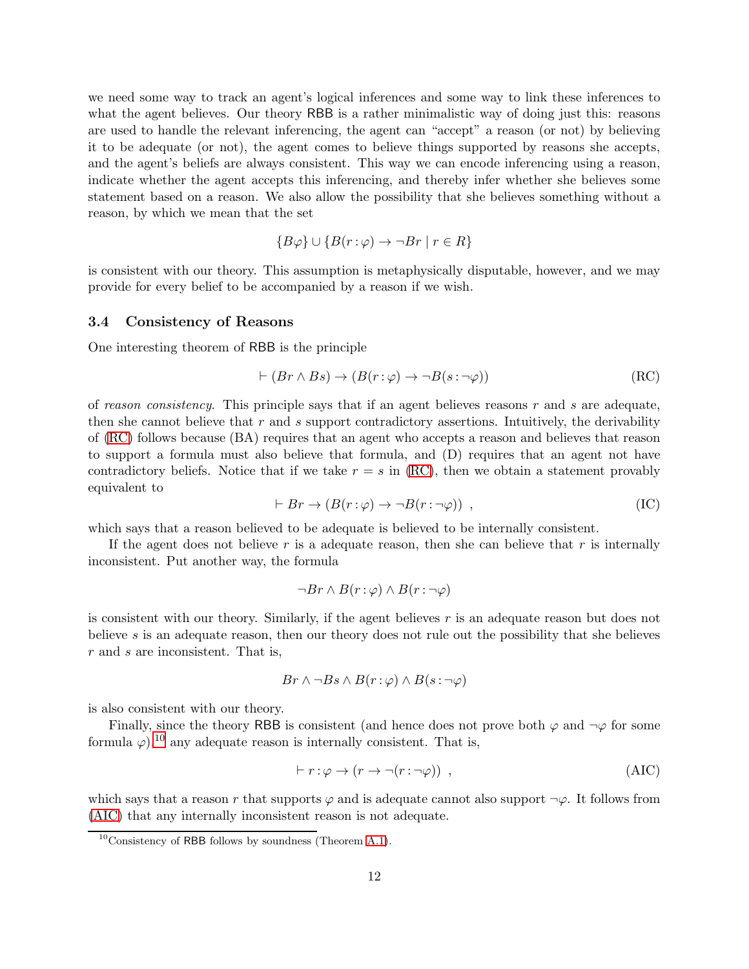we need some way to track an agent's logical inferences and some way to link these inferences to what the agent believes. Our theory RBB is a rather minimalistic way of doing just this: reasons are used to handle the relevant inferencing, the agent can "accept" a reason (or not) by believing it to be adequate (or not), the agent comes to believe things supported by reasons she accepts, and the agent's beliefs are always consistent. This way we can encode inferencing using a reason, indicate whether the agent accepts this inferencing, and thereby infer whether she believes some statement based on a reason. We also allow the possibility that she believes something without a reason, by which we mean that the set

$$
{B\varphi} \cup {B(r:\varphi) \to \neg Br \mid r \in R}
$$

is consistent with our theory. This assumption is metaphysically disputable, however, and we may provide for every belief to be accompanied by a reason if we wish.

#### 3.4 Consistency of Reasons

One interesting theorem of RBB is the principle

<span id="page-11-0"></span>
$$
\vdash (Br \land Bs) \to (B(r:\varphi) \to \neg B(s:\neg \varphi))
$$
\n(RC)

of *reason consistency*. This principle says that if an agent believes reasons r and s are adequate, then she cannot believe that  $r$  and  $s$  support contradictory assertions. Intuitively, the derivability of [\(RC\)](#page-11-0) follows because (BA) requires that an agent who accepts a reason and believes that reason to support a formula must also believe that formula, and (D) requires that an agent not have contradictory beliefs. Notice that if we take  $r = s$  in [\(RC\)](#page-11-0), then we obtain a statement provably equivalent to

$$
\vdash Br \to (B(r:\varphi) \to \neg B(r:\neg \varphi)) , \tag{IC}
$$

which says that a reason believed to be adequate is believed to be internally consistent.

If the agent does not believe r is a adequate reason, then she can believe that r is internally inconsistent. Put another way, the formula

$$
\neg Br \wedge B(r:\varphi) \wedge B(r:\neg \varphi)
$$

is consistent with our theory. Similarly, if the agent believes  $r$  is an adequate reason but does not believe s is an adequate reason, then our theory does not rule out the possibility that she believes r and s are inconsistent. That is,

$$
Br \wedge \neg Bs \wedge B(r:\varphi) \wedge B(s:\neg\varphi)
$$

is also consistent with our theory.

Finally, since the theory RBB is consistent (and hence does not prove both  $\varphi$  and  $\neg \varphi$  for some formula  $\varphi$ ),<sup>[10](#page-11-1)</sup> any adequate reason is internally consistent. That is,

<span id="page-11-2"></span>
$$
\vdash r : \varphi \to (r \to \neg(r : \neg \varphi)) \tag{AIC}
$$

which says that a reason r that supports  $\varphi$  and is adequate cannot also support  $\neg \varphi$ . It follows from [\(AIC\)](#page-11-2) that any internally inconsistent reason is not adequate.

<span id="page-11-1"></span> $10$ Consistency of RBB follows by soundness (Theorem [A.1\)](#page-26-0).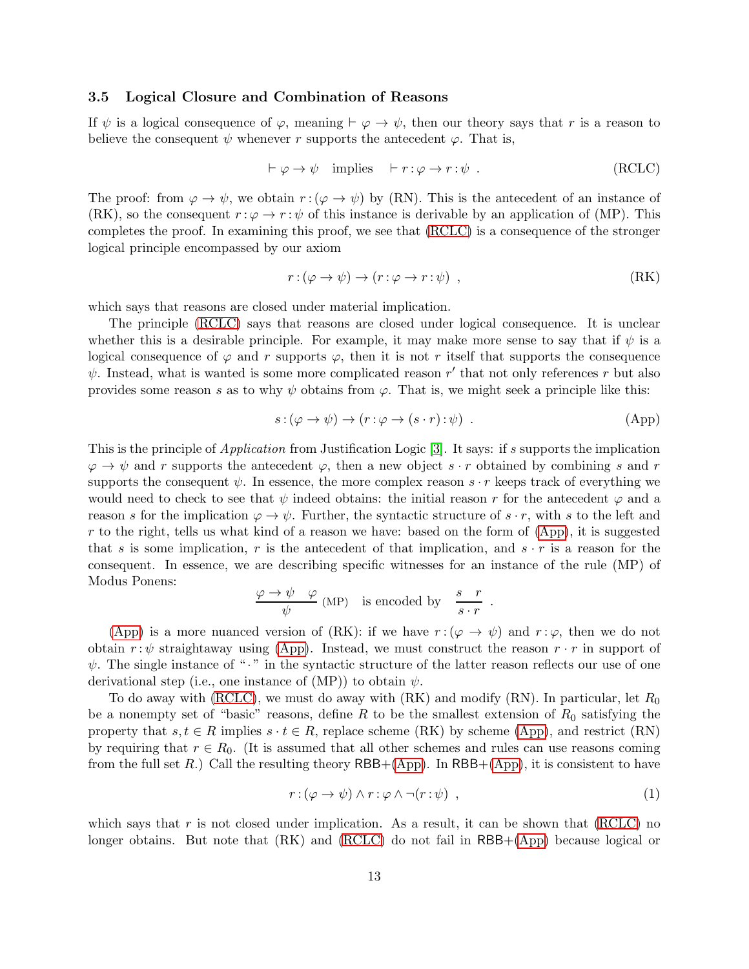## <span id="page-12-0"></span>3.5 Logical Closure and Combination of Reasons

If  $\psi$  is a logical consequence of  $\varphi$ , meaning  $\vdash \varphi \rightarrow \psi$ , then our theory says that r is a reason to believe the consequent  $\psi$  whenever r supports the antecedent  $\varphi$ . That is,

<span id="page-12-1"></span>
$$
\vdash \varphi \to \psi \quad \text{implies} \quad \vdash r : \varphi \to r : \psi \ . \tag{RCLC}
$$

The proof: from  $\varphi \to \psi$ , we obtain  $r : (\varphi \to \psi)$  by (RN). This is the antecedent of an instance of (RK), so the consequent  $r : \varphi \to r : \psi$  of this instance is derivable by an application of (MP). This completes the proof. In examining this proof, we see that [\(RCLC\)](#page-12-1) is a consequence of the stronger logical principle encompassed by our axiom

$$
r: (\varphi \to \psi) \to (r: \varphi \to r: \psi) \quad , \tag{RK}
$$

which says that reasons are closed under material implication.

The principle [\(RCLC\)](#page-12-1) says that reasons are closed under logical consequence. It is unclear whether this is a desirable principle. For example, it may make more sense to say that if  $\psi$  is a logical consequence of  $\varphi$  and r supports  $\varphi$ , then it is not r itself that supports the consequence  $\psi$ . Instead, what is wanted is some more complicated reason r' that not only references r but also provides some reason s as to why  $\psi$  obtains from  $\varphi$ . That is, we might seek a principle like this:

$$
s: (\varphi \to \psi) \to (r: \varphi \to (s \cdot r): \psi) . \tag{App}
$$

This is the principle of *Application* from Justification Logic [\[3\]](#page-40-3). It says: if s supports the implication  $\varphi \to \psi$  and r supports the antecedent  $\varphi$ , then a new object  $s \cdot r$  obtained by combining s and r supports the consequent  $\psi$ . In essence, the more complex reason  $s \cdot r$  keeps track of everything we would need to check to see that  $\psi$  indeed obtains: the initial reason r for the antecedent  $\varphi$  and a reason s for the implication  $\varphi \to \psi$ . Further, the syntactic structure of s · r, with s to the left and r to the right, tells us what kind of a reason we have: based on the form of  $(App)$ , it is suggested that s is some implication, r is the antecedent of that implication, and  $s \cdot r$  is a reason for the consequent. In essence, we are describing specific witnesses for an instance of the rule (MP) of Modus Ponens:

$$
\frac{\varphi \to \psi \quad \varphi}{\psi} \text{ (MP)} \quad \text{is encoded by} \quad \frac{s \quad r}{s \cdot r}
$$

[\(App\)](#page-12-2) is a more nuanced version of (RK): if we have  $r : (\varphi \to \psi)$  and  $r : \varphi$ , then we do not obtain  $r : \psi$  straightaway using [\(App\)](#page-12-2). Instead, we must construct the reason  $r \cdot r$  in support of  $\psi$ . The single instance of " $\cdot$ " in the syntactic structure of the latter reason reflects our use of one derivational step (i.e., one instance of  $(MP)$ ) to obtain  $\psi$ .

To do away with [\(RCLC\)](#page-12-1), we must do away with  $(RK)$  and modify  $(RN)$ . In particular, let  $R_0$ be a nonempty set of "basic" reasons, define R to be the smallest extension of  $R_0$  satisfying the property that  $s, t \in R$  implies  $s \cdot t \in R$ , replace scheme (RK) by scheme [\(App\)](#page-12-2), and restrict (RN) by requiring that  $r \in R_0$ . (It is assumed that all other schemes and rules can use reasons coming from the full set R.) Call the resulting theory  $RBB+(App)$  $RBB+(App)$ . In  $RBB+(App)$ , it is consistent to have

<span id="page-12-3"></span>
$$
r: (\varphi \to \psi) \land r: \varphi \land \neg(r: \psi) \tag{1}
$$

<span id="page-12-2"></span>.

which says that r is not closed under implication. As a result, it can be shown that  $(RCLC)$  no longer obtains. But note that  $(RK)$  and  $(RCLC)$  do not fail in  $RBB+(App)$  $RBB+(App)$  because logical or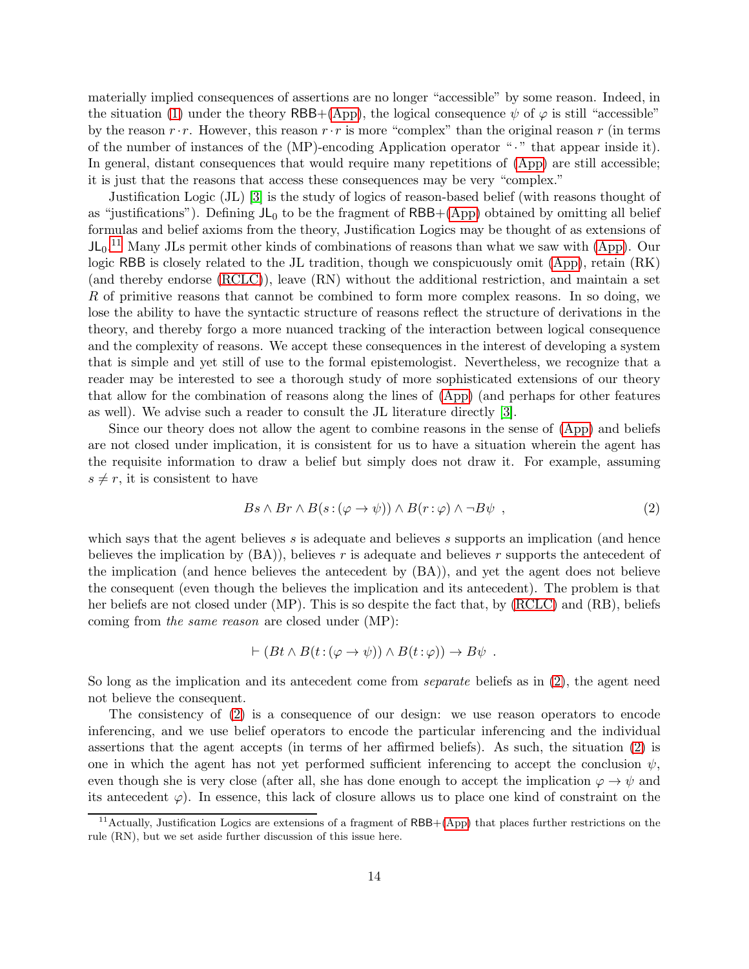materially implied consequences of assertions are no longer "accessible" by some reason. Indeed, in the situation [\(1\)](#page-12-3) under the theory RBB+[\(App\)](#page-12-2), the logical consequence  $\psi$  of  $\varphi$  is still "accessible" by the reason  $r \cdot r$ . However, this reason  $r \cdot r$  is more "complex" than the original reason r (in terms of the number of instances of the  $(MP)$ -encoding Application operator " $\cdot$ " that appear inside it). In general, distant consequences that would require many repetitions of [\(App\)](#page-12-2) are still accessible; it is just that the reasons that access these consequences may be very "complex."

Justification Logic (JL) [\[3\]](#page-40-3) is the study of logics of reason-based belief (with reasons thought of as "justifications"). Defining  $JL_0$  to be the fragment of RBB+[\(App\)](#page-12-2) obtained by omitting all belief formulas and belief axioms from the theory, Justification Logics may be thought of as extensions of  $JL_0$ .<sup>[11](#page-13-0)</sup> Many JLs permit other kinds of combinations of reasons than what we saw with [\(App\)](#page-12-2). Our logic RBB is closely related to the JL tradition, though we conspicuously omit [\(App\)](#page-12-2), retain (RK) (and thereby endorse [\(RCLC\)](#page-12-1)), leave (RN) without the additional restriction, and maintain a set R of primitive reasons that cannot be combined to form more complex reasons. In so doing, we lose the ability to have the syntactic structure of reasons reflect the structure of derivations in the theory, and thereby forgo a more nuanced tracking of the interaction between logical consequence and the complexity of reasons. We accept these consequences in the interest of developing a system that is simple and yet still of use to the formal epistemologist. Nevertheless, we recognize that a reader may be interested to see a thorough study of more sophisticated extensions of our theory that allow for the combination of reasons along the lines of [\(App\)](#page-12-2) (and perhaps for other features as well). We advise such a reader to consult the JL literature directly [\[3\]](#page-40-3).

Since our theory does not allow the agent to combine reasons in the sense of [\(App\)](#page-12-2) and beliefs are not closed under implication, it is consistent for us to have a situation wherein the agent has the requisite information to draw a belief but simply does not draw it. For example, assuming  $s \neq r$ , it is consistent to have

<span id="page-13-1"></span>
$$
Bs \wedge Br \wedge B(s: (\varphi \to \psi)) \wedge B(r: \varphi) \wedge \neg B\psi , \qquad (2)
$$

which says that the agent believes  $s$  is adequate and believes  $s$  supports an implication (and hence believes the implication by  $(BA)$ , believes r is adequate and believes r supports the antecedent of the implication (and hence believes the antecedent by (BA)), and yet the agent does not believe the consequent (even though the believes the implication and its antecedent). The problem is that her beliefs are not closed under (MP). This is so despite the fact that, by [\(RCLC\)](#page-12-1) and (RB), beliefs coming from *the same reason* are closed under (MP):

$$
\vdash (Bt \land B(t: (\varphi \to \psi)) \land B(t: \varphi)) \to B\psi .
$$

So long as the implication and its antecedent come from *separate* beliefs as in [\(2\)](#page-13-1), the agent need not believe the consequent.

The consistency of [\(2\)](#page-13-1) is a consequence of our design: we use reason operators to encode inferencing, and we use belief operators to encode the particular inferencing and the individual assertions that the agent accepts (in terms of her affirmed beliefs). As such, the situation [\(2\)](#page-13-1) is one in which the agent has not yet performed sufficient inferencing to accept the conclusion  $\psi$ , even though she is very close (after all, she has done enough to accept the implication  $\varphi \to \psi$  and its antecedent  $\varphi$ ). In essence, this lack of closure allows us to place one kind of constraint on the

<span id="page-13-0"></span><sup>&</sup>lt;sup>11</sup>Actually, Justification Logics are extensions of a fragment of RBB+[\(App\)](#page-12-2) that places further restrictions on the rule (RN), but we set aside further discussion of this issue here.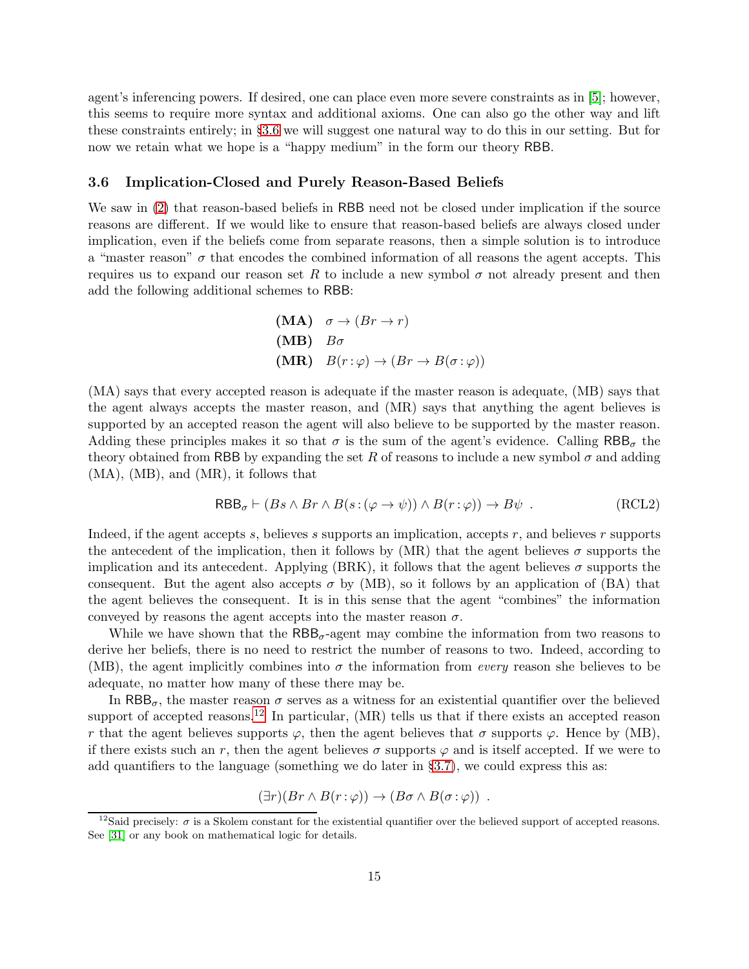agent's inferencing powers. If desired, one can place even more severe constraints as in [\[5\]](#page-40-5); however, this seems to require more syntax and additional axioms. One can also go the other way and lift these constraints entirely; in §[3.6](#page-14-0) we will suggest one natural way to do this in our setting. But for now we retain what we hope is a "happy medium" in the form our theory RBB.

### <span id="page-14-0"></span>3.6 Implication-Closed and Purely Reason-Based Beliefs

We saw in  $(2)$  that reason-based beliefs in RBB need not be closed under implication if the source reasons are different. If we would like to ensure that reason-based beliefs are always closed under implication, even if the beliefs come from separate reasons, then a simple solution is to introduce a "master reason"  $\sigma$  that encodes the combined information of all reasons the agent accepts. This requires us to expand our reason set R to include a new symbol  $\sigma$  not already present and then add the following additional schemes to RBB:

(MA) 
$$
\sigma \rightarrow (Br \rightarrow r)
$$
  
\n(MB)  $B\sigma$   
\n(MR)  $B(r:\varphi) \rightarrow (Br \rightarrow B(\sigma:\varphi))$ 

(MA) says that every accepted reason is adequate if the master reason is adequate, (MB) says that the agent always accepts the master reason, and (MR) says that anything the agent believes is supported by an accepted reason the agent will also believe to be supported by the master reason. Adding these principles makes it so that  $\sigma$  is the sum of the agent's evidence. Calling  $RBB_{\sigma}$  the theory obtained from RBB by expanding the set R of reasons to include a new symbol  $\sigma$  and adding (MA), (MB), and (MR), it follows that

$$
\mathsf{RBB}_{\sigma} \vdash (Bs \land Br \land B(s : (\varphi \to \psi)) \land B(r : \varphi)) \to B\psi .
$$
 (RCL2)

Indeed, if the agent accepts s, believes s supports an implication, accepts  $r$ , and believes  $r$  supports the antecedent of the implication, then it follows by  $(MR)$  that the agent believes  $\sigma$  supports the implication and its antecedent. Applying (BRK), it follows that the agent believes  $\sigma$  supports the consequent. But the agent also accepts  $\sigma$  by (MB), so it follows by an application of (BA) that the agent believes the consequent. It is in this sense that the agent "combines" the information conveyed by reasons the agent accepts into the master reason  $\sigma$ .

While we have shown that the  $RBB_{\sigma}$ -agent may combine the information from two reasons to derive her beliefs, there is no need to restrict the number of reasons to two. Indeed, according to (MB), the agent implicitly combines into  $\sigma$  the information from *every* reason she believes to be adequate, no matter how many of these there may be.

In RBB<sub> $\sigma$ </sub>, the master reason  $\sigma$  serves as a witness for an existential quantifier over the believed support of accepted reasons.<sup>[12](#page-14-1)</sup> In particular,  $(MR)$  tells us that if there exists an accepted reason r that the agent believes supports  $\varphi$ , then the agent believes that  $\sigma$  supports  $\varphi$ . Hence by (MB), if there exists such an r, then the agent believes  $\sigma$  supports  $\varphi$  and is itself accepted. If we were to add quantifiers to the language (something we do later in §[3.7\)](#page-15-0), we could express this as:

$$
(\exists r)(Br \wedge B(r:\varphi)) \rightarrow (B\sigma \wedge B(\sigma:\varphi)) .
$$

<span id="page-14-1"></span><sup>&</sup>lt;sup>12</sup>Said precisely:  $\sigma$  is a Skolem constant for the existential quantifier over the believed support of accepted reasons. See [\[31\]](#page-41-11) or any book on mathematical logic for details.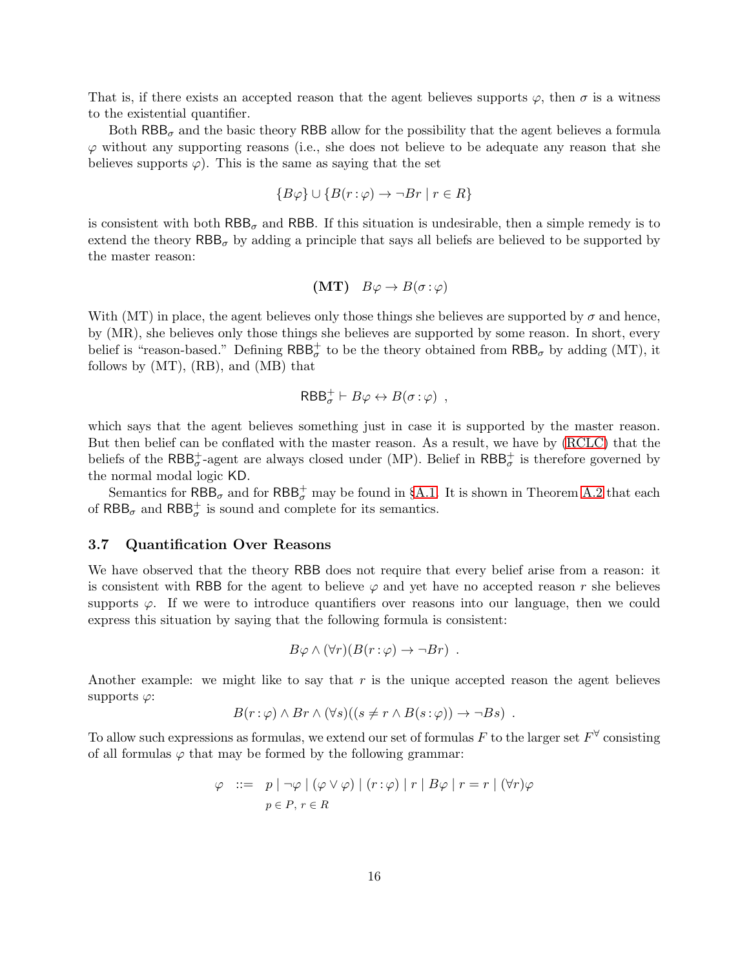That is, if there exists an accepted reason that the agent believes supports  $\varphi$ , then  $\sigma$  is a witness to the existential quantifier.

Both  $RBB_{\sigma}$  and the basic theory RBB allow for the possibility that the agent believes a formula  $\varphi$  without any supporting reasons (i.e., she does not believe to be adequate any reason that she believes supports  $\varphi$ . This is the same as saying that the set

$$
{B\varphi} \cup {B(r:\varphi) \to \neg Br \mid r \in R}
$$

is consistent with both  $RBB_{\sigma}$  and RBB. If this situation is undesirable, then a simple remedy is to extend the theory  $RBB_{\sigma}$  by adding a principle that says all beliefs are believed to be supported by the master reason:

$$
(MT) B\varphi \to B(\sigma : \varphi)
$$

With (MT) in place, the agent believes only those things she believes are supported by  $\sigma$  and hence, by (MR), she believes only those things she believes are supported by some reason. In short, every belief is "reason-based." Defining  $RBB_{\sigma}^{+}$  to be the theory obtained from  $RBB_{\sigma}$  by adding (MT), it follows by (MT), (RB), and (MB) that

$$
\mathsf{RBB}^+_\sigma \vdash B\varphi \leftrightarrow B(\sigma : \varphi) ,
$$

which says that the agent believes something just in case it is supported by the master reason. But then belief can be conflated with the master reason. As a result, we have by [\(RCLC\)](#page-12-1) that the beliefs of the  $RBB_{\sigma}^{+}$ -agent are always closed under (MP). Belief in  $RBB_{\sigma}^{+}$  is therefore governed by the normal modal logic KD.

Semantics for  $\mathsf{RBB}_\sigma$  and for  $\mathsf{RBB}_\sigma^+$  may be found in §[A.1.](#page-25-0) It is shown in Theorem [A.2](#page-30-0) that each of  $\mathsf{RBB}_\sigma$  and  $\mathsf{RBB}_\sigma^+$  is sound and complete for its semantics.

#### <span id="page-15-0"></span>3.7 Quantification Over Reasons

We have observed that the theory RBB does not require that every belief arise from a reason: it is consistent with RBB for the agent to believe  $\varphi$  and yet have no accepted reason r she believes supports  $\varphi$ . If we were to introduce quantifiers over reasons into our language, then we could express this situation by saying that the following formula is consistent:

$$
B\varphi \wedge (\forall r)(B(r:\varphi) \to \neg Br) .
$$

Another example: we might like to say that  $r$  is the unique accepted reason the agent believes supports  $\varphi$ :

$$
B(r:\varphi) \wedge Br \wedge (\forall s)((s \neq r \wedge B(s:\varphi)) \rightarrow \neg Bs).
$$

To allow such expressions as formulas, we extend our set of formulas F to the larger set  $F^{\forall}$  consisting of all formulas  $\varphi$  that may be formed by the following grammar:

$$
\varphi \quad ::= \quad p \mid \neg \varphi \mid (\varphi \lor \varphi) \mid (r : \varphi) \mid r \mid B\varphi \mid r = r \mid (\forall r) \varphi
$$
\n
$$
p \in P, r \in R
$$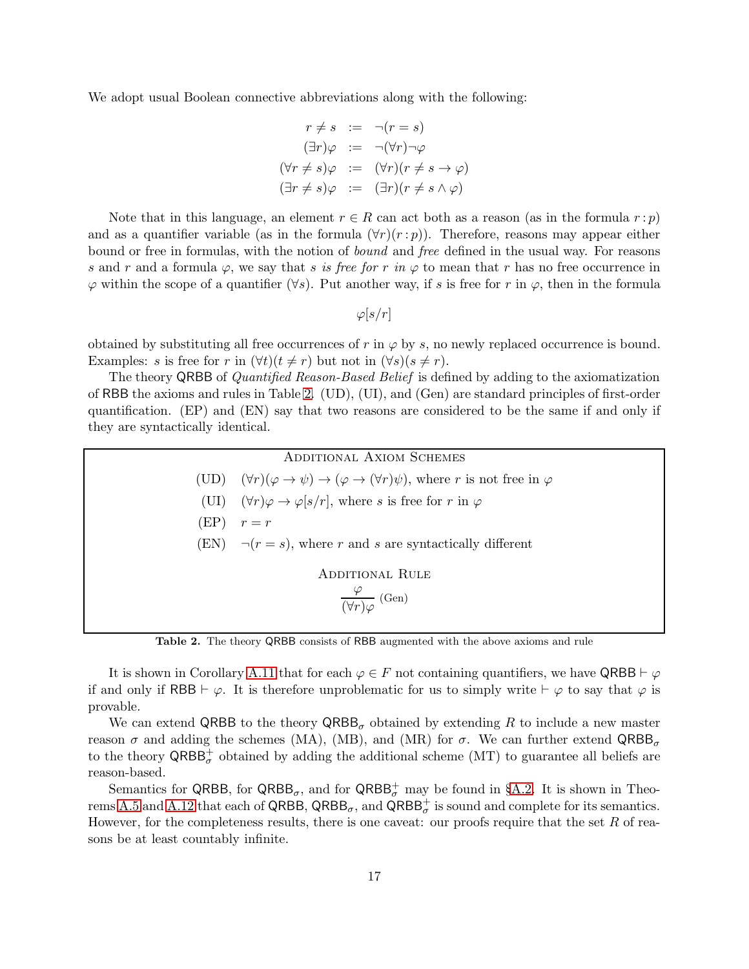We adopt usual Boolean connective abbreviations along with the following:

$$
r \neq s := \neg(r = s)
$$
  
\n
$$
(\exists r)\varphi := \neg(\forall r)\neg\varphi
$$
  
\n
$$
(\forall r \neq s)\varphi := (\forall r)(r \neq s \rightarrow \varphi)
$$
  
\n
$$
(\exists r \neq s)\varphi := (\exists r)(r \neq s \land \varphi)
$$

Note that in this language, an element  $r \in R$  can act both as a reason (as in the formula  $r : p$ ) and as a quantifier variable (as in the formula  $(\forall r)(r : p)$ ). Therefore, reasons may appear either bound or free in formulas, with the notion of *bound* and *free* defined in the usual way. For reasons s and r and a formula  $\varphi$ , we say that s is free for r in  $\varphi$  to mean that r has no free occurrence in  $\varphi$  within the scope of a quantifier ( $\forall s$ ). Put another way, if s is free for r in  $\varphi$ , then in the formula

 $\varphi[s/r]$ 

obtained by substituting all free occurrences of r in  $\varphi$  by s, no newly replaced occurrence is bound. Examples: s is free for r in  $(\forall t)(t \neq r)$  but not in  $(\forall s)(s \neq r)$ .

The theory QRBB of *Quantified Reason-Based Belief* is defined by adding to the axiomatization of RBB the axioms and rules in Table [2.](#page-16-0) (UD), (UI), and (Gen) are standard principles of first-order quantification. (EP) and (EN) say that two reasons are considered to be the same if and only if they are syntactically identical.

<span id="page-16-0"></span>

| <b>ADDITIONAL AXIOM SCHEMES</b>                                      |                                                                                                                                   |
|----------------------------------------------------------------------|-----------------------------------------------------------------------------------------------------------------------------------|
|                                                                      | (UD) $(\forall r)(\varphi \rightarrow \psi) \rightarrow (\varphi \rightarrow (\forall r)\psi)$ , where r is not free in $\varphi$ |
|                                                                      | (UI) $(\forall r)\varphi \rightarrow \varphi[s/r]$ , where s is free for r in $\varphi$                                           |
|                                                                      | $(EP)$ $r = r$                                                                                                                    |
|                                                                      | (EN) $\neg(r = s)$ , where r and s are syntactically different                                                                    |
| <b>ADDITIONAL RULE</b><br>$\frac{\varphi}{(\forall r)\varphi}$ (Gen) |                                                                                                                                   |
|                                                                      |                                                                                                                                   |

Table 2. The theory QRBB consists of RBB augmented with the above axioms and rule

It is shown in Corollary [A.11](#page-39-0) that for each  $\varphi \in F$  not containing quantifiers, we have QRBB  $\vdash \varphi$ if and only if RBB  $\vdash \varphi$ . It is therefore unproblematic for us to simply write  $\vdash \varphi$  to say that  $\varphi$  is provable.

We can extend QRBB to the theory  $\mathsf{QRBB}_\sigma$  obtained by extending R to include a new master reason  $\sigma$  and adding the schemes (MA), (MB), and (MR) for  $\sigma$ . We can further extend  $\mathsf{QRBB}_{\sigma}$ to the theory  $\mathsf{QRBB}^+_{\sigma}$  obtained by adding the additional scheme (MT) to guarantee all beliefs are reason-based.

Semantics for QRBB, for  $QRBB_{\sigma}$ , and for  $QRBB_{\sigma}^+$  may be found in §[A.2.](#page-25-1) It is shown in Theo-rems [A.5](#page-34-0) and [A.12](#page-39-1) that each of QRBB,  $QRBB_{\sigma}$ , and  $QRBB_{\sigma}^+$  is sound and complete for its semantics. However, for the completeness results, there is one caveat: our proofs require that the set  $R$  of reasons be at least countably infinite.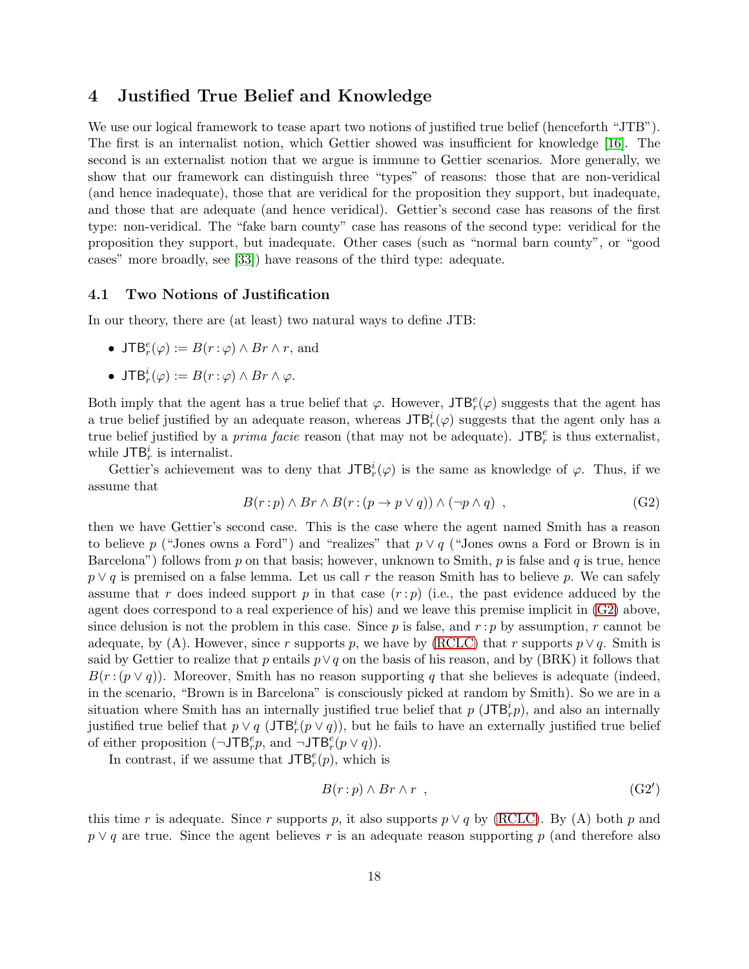## <span id="page-17-0"></span>4 Justified True Belief and Knowledge

We use our logical framework to tease apart two notions of justified true belief (henceforth "JTB"). The first is an internalist notion, which Gettier showed was insufficient for knowledge [\[16\]](#page-41-0). The second is an externalist notion that we argue is immune to Gettier scenarios. More generally, we show that our framework can distinguish three "types" of reasons: those that are non-veridical (and hence inadequate), those that are veridical for the proposition they support, but inadequate, and those that are adequate (and hence veridical). Gettier's second case has reasons of the first type: non-veridical. The "fake barn county" case has reasons of the second type: veridical for the proposition they support, but inadequate. Other cases (such as "normal barn county", or "good cases" more broadly, see [\[33\]](#page-41-5)) have reasons of the third type: adequate.

## 4.1 Two Notions of Justification

In our theory, there are (at least) two natural ways to define JTB:

- JTB<sup> $e$ </sup>( $\varphi$ ) :=  $B(r:\varphi) \wedge Br \wedge r$ , and
- JT $\mathsf{B}_r^i(\varphi) := B(r:\varphi) \wedge Br \wedge \varphi.$

Both imply that the agent has a true belief that  $\varphi$ . However,  $\mathsf{JTB}_r^e(\varphi)$  suggests that the agent has a true belief justified by an adequate reason, whereas  $JTB<sub>r</sub><sup>i</sup>(\varphi)$  suggests that the agent only has a true belief justified by a *prima facie* reason (that may not be adequate).  $JTB<sup>e</sup><sub>r</sub>$  is thus externalist, while  $JTB<sub>r</sub><sup>i</sup>$  is internalist.

Gettier's achievement was to deny that  $JTB_r^i(\varphi)$  is the same as knowledge of  $\varphi$ . Thus, if we assume that

<span id="page-17-1"></span>
$$
B(r:p) \wedge Br \wedge B(r:(p \to p \lor q)) \wedge (\neg p \land q) , \qquad (G2)
$$

then we have Gettier's second case. This is the case where the agent named Smith has a reason to believe p ("Jones owns a Ford") and "realizes" that  $p \vee q$  ("Jones owns a Ford or Brown is in Barcelona") follows from p on that basis; however, unknown to Smith, p is false and q is true, hence  $p \vee q$  is premised on a false lemma. Let us call r the reason Smith has to believe p. We can safely assume that r does indeed support p in that case  $(r : p)$  (i.e., the past evidence adduced by the agent does correspond to a real experience of his) and we leave this premise implicit in [\(G2\)](#page-17-1) above, since delusion is not the problem in this case. Since p is false, and  $r : p$  by assumption, r cannot be adequate, by (A). However, since r supports p, we have by [\(RCLC\)](#page-12-1) that r supports  $p \vee q$ . Smith is said by Gettier to realize that p entails  $p \vee q$  on the basis of his reason, and by (BRK) it follows that  $B(r:(p\vee q))$ . Moreover, Smith has no reason supporting q that she believes is adequate (indeed, in the scenario, "Brown is in Barcelona" is consciously picked at random by Smith). So we are in a situation where Smith has an internally justified true belief that  $p(\text{JTB}_r^i p)$ , and also an internally justified true belief that  $p \vee q$  (JTB<sup>i</sup><sub>*r*</sub>( $p \vee q$ )), but he fails to have an externally justified true belief of either proposition  $(\neg \text{JTB}_r^e p, \text{ and } \neg \text{JTB}_r^e (p \lor q)).$ 

In contrast, if we assume that  $\mathsf{JTB}_r^e(p)$ , which is

$$
B(r:p) \wedge Br \wedge r \tag{G2'}
$$

this time r is adequate. Since r supports p, it also supports  $p \vee q$  by [\(RCLC\)](#page-12-1). By (A) both p and  $p \vee q$  are true. Since the agent believes r is an adequate reason supporting p (and therefore also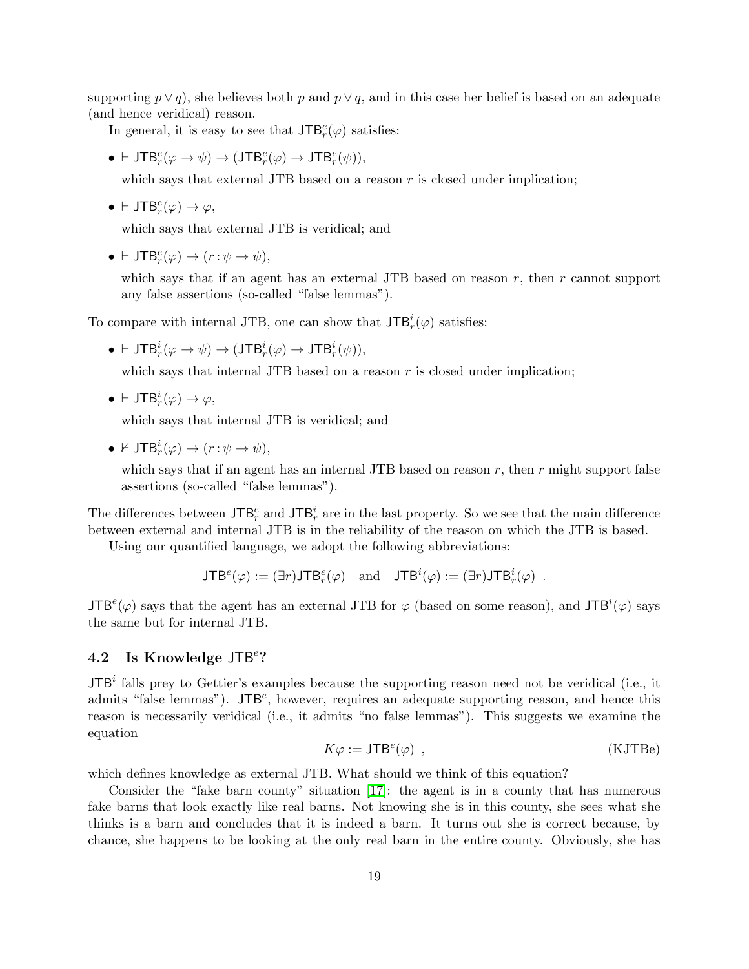supporting  $p \vee q$ , she believes both p and  $p \vee q$ , and in this case her belief is based on an adequate (and hence veridical) reason.

In general, it is easy to see that  $\mathsf{JTB}_r^e(\varphi)$  satisfies:

 $\bullet$   $\vdash$  JTB<sup>e</sup><sub>r</sub>( $\varphi \rightarrow \psi$ )  $\rightarrow$  (JTB<sup>e</sup><sub>r</sub>( $\varphi$ )  $\rightarrow$  JTB<sup>e</sup><sub>r</sub>( $\psi$ )),

which says that external JTB based on a reason  $r$  is closed under implication;

•  $\vdash \mathsf{JTB}_r^e(\varphi) \to \varphi$ ,

which says that external JTB is veridical; and

•  $\vdash \mathsf{JTB}_r^e(\varphi) \to (r : \psi \to \psi),$ 

which says that if an agent has an external JTB based on reason  $r$ , then  $r$  cannot support any false assertions (so-called "false lemmas").

To compare with internal JTB, one can show that  $\mathsf{JTB}_r^i(\varphi)$  satisfies:

 $\bullet\,\vdash\mathsf{JTB}_r^i(\varphi\rightarrow\psi)\rightarrow(\mathsf{JTB}_r^i(\varphi)\rightarrow\mathsf{JTB}_r^i(\psi)),$ 

which says that internal JTB based on a reason  $r$  is closed under implication;

•  $\vdash \mathsf{JTB}_r^i(\varphi) \to \varphi,$ 

which says that internal JTB is veridical; and

•  $\nvdash \mathsf{JTB}_r^i(\varphi) \to (r : \psi \to \psi),$ 

which says that if an agent has an internal JTB based on reason  $r$ , then  $r$  might support false assertions (so-called "false lemmas").

The differences between  $\mathsf{JTB}_r^e$  and  $\mathsf{JTB}_r^i$  are in the last property. So we see that the main difference between external and internal JTB is in the reliability of the reason on which the JTB is based.

Using our quantified language, we adopt the following abbreviations:

$$
\mathsf{JTB}^e(\varphi) := (\exists r) \mathsf{JTB}^e_r(\varphi) \quad \text{and} \quad \mathsf{JTB}^i(\varphi) := (\exists r) \mathsf{JTB}^i_r(\varphi) \ .
$$

 $JTB<sup>e</sup>(\varphi)$  says that the agent has an external JTB for  $\varphi$  (based on some reason), and  $JTB<sup>i</sup>(\varphi)$  says the same but for internal JTB.

# 4.2 Is Knowledge JTB<sup>e</sup>?

 $JTB<sup>i</sup>$  falls prey to Gettier's examples because the supporting reason need not be veridical (i.e., it admits "false lemmas").  $JTB<sup>e</sup>$ , however, requires an adequate supporting reason, and hence this reason is necessarily veridical (i.e., it admits "no false lemmas"). This suggests we examine the equation

<span id="page-18-0"></span>
$$
K\varphi := JTB^{e}(\varphi) , \qquad (KJTBe)
$$

which defines knowledge as external JTB. What should we think of this equation?

Consider the "fake barn county" situation [\[17\]](#page-41-12): the agent is in a county that has numerous fake barns that look exactly like real barns. Not knowing she is in this county, she sees what she thinks is a barn and concludes that it is indeed a barn. It turns out she is correct because, by chance, she happens to be looking at the only real barn in the entire county. Obviously, she has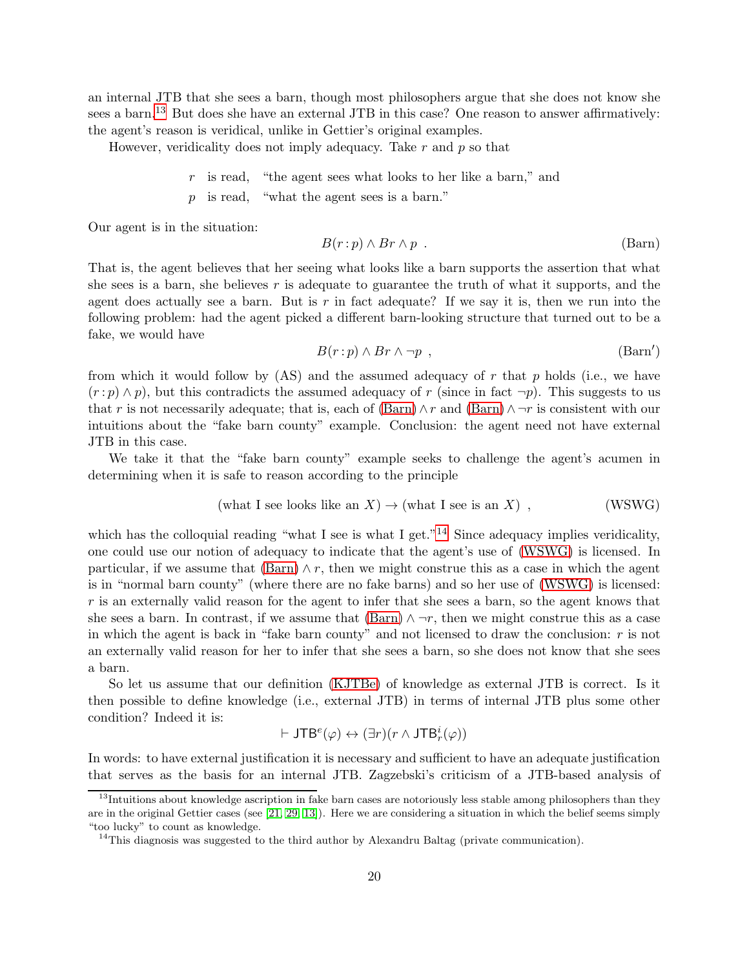an internal JTB that she sees a barn, though most philosophers argue that she does not know she sees a barn.<sup>[13](#page-19-0)</sup> But does she have an external JTB in this case? One reason to answer affirmatively: the agent's reason is veridical, unlike in Gettier's original examples.

However, veridicality does not imply adequacy. Take  $r$  and  $p$  so that

- $r$  is read, "the agent sees what looks to her like a barn," and
- p is read, "what the agent sees is a barn."

Our agent is in the situation:

<span id="page-19-1"></span>
$$
B(r:p) \wedge Br \wedge p \tag{Barn}
$$

That is, the agent believes that her seeing what looks like a barn supports the assertion that what she sees is a barn, she believes r is adequate to guarantee the truth of what it supports, and the agent does actually see a barn. But is  $r$  in fact adequate? If we say it is, then we run into the following problem: had the agent picked a different barn-looking structure that turned out to be a fake, we would have

<span id="page-19-3"></span>
$$
B(r:p) \wedge Br \wedge \neg p \quad , \tag{Barn'}
$$

from which it would follow by  $(AS)$  and the assumed adequacy of r that p holds (i.e., we have  $(r : p) \wedge p$ , but this contradicts the assumed adequacy of r (since in fact  $\neg p$ ). This suggests to us that r is not necessarily adequate; that is, each of  $(Barn) \wedge r$  and  $(Barn) \wedge \neg r$  is consistent with our intuitions about the "fake barn county" example. Conclusion: the agent need not have external JTB in this case.

We take it that the "fake barn county" example seeks to challenge the agent's acumen in determining when it is safe to reason according to the principle

$$
(what I see looks like an X) \to (what I see is an X) , \qquad (WSWG)
$$

which has the colloquial reading "what I see is what I get."<sup>[14](#page-19-2)</sup> Since adequacy implies veridicality, one could use our notion of adequacy to indicate that the agent's use of [\(WSWG\)](#page-19-3) is licensed. In particular, if we assume that  $(Barn) \wedge r$ , then we might construe this as a case in which the agent is in "normal barn county" (where there are no fake barns) and so her use of [\(WSWG\)](#page-19-3) is licensed: r is an externally valid reason for the agent to infer that she sees a barn, so the agent knows that she sees a barn. In contrast, if we assume that  $(Barn) \land \neg r$ , then we might construe this as a case in which the agent is back in "fake barn county" and not licensed to draw the conclusion: r is not an externally valid reason for her to infer that she sees a barn, so she does not know that she sees a barn.

So let us assume that our definition [\(KJTBe\)](#page-18-0) of knowledge as external JTB is correct. Is it then possible to define knowledge (i.e., external JTB) in terms of internal JTB plus some other condition? Indeed it is:

$$
\vdash \mathsf{JTB}^{e}(\varphi) \leftrightarrow (\exists r)(r \wedge \mathsf{JTB}_{r}^{i}(\varphi))
$$

In words: to have external justification it is necessary and sufficient to have an adequate justification that serves as the basis for an internal JTB. Zagzebski's criticism of a JTB-based analysis of

<span id="page-19-0"></span><sup>&</sup>lt;sup>13</sup>Intuitions about knowledge ascription in fake barn cases are notoriously less stable among philosophers than they are in the original Gettier cases (see [\[21,](#page-41-13) [29,](#page-41-4) [13\]](#page-40-11)). Here we are considering a situation in which the belief seems simply "too lucky" to count as knowledge.

<span id="page-19-2"></span><sup>&</sup>lt;sup>14</sup>This diagnosis was suggested to the third author by Alexandru Baltag (private communication).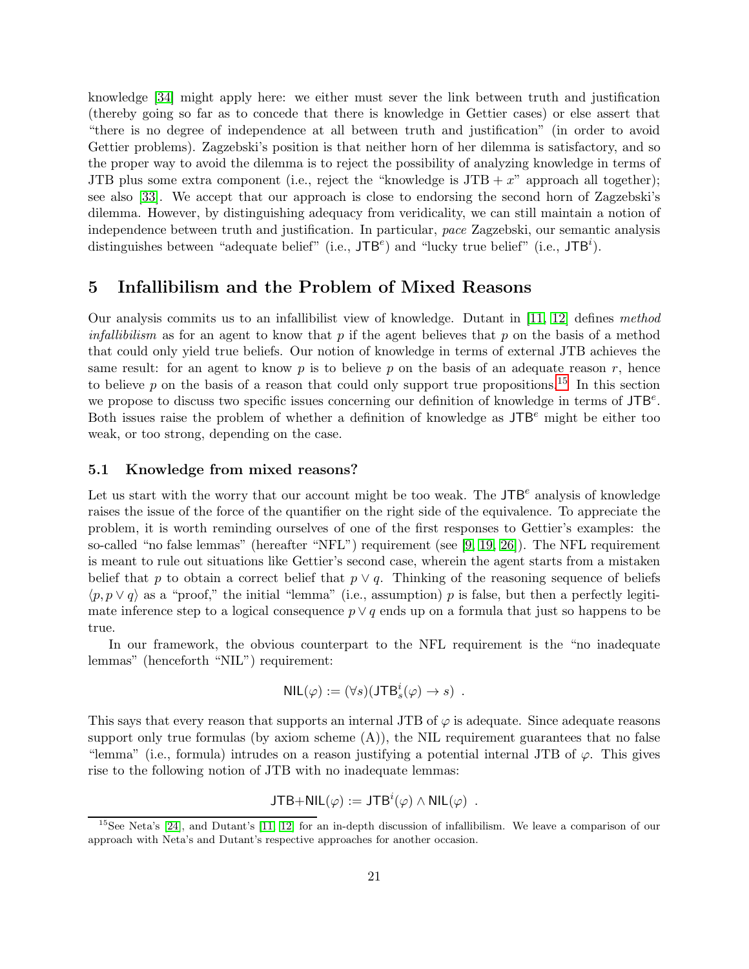knowledge [\[34\]](#page-41-14) might apply here: we either must sever the link between truth and justification (thereby going so far as to concede that there is knowledge in Gettier cases) or else assert that "there is no degree of independence at all between truth and justification" (in order to avoid Gettier problems). Zagzebski's position is that neither horn of her dilemma is satisfactory, and so the proper way to avoid the dilemma is to reject the possibility of analyzing knowledge in terms of JTB plus some extra component (i.e., reject the "knowledge is  $JTB + x$ " approach all together); see also [\[33\]](#page-41-5). We accept that our approach is close to endorsing the second horn of Zagzebski's dilemma. However, by distinguishing adequacy from veridicality, we can still maintain a notion of independence between truth and justification. In particular, *pace* Zagzebski, our semantic analysis distinguishes between "adequate belief" (i.e.,  $JTB^e$ ) and "lucky true belief" (i.e.,  $JTB^i$ ).

## <span id="page-20-0"></span>5 Infallibilism and the Problem of Mixed Reasons

Our analysis commits us to an infallibilist view of knowledge. Dutant in [\[11,](#page-40-8) [12\]](#page-40-9) defines *method infallibilism* as for an agent to know that p if the agent believes that p on the basis of a method that could only yield true beliefs. Our notion of knowledge in terms of external JTB achieves the same result: for an agent to know  $p$  is to believe  $p$  on the basis of an adequate reason  $r$ , hence to believe p on the basis of a reason that could only support true propositions.<sup>[15](#page-20-1)</sup> In this section we propose to discuss two specific issues concerning our definition of knowledge in terms of  $JTB<sup>e</sup>$ . Both issues raise the problem of whether a definition of knowledge as  $JTB<sup>e</sup>$  might be either too weak, or too strong, depending on the case.

## 5.1 Knowledge from mixed reasons?

Let us start with the worry that our account might be too weak. The  $JTB<sup>e</sup>$  analysis of knowledge raises the issue of the force of the quantifier on the right side of the equivalence. To appreciate the problem, it is worth reminding ourselves of one of the first responses to Gettier's examples: the so-called "no false lemmas" (hereafter "NFL") requirement (see [\[9,](#page-40-12) [19,](#page-41-15) [26\]](#page-41-1)). The NFL requirement is meant to rule out situations like Gettier's second case, wherein the agent starts from a mistaken belief that p to obtain a correct belief that  $p \vee q$ . Thinking of the reasoning sequence of beliefs  $\langle p, p \vee q \rangle$  as a "proof," the initial "lemma" (i.e., assumption) p is false, but then a perfectly legitimate inference step to a logical consequence  $p \vee q$  ends up on a formula that just so happens to be true.

In our framework, the obvious counterpart to the NFL requirement is the "no inadequate lemmas" (henceforth "NIL") requirement:

$$
\mathsf{NIL}(\varphi) := (\forall s)(\mathsf{JTB}_s^i(\varphi) \to s) \ .
$$

This says that every reason that supports an internal JTB of  $\varphi$  is adequate. Since adequate reasons support only true formulas (by axiom scheme  $(A)$ ), the NIL requirement guarantees that no false "lemma" (i.e., formula) intrudes on a reason justifying a potential internal JTB of  $\varphi$ . This gives rise to the following notion of JTB with no inadequate lemmas:

JTB+NIL
$$
(\varphi) := JTB^{i}(\varphi) \wedge \text{NIL}(\varphi)
$$
.

<span id="page-20-1"></span> $15$ See Neta's [\[24\]](#page-41-16), and Dutant's [\[11,](#page-40-8) [12\]](#page-40-9) for an in-depth discussion of infallibilism. We leave a comparison of our approach with Neta's and Dutant's respective approaches for another occasion.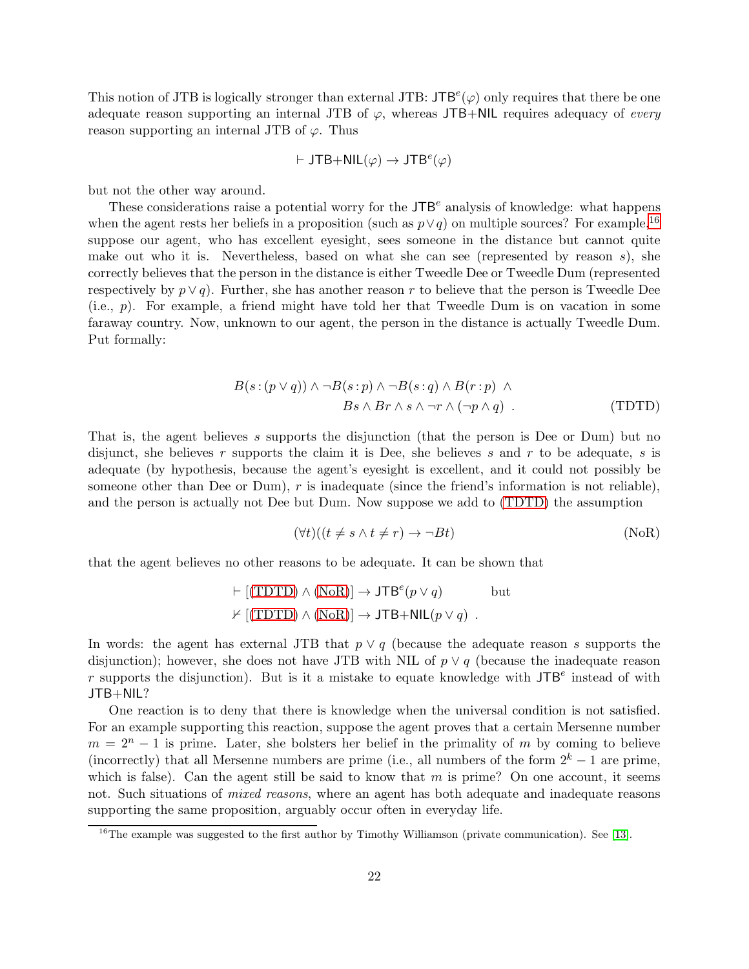This notion of JTB is logically stronger than external JTB:  $JTB<sup>e</sup>(\varphi)$  only requires that there be one adequate reason supporting an internal JTB of  $\varphi$ , whereas JTB+NIL requires adequacy of *every* reason supporting an internal JTB of  $\varphi$ . Thus

$$
\vdash \mathsf{JTB} + \mathsf{NIL}(\varphi) \to \mathsf{JTB}^e(\varphi)
$$

but not the other way around.

These considerations raise a potential worry for the  $JTB<sup>e</sup>$  analysis of knowledge: what happens when the agent rests her beliefs in a proposition (such as  $p \vee q$ ) on multiple sources? For example,<sup>[16](#page-21-0)</sup> suppose our agent, who has excellent eyesight, sees someone in the distance but cannot quite make out who it is. Nevertheless, based on what she can see (represented by reason  $s$ ), she correctly believes that the person in the distance is either Tweedle Dee or Tweedle Dum (represented respectively by  $p \vee q$ . Further, she has another reason r to believe that the person is Tweedle Dee (i.e., p). For example, a friend might have told her that Tweedle Dum is on vacation in some faraway country. Now, unknown to our agent, the person in the distance is actually Tweedle Dum. Put formally:

$$
B(s:(p\vee q))\wedge \neg B(s:p)\wedge \neg B(s:q)\wedge B(r:p)\wedge Bs\wedge Br\wedge s\wedge \neg r\wedge (\neg p\wedge q) .
$$
 (TDTD)

That is, the agent believes s supports the disjunction (that the person is Dee or Dum) but no disjunct, she believes r supports the claim it is Dee, she believes s and r to be adequate, s is adequate (by hypothesis, because the agent's eyesight is excellent, and it could not possibly be someone other than Dee or Dum),  $r$  is inadequate (since the friend's information is not reliable), and the person is actually not Dee but Dum. Now suppose we add to [\(TDTD\)](#page-21-1) the assumption

<span id="page-21-2"></span><span id="page-21-1"></span>
$$
(\forall t)((t \neq s \land t \neq r) \to \neg Bt) \tag{NoR}
$$

that the agent believes no other reasons to be adequate. It can be shown that

$$
\vdash [(TDTD) \land (NoR)] \to JTBe(p \lor q) \qquad \text{but}
$$
  
⊭ [(TDTD) 
$$
\land (NoR)] \to JTB + NIL(p \lor q) .
$$

In words: the agent has external JTB that  $p \vee q$  (because the adequate reason s supports the disjunction); however, she does not have JTB with NIL of  $p \vee q$  (because the inadequate reason r supports the disjunction). But is it a mistake to equate knowledge with  $JTB<sup>e</sup>$  instead of with JTB+NIL?

One reaction is to deny that there is knowledge when the universal condition is not satisfied. For an example supporting this reaction, suppose the agent proves that a certain Mersenne number  $m = 2<sup>n</sup> - 1$  is prime. Later, she bolsters her belief in the primality of m by coming to believe (incorrectly) that all Mersenne numbers are prime (i.e., all numbers of the form  $2^k - 1$  are prime, which is false). Can the agent still be said to know that  $m$  is prime? On one account, it seems not. Such situations of *mixed reasons*, where an agent has both adequate and inadequate reasons supporting the same proposition, arguably occur often in everyday life.

<span id="page-21-0"></span> $16$ The example was suggested to the first author by Timothy Williamson (private communication). See [\[13\]](#page-40-11).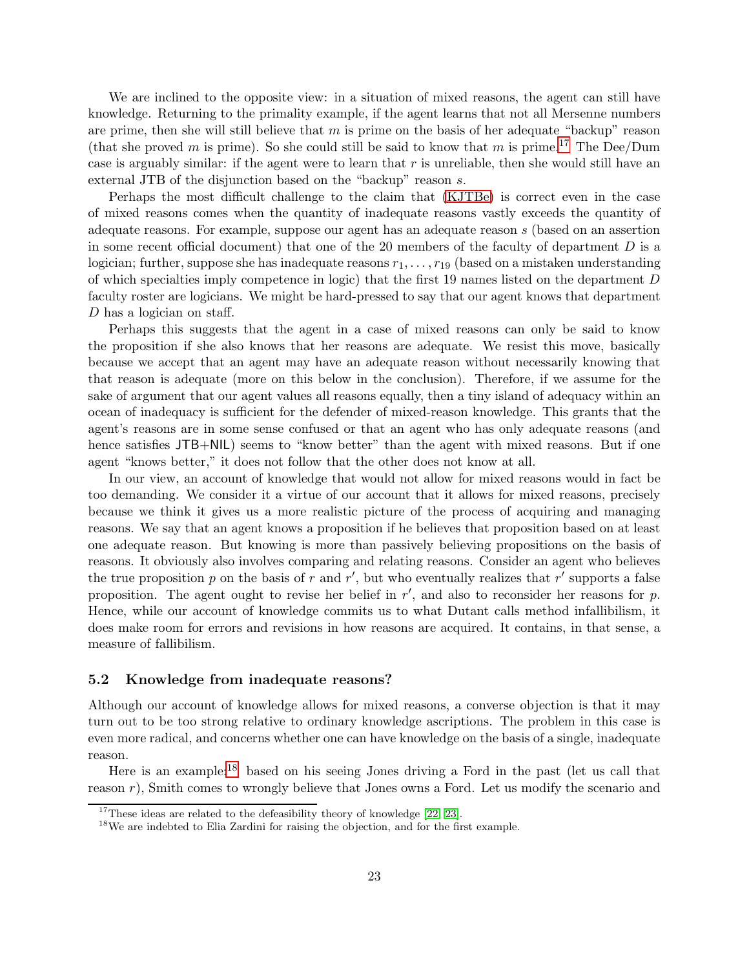We are inclined to the opposite view: in a situation of mixed reasons, the agent can still have knowledge. Returning to the primality example, if the agent learns that not all Mersenne numbers are prime, then she will still believe that  $m$  is prime on the basis of her adequate "backup" reason (that she proved m is prime). So she could still be said to know that m is prime.<sup>[17](#page-22-0)</sup> The Dee/Dum case is arguably similar: if the agent were to learn that  $r$  is unreliable, then she would still have an external JTB of the disjunction based on the "backup" reason s.

Perhaps the most difficult challenge to the claim that [\(KJTBe\)](#page-18-0) is correct even in the case of mixed reasons comes when the quantity of inadequate reasons vastly exceeds the quantity of adequate reasons. For example, suppose our agent has an adequate reason s (based on an assertion in some recent official document) that one of the 20 members of the faculty of department  $D$  is a logician; further, suppose she has inadequate reasons  $r_1, \ldots, r_{19}$  (based on a mistaken understanding of which specialties imply competence in logic) that the first 19 names listed on the department D faculty roster are logicians. We might be hard-pressed to say that our agent knows that department D has a logician on staff.

Perhaps this suggests that the agent in a case of mixed reasons can only be said to know the proposition if she also knows that her reasons are adequate. We resist this move, basically because we accept that an agent may have an adequate reason without necessarily knowing that that reason is adequate (more on this below in the conclusion). Therefore, if we assume for the sake of argument that our agent values all reasons equally, then a tiny island of adequacy within an ocean of inadequacy is sufficient for the defender of mixed-reason knowledge. This grants that the agent's reasons are in some sense confused or that an agent who has only adequate reasons (and hence satisfies  $JTB+NIL$ ) seems to "know better" than the agent with mixed reasons. But if one agent "knows better," it does not follow that the other does not know at all.

In our view, an account of knowledge that would not allow for mixed reasons would in fact be too demanding. We consider it a virtue of our account that it allows for mixed reasons, precisely because we think it gives us a more realistic picture of the process of acquiring and managing reasons. We say that an agent knows a proposition if he believes that proposition based on at least one adequate reason. But knowing is more than passively believing propositions on the basis of reasons. It obviously also involves comparing and relating reasons. Consider an agent who believes the true proposition p on the basis of r and r', but who eventually realizes that r' supports a false proposition. The agent ought to revise her belief in  $r'$ , and also to reconsider her reasons for  $p$ . Hence, while our account of knowledge commits us to what Dutant calls method infallibilism, it does make room for errors and revisions in how reasons are acquired. It contains, in that sense, a measure of fallibilism.

## 5.2 Knowledge from inadequate reasons?

Although our account of knowledge allows for mixed reasons, a converse objection is that it may turn out to be too strong relative to ordinary knowledge ascriptions. The problem in this case is even more radical, and concerns whether one can have knowledge on the basis of a single, inadequate reason.

Here is an example:[18](#page-22-1) based on his seeing Jones driving a Ford in the past (let us call that reason  $r$ ), Smith comes to wrongly believe that Jones owns a Ford. Let us modify the scenario and

 $17$ These ideas are related to the defeasibility theory of knowledge [\[22,](#page-41-17) [23\]](#page-41-18).

<span id="page-22-1"></span><span id="page-22-0"></span><sup>&</sup>lt;sup>18</sup>We are indebted to Elia Zardini for raising the objection, and for the first example.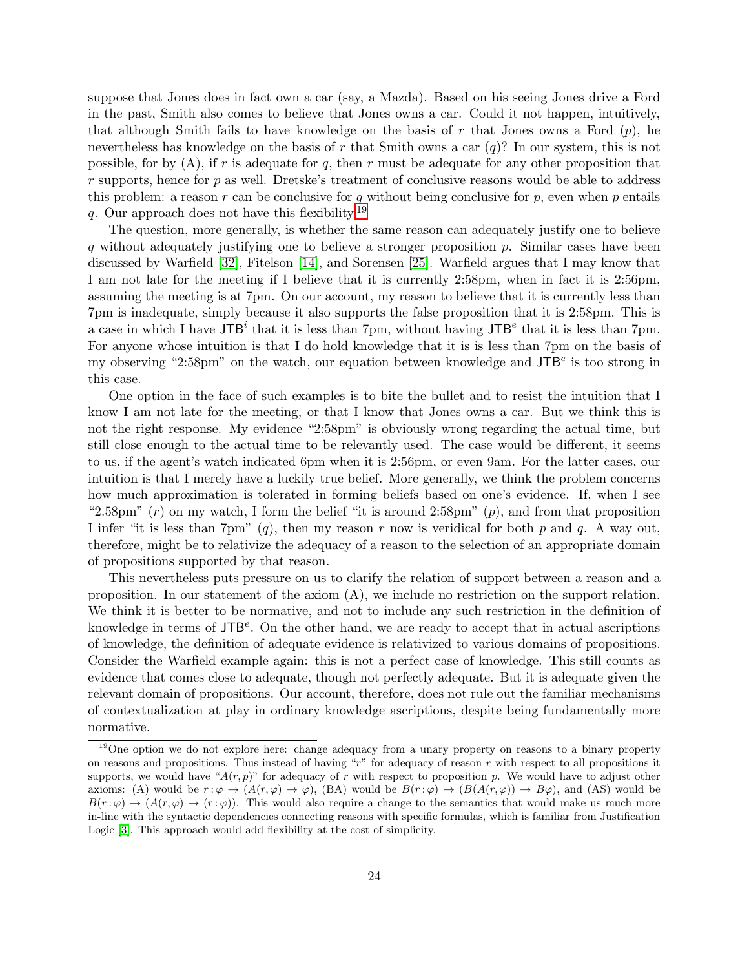suppose that Jones does in fact own a car (say, a Mazda). Based on his seeing Jones drive a Ford in the past, Smith also comes to believe that Jones owns a car. Could it not happen, intuitively, that although Smith fails to have knowledge on the basis of r that Jones owns a Ford  $(p)$ , he nevertheless has knowledge on the basis of r that Smith owns a car  $(q)$ ? In our system, this is not possible, for by  $(A)$ , if r is adequate for q, then r must be adequate for any other proposition that  $r$  supports, hence for  $p$  as well. Dretske's treatment of conclusive reasons would be able to address this problem: a reason r can be conclusive for q without being conclusive for p, even when p entails q. Our approach does not have this flexibility.<sup>[19](#page-23-0)</sup>

The question, more generally, is whether the same reason can adequately justify one to believe q without adequately justifying one to believe a stronger proposition  $p$ . Similar cases have been discussed by Warfield [\[32\]](#page-41-19), Fitelson [\[14\]](#page-40-13), and Sorensen [\[25\]](#page-41-8). Warfield argues that I may know that I am not late for the meeting if I believe that it is currently 2:58pm, when in fact it is 2:56pm, assuming the meeting is at 7pm. On our account, my reason to believe that it is currently less than 7pm is inadequate, simply because it also supports the false proposition that it is 2:58pm. This is a case in which I have JTB<sup>i</sup> that it is less than 7pm, without having JTB<sup>e</sup> that it is less than 7pm. For anyone whose intuition is that I do hold knowledge that it is is less than 7pm on the basis of my observing "2:58pm" on the watch, our equation between knowledge and  $JTB<sup>e</sup>$  is too strong in this case.

One option in the face of such examples is to bite the bullet and to resist the intuition that I know I am not late for the meeting, or that I know that Jones owns a car. But we think this is not the right response. My evidence "2:58pm" is obviously wrong regarding the actual time, but still close enough to the actual time to be relevantly used. The case would be different, it seems to us, if the agent's watch indicated 6pm when it is 2:56pm, or even 9am. For the latter cases, our intuition is that I merely have a luckily true belief. More generally, we think the problem concerns how much approximation is tolerated in forming beliefs based on one's evidence. If, when I see "2.58pm"  $(r)$  on my watch, I form the belief "it is around 2:58pm"  $(p)$ , and from that proposition I infer "it is less than  $7\text{pm}$ " (q), then my reason r now is veridical for both p and q. A way out, therefore, might be to relativize the adequacy of a reason to the selection of an appropriate domain of propositions supported by that reason.

This nevertheless puts pressure on us to clarify the relation of support between a reason and a proposition. In our statement of the axiom (A), we include no restriction on the support relation. We think it is better to be normative, and not to include any such restriction in the definition of knowledge in terms of  $JTB<sup>e</sup>$ . On the other hand, we are ready to accept that in actual ascriptions of knowledge, the definition of adequate evidence is relativized to various domains of propositions. Consider the Warfield example again: this is not a perfect case of knowledge. This still counts as evidence that comes close to adequate, though not perfectly adequate. But it is adequate given the relevant domain of propositions. Our account, therefore, does not rule out the familiar mechanisms of contextualization at play in ordinary knowledge ascriptions, despite being fundamentally more normative.

<span id="page-23-0"></span><sup>&</sup>lt;sup>19</sup>One option we do not explore here: change adequacy from a unary property on reasons to a binary property on reasons and propositions. Thus instead of having " $r$ " for adequacy of reason  $r$  with respect to all propositions it supports, we would have " $A(r, p)$ " for adequacy of r with respect to proposition p. We would have to adjust other axioms: (A) would be  $r : \varphi \to (A(r, \varphi) \to \varphi)$ , (BA) would be  $B(r : \varphi) \to (B(A(r, \varphi)) \to B\varphi)$ , and (AS) would be  $B(r : \varphi) \to (A(r, \varphi) \to (r : \varphi))$ . This would also require a change to the semantics that would make us much more in-line with the syntactic dependencies connecting reasons with specific formulas, which is familiar from Justification Logic [\[3\]](#page-40-3). This approach would add flexibility at the cost of simplicity.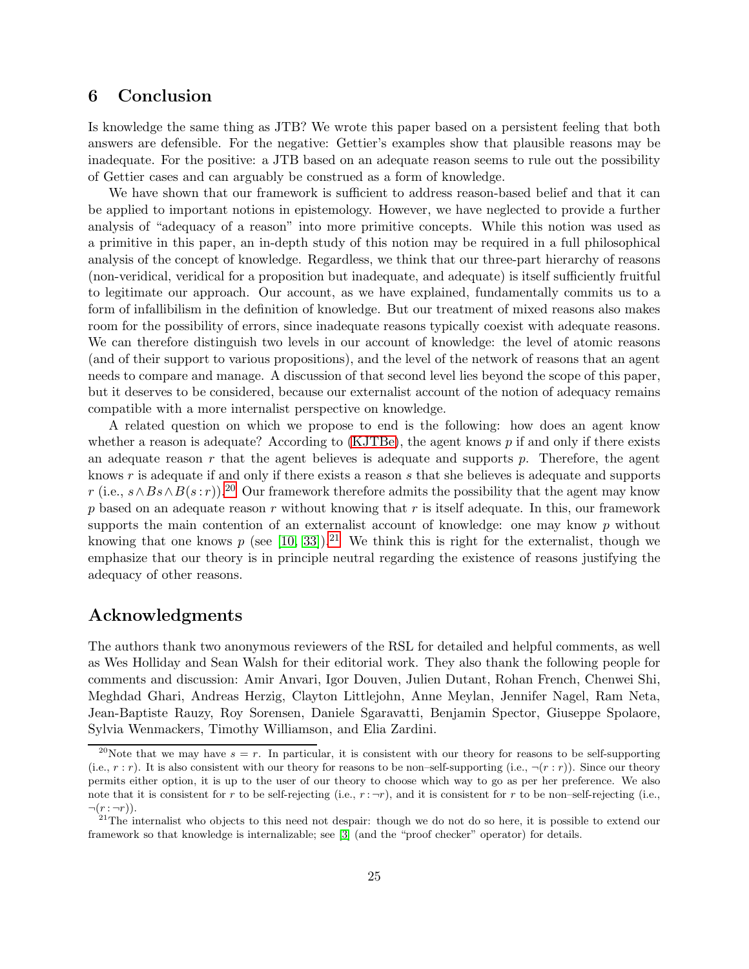## 6 Conclusion

Is knowledge the same thing as JTB? We wrote this paper based on a persistent feeling that both answers are defensible. For the negative: Gettier's examples show that plausible reasons may be inadequate. For the positive: a JTB based on an adequate reason seems to rule out the possibility of Gettier cases and can arguably be construed as a form of knowledge.

We have shown that our framework is sufficient to address reason-based belief and that it can be applied to important notions in epistemology. However, we have neglected to provide a further analysis of "adequacy of a reason" into more primitive concepts. While this notion was used as a primitive in this paper, an in-depth study of this notion may be required in a full philosophical analysis of the concept of knowledge. Regardless, we think that our three-part hierarchy of reasons (non-veridical, veridical for a proposition but inadequate, and adequate) is itself sufficiently fruitful to legitimate our approach. Our account, as we have explained, fundamentally commits us to a form of infallibilism in the definition of knowledge. But our treatment of mixed reasons also makes room for the possibility of errors, since inadequate reasons typically coexist with adequate reasons. We can therefore distinguish two levels in our account of knowledge: the level of atomic reasons (and of their support to various propositions), and the level of the network of reasons that an agent needs to compare and manage. A discussion of that second level lies beyond the scope of this paper, but it deserves to be considered, because our externalist account of the notion of adequacy remains compatible with a more internalist perspective on knowledge.

A related question on which we propose to end is the following: how does an agent know whether a reason is adequate? According to  $(KJTBe)$ , the agent knows p if and only if there exists an adequate reason  $r$  that the agent believes is adequate and supports  $p$ . Therefore, the agent knows  $r$  is adequate if and only if there exists a reason  $s$  that she believes is adequate and supports r (i.e.,  $s \wedge Bs \wedge B(s : r)$ ).<sup>[20](#page-24-0)</sup> Our framework therefore admits the possibility that the agent may know  $p$  based on an adequate reason  $r$  without knowing that  $r$  is itself adequate. In this, our framework supports the main contention of an externalist account of knowledge: one may know p without knowing that one knows p (see [\[10,](#page-40-0) [33\]](#page-41-5)).<sup>[21](#page-24-1)</sup> We think this is right for the externalist, though we emphasize that our theory is in principle neutral regarding the existence of reasons justifying the adequacy of other reasons.

## Acknowledgments

The authors thank two anonymous reviewers of the RSL for detailed and helpful comments, as well as Wes Holliday and Sean Walsh for their editorial work. They also thank the following people for comments and discussion: Amir Anvari, Igor Douven, Julien Dutant, Rohan French, Chenwei Shi, Meghdad Ghari, Andreas Herzig, Clayton Littlejohn, Anne Meylan, Jennifer Nagel, Ram Neta, Jean-Baptiste Rauzy, Roy Sorensen, Daniele Sgaravatti, Benjamin Spector, Giuseppe Spolaore, Sylvia Wenmackers, Timothy Williamson, and Elia Zardini.

<span id="page-24-0"></span><sup>&</sup>lt;sup>20</sup>Note that we may have  $s = r$ . In particular, it is consistent with our theory for reasons to be self-supporting (i.e.,  $r : r$ ). It is also consistent with our theory for reasons to be non–self-supporting (i.e.,  $\neg(r : r)$ ). Since our theory permits either option, it is up to the user of our theory to choose which way to go as per her preference. We also note that it is consistent for r to be self-rejecting (i.e.,  $r : \neg r$ ), and it is consistent for r to be non-self-rejecting (i.e.,  $\neg(r:\neg r)$ ).

<span id="page-24-1"></span> $21$ The internalist who objects to this need not despair: though we do not do so here, it is possible to extend our framework so that knowledge is internalizable; see [\[3\]](#page-40-3) (and the "proof checker" operator) for details.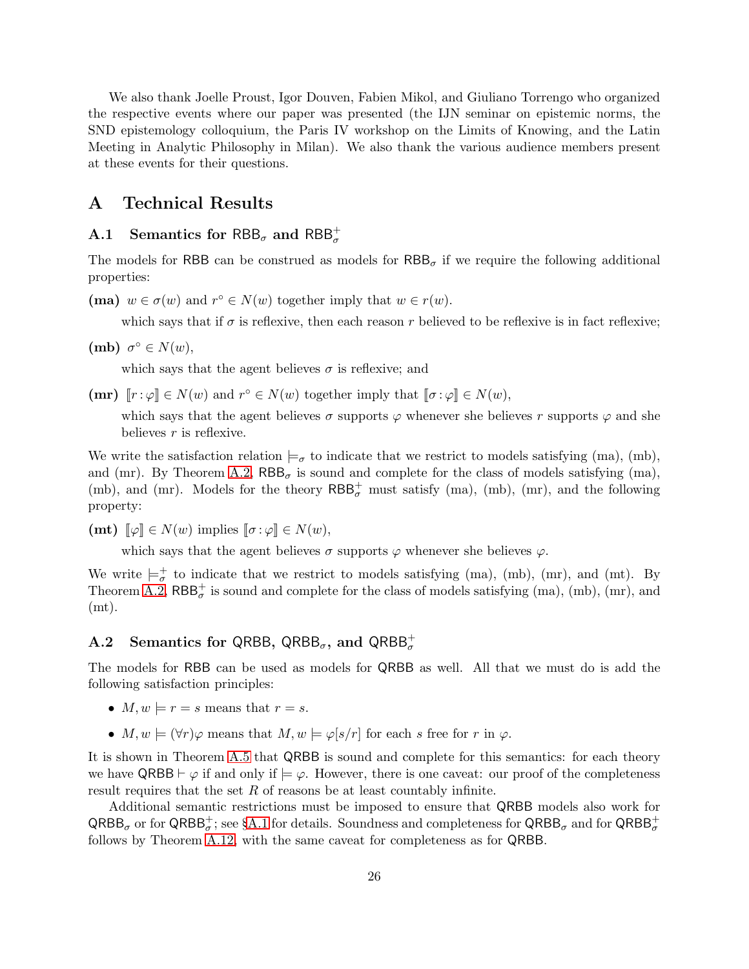We also thank Joelle Proust, Igor Douven, Fabien Mikol, and Giuliano Torrengo who organized the respective events where our paper was presented (the IJN seminar on epistemic norms, the SND epistemology colloquium, the Paris IV workshop on the Limits of Knowing, and the Latin Meeting in Analytic Philosophy in Milan). We also thank the various audience members present at these events for their questions.

## <span id="page-25-0"></span>A Technical Results

# A.1 Semantics for  $\mathsf{RBB}_\sigma$  and  $\mathsf{RBB}^+_\sigma$

The models for RBB can be construed as models for  $RBB_{\sigma}$  if we require the following additional properties:

(ma)  $w \in \sigma(w)$  and  $r^{\circ} \in N(w)$  together imply that  $w \in r(w)$ .

which says that if  $\sigma$  is reflexive, then each reason r believed to be reflexive is in fact reflexive;

(mb)  $\sigma^{\circ} \in N(w)$ ,

which says that the agent believes  $\sigma$  is reflexive; and

 $(\mathbf{m}\mathbf{r}) \ \llbracket r : \varphi \rrbracket \in N(w) \text{ and } r^{\circ} \in N(w) \text{ together imply that } \llbracket \sigma : \varphi \rrbracket \in N(w),$ 

which says that the agent believes  $\sigma$  supports  $\varphi$  whenever she believes r supports  $\varphi$  and she believes  $r$  is reflexive.

We write the satisfaction relation  $\models_{\sigma}$  to indicate that we restrict to models satisfying (ma), (mb), and (mr). By Theorem [A.2,](#page-30-0)  $RBB_{\sigma}$  is sound and complete for the class of models satisfying (ma), (mb), and (mr). Models for the theory  $RBB_{\sigma}^{+}$  must satisfy (ma), (mb), (mr), and the following property:

(**mt**)  $\llbracket \varphi \rrbracket \in N(w)$  implies  $\llbracket \sigma : \varphi \rrbracket \in N(w)$ ,

which says that the agent believes  $\sigma$  supports  $\varphi$  whenever she believes  $\varphi$ .

We write  $\models_{\sigma}^+$  to indicate that we restrict to models satisfying (ma), (mb), (mr), and (mt). By Theorem [A.2,](#page-30-0)  $RBB_{\sigma}^{+}$  is sound and complete for the class of models satisfying (ma), (mb), (mr), and (mt).

# <span id="page-25-1"></span>A.2 Semantics for QRBB, QRBB<sub> $\sigma$ </sub>, and QRBB $_{\sigma}^{+}$

The models for RBB can be used as models for QRBB as well. All that we must do is add the following satisfaction principles:

- $M, w \models r = s$  means that  $r = s$ .
- $M, w \models (\forall r) \varphi$  means that  $M, w \models \varphi[s/r]$  for each s free for r in  $\varphi$ .

It is shown in Theorem [A.5](#page-34-0) that QRBB is sound and complete for this semantics: for each theory we have  $QRBB \vdash \varphi$  if and only if  $\models \varphi$ . However, there is one caveat: our proof of the completeness result requires that the set R of reasons be at least countably infinite.

Additional semantic restrictions must be imposed to ensure that QRBB models also work for  $QRBB_{\sigma}$  or for  $QRBB_{\sigma}^+$ ; see §[A.1](#page-25-0) for details. Soundness and completeness for  $QRBB_{\sigma}$  and for  $QRBB_{\sigma}^+$ follows by Theorem [A.12,](#page-39-1) with the same caveat for completeness as for QRBB.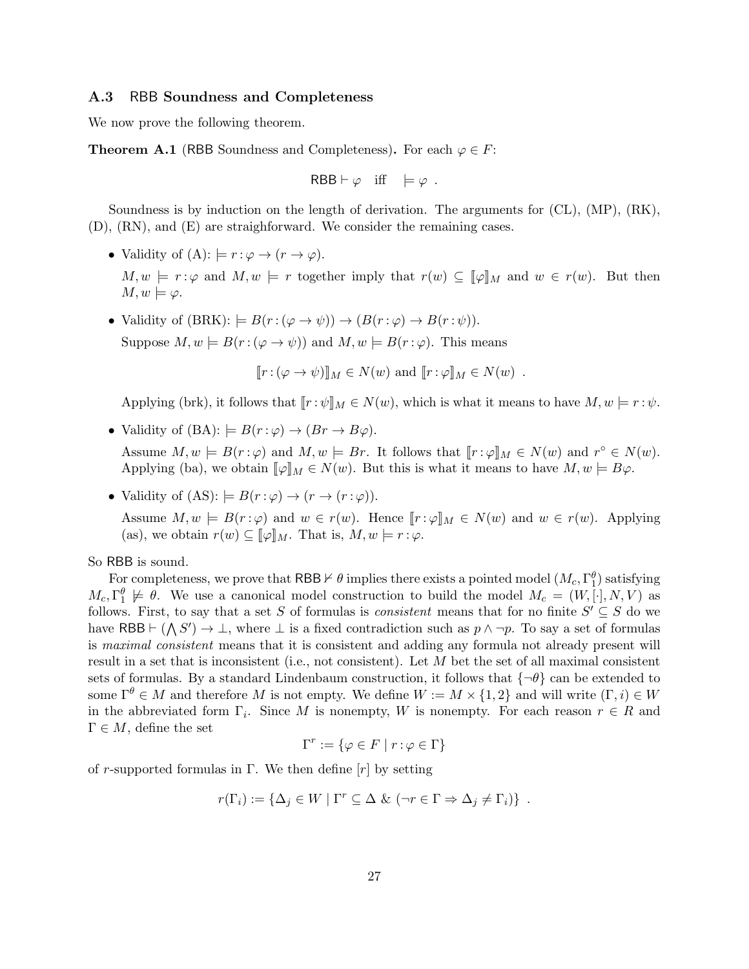## A.3 RBB Soundness and Completeness

We now prove the following theorem.

<span id="page-26-0"></span>**Theorem A.1** (RBB Soundness and Completeness). For each  $\varphi \in F$ :

$$
\mathsf{RBB} \vdash \varphi \quad \text{iff} \quad \models \varphi \; .
$$

Soundness is by induction on the length of derivation. The arguments for (CL), (MP), (RK), (D), (RN), and (E) are straighforward. We consider the remaining cases.

• Validity of  $(A)$ :  $\models r : \varphi \rightarrow (r \rightarrow \varphi)$ .

 $M, w \models r : \varphi$  and  $M, w \models r$  together imply that  $r(w) \subseteq [\varphi]_M$  and  $w \in r(w)$ . But then  $M, w \models \varphi.$ 

• Validity of  $(BRK): = B(r:(\varphi \to \psi)) \to (B(r:\varphi) \to B(r:\psi)).$ Suppose  $M, w \models B(r : (\varphi \rightarrow \psi))$  and  $M, w \models B(r : \varphi)$ . This means

 $[r:(\varphi\to\psi)]_M\in N(w)$  and  $[r:\varphi]_M\in N(w)$ .

Applying (brk), it follows that  $[[r : \psi]]_M \in N(w)$ , which is what it means to have  $M, w \models r : \psi$ .

• Validity of  $(BA)$ :  $\models B(r:\varphi) \rightarrow (Br \rightarrow B\varphi)$ .

Assume  $M, w \models B(r : \varphi)$  and  $M, w \models Br$ . It follows that  $[\![r : \varphi]\!]_M \in N(w)$  and  $r^{\circ} \in N(w)$ . Applying (ba), we obtain  $\llbracket \varphi \rrbracket_M \in N(w)$ . But this is what it means to have  $M, w \models B\varphi$ .

• Validity of  $(AS): \models B(r:\varphi) \rightarrow (r \rightarrow (r:\varphi)).$ 

Assume  $M, w \models B(r : \varphi)$  and  $w \in r(w)$ . Hence  $\llbracket r : \varphi \rrbracket_M \in N(w)$  and  $w \in r(w)$ . Applying (as), we obtain  $r(w) \subseteq \llbracket \varphi \rrbracket_M$ . That is,  $M, w \models r : \varphi$ .

So RBB is sound.

For completeness, we prove that  $\mathsf{RBB} \nvdash \theta$  implies there exists a pointed model  $(M_c, \Gamma_1^{\theta})$  satisfying  $M_c, \Gamma_1^{\theta} \not\models \theta$ . We use a canonical model construction to build the model  $M_c = (W, [\cdot], N, V)$  as follows. First, to say that a set S of formulas is *consistent* means that for no finite  $S' \subseteq S$  do we have RBB  $\vdash (\bigwedge S') \to \bot$ , where  $\bot$  is a fixed contradiction such as  $p \land \neg p$ . To say a set of formulas is *maximal consistent* means that it is consistent and adding any formula not already present will result in a set that is inconsistent (i.e., not consistent). Let M bet the set of all maximal consistent sets of formulas. By a standard Lindenbaum construction, it follows that  $\{\neg \theta\}$  can be extended to some  $\Gamma^{\theta} \in M$  and therefore M is not empty. We define  $W := M \times \{1,2\}$  and will write  $(\Gamma, i) \in W$ in the abbreviated form  $\Gamma_i$ . Since M is nonempty, W is nonempty. For each reason  $r \in R$  and  $\Gamma \in M$ , define the set

$$
\Gamma^r := \{ \varphi \in F \mid r : \varphi \in \Gamma \}
$$

of r-supported formulas in Γ. We then define  $[r]$  by setting

$$
r(\Gamma_i) := \{ \Delta_j \in W \mid \Gamma^r \subseteq \Delta \& (\neg r \in \Gamma \Rightarrow \Delta_j \neq \Gamma_i) \} .
$$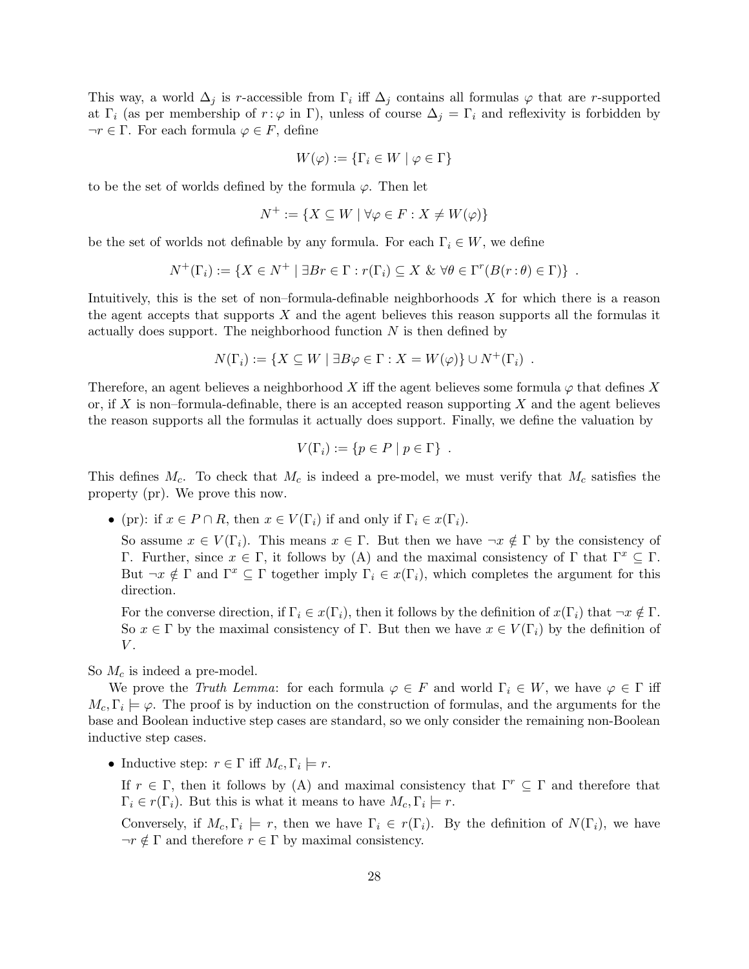This way, a world  $\Delta_j$  is r-accessible from  $\Gamma_i$  iff  $\Delta_j$  contains all formulas  $\varphi$  that are r-supported at  $\Gamma_i$  (as per membership of  $r : \varphi$  in  $\Gamma$ ), unless of course  $\Delta_j = \Gamma_i$  and reflexivity is forbidden by  $\neg r \in \Gamma$ . For each formula  $\varphi \in F$ , define

$$
W(\varphi) := \{ \Gamma_i \in W \mid \varphi \in \Gamma \}
$$

to be the set of worlds defined by the formula  $\varphi$ . Then let

$$
N^+ := \{ X \subseteq W \mid \forall \varphi \in F : X \neq W(\varphi) \}
$$

be the set of worlds not definable by any formula. For each  $\Gamma_i \in W$ , we define

$$
N^+(\Gamma_i) := \{ X \in N^+ \mid \exists Br \in \Gamma : r(\Gamma_i) \subseteq X \& \forall \theta \in \Gamma^r(B(r:\theta) \in \Gamma) \} .
$$

Intuitively, this is the set of non–formula-definable neighborhoods  $X$  for which there is a reason the agent accepts that supports  $X$  and the agent believes this reason supports all the formulas it actually does support. The neighborhood function  $N$  is then defined by

$$
N(\Gamma_i) := \{ X \subseteq W \mid \exists B\varphi \in \Gamma : X = W(\varphi) \} \cup N^+(\Gamma_i) .
$$

Therefore, an agent believes a neighborhood X iff the agent believes some formula  $\varphi$  that defines X or, if X is non–formula-definable, there is an accepted reason supporting X and the agent believes the reason supports all the formulas it actually does support. Finally, we define the valuation by

$$
V(\Gamma_i) := \{ p \in P \mid p \in \Gamma \} .
$$

This defines  $M_c$ . To check that  $M_c$  is indeed a pre-model, we must verify that  $M_c$  satisfies the property (pr). We prove this now.

• (pr): if  $x \in P \cap R$ , then  $x \in V(\Gamma_i)$  if and only if  $\Gamma_i \in x(\Gamma_i)$ .

So assume  $x \in V(\Gamma_i)$ . This means  $x \in \Gamma$ . But then we have  $\neg x \notin \Gamma$  by the consistency of Γ. Further, since  $x \in \Gamma$ , it follows by (A) and the maximal consistency of Γ that  $\Gamma^x \subseteq \Gamma$ . But  $\neg x \notin \Gamma$  and  $\Gamma^x \subseteq \Gamma$  together imply  $\Gamma_i \in x(\Gamma_i)$ , which completes the argument for this direction.

For the converse direction, if  $\Gamma_i \in x(\Gamma_i)$ , then it follows by the definition of  $x(\Gamma_i)$  that  $\neg x \notin \Gamma$ . So  $x \in \Gamma$  by the maximal consistency of  $\Gamma$ . But then we have  $x \in V(\Gamma_i)$  by the definition of  $V$ .

So  $M_c$  is indeed a pre-model.

We prove the *Truth Lemma*: for each formula  $\varphi \in F$  and world  $\Gamma_i \in W$ , we have  $\varphi \in \Gamma$  iff  $M_c, \Gamma_i \models \varphi$ . The proof is by induction on the construction of formulas, and the arguments for the base and Boolean inductive step cases are standard, so we only consider the remaining non-Boolean inductive step cases.

• Inductive step:  $r \in \Gamma$  iff  $M_c, \Gamma_i \models r$ .

If  $r \in \Gamma$ , then it follows by (A) and maximal consistency that  $\Gamma^r \subseteq \Gamma$  and therefore that  $\Gamma_i \in r(\Gamma_i)$ . But this is what it means to have  $M_c, \Gamma_i \models r$ .

Conversely, if  $M_c, \Gamma_i \models r$ , then we have  $\Gamma_i \in r(\Gamma_i)$ . By the definition of  $N(\Gamma_i)$ , we have  $\neg r \notin \Gamma$  and therefore  $r \in \Gamma$  by maximal consistency.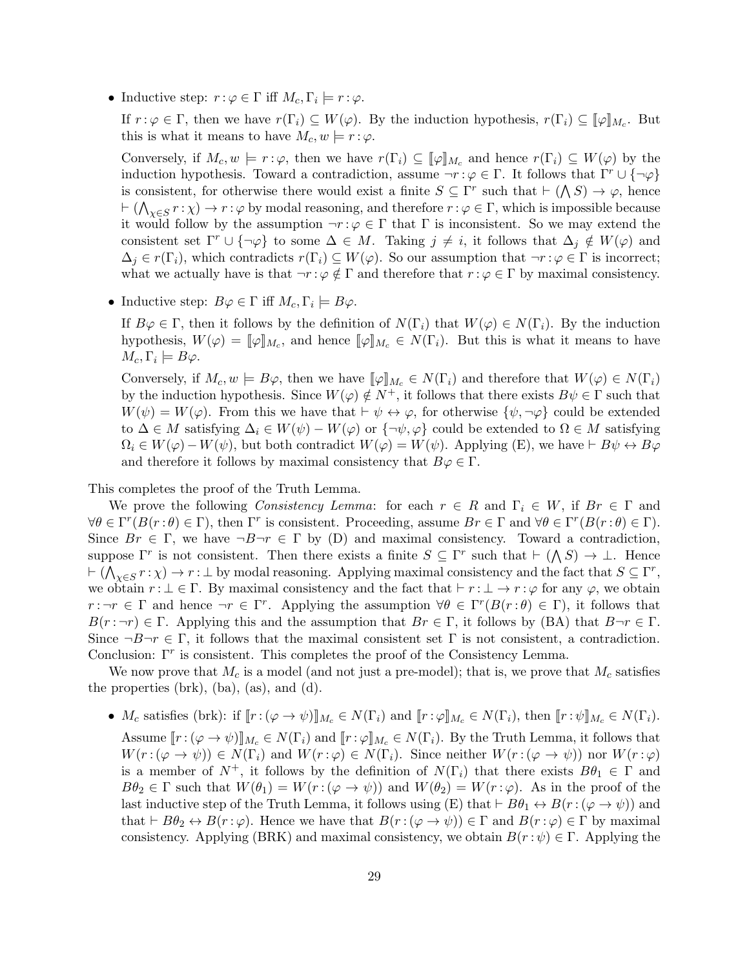• Inductive step:  $r : \varphi \in \Gamma$  iff  $M_c, \Gamma_i \models r : \varphi$ .

If  $r: \varphi \in \Gamma$ , then we have  $r(\Gamma_i) \subseteq W(\varphi)$ . By the induction hypothesis,  $r(\Gamma_i) \subseteq [\varphi]_{M_c}$ . But this is what it means to have  $M_c, w \models r : \varphi$ .

Conversely, if  $M_c, w \models r : \varphi$ , then we have  $r(\Gamma_i) \subseteq [\varphi]_{M_c}$  and hence  $r(\Gamma_i) \subseteq W(\varphi)$  by the induction hypothesis. Toward a contradiction, assume  $\neg r : \varphi \in \Gamma$ . It follows that  $\Gamma^r \cup {\neg \varphi}$ is consistent, for otherwise there would exist a finite  $S \subseteq \Gamma^r$  such that  $\vdash (\bigwedge S) \to \varphi$ , hence  $\vdash (\bigwedge_{\chi \in S} r : \chi) \to r : \varphi$  by modal reasoning, and therefore  $r : \varphi \in \Gamma$ , which is impossible because it would follow by the assumption  $\neg r : \varphi \in \Gamma$  that  $\Gamma$  is inconsistent. So we may extend the consistent set  $\Gamma^r \cup \{\neg \varphi\}$  to some  $\Delta \in M$ . Taking  $j \neq i$ , it follows that  $\Delta_j \notin W(\varphi)$  and  $\Delta_j \in r(\Gamma_i)$ , which contradicts  $r(\Gamma_i) \subseteq W(\varphi)$ . So our assumption that  $\neg r : \varphi \in \Gamma$  is incorrect; what we actually have is that  $\neg r : \varphi \notin \Gamma$  and therefore that  $r : \varphi \in \Gamma$  by maximal consistency.

• Inductive step:  $B\varphi \in \Gamma$  iff  $M_c, \Gamma_i \models B\varphi$ .

If  $B\varphi \in \Gamma$ , then it follows by the definition of  $N(\Gamma_i)$  that  $W(\varphi) \in N(\Gamma_i)$ . By the induction hypothesis,  $W(\varphi) = [\![\varphi]\!]_{M_c}$ , and hence  $[\![\varphi]\!]_{M_c} \in N(\Gamma_i)$ . But this is what it means to have  $M_c, \Gamma_i \models B\varphi.$ 

Conversely, if  $M_c, w \models B\varphi$ , then we have  $[\varphi]_{M_c} \in N(\Gamma_i)$  and therefore that  $W(\varphi) \in N(\Gamma_i)$ by the induction hypothesis. Since  $W(\varphi) \notin N^+$ , it follows that there exists  $B\psi \in \Gamma$  such that  $W(\psi) = W(\varphi)$ . From this we have that  $\vdash \psi \leftrightarrow \varphi$ , for otherwise  $\{\psi, \neg \varphi\}$  could be extended to  $\Delta \in M$  satisfying  $\Delta_i \in W(\psi) - W(\varphi)$  or  $\{\neg \psi, \varphi\}$  could be extended to  $\Omega \in M$  satisfying  $\Omega_i \in W(\varphi) - W(\psi)$ , but both contradict  $W(\varphi) = W(\psi)$ . Applying (E), we have  $\vdash B\psi \leftrightarrow B\varphi$ and therefore it follows by maximal consistency that  $B\varphi \in \Gamma$ .

This completes the proof of the Truth Lemma.

We prove the following *Consistency Lemma*: for each  $r \in R$  and  $\Gamma_i \in W$ , if  $Br \in \Gamma$  and  $\forall \theta \in \Gamma^r(B(r:\theta) \in \Gamma)$ , then  $\Gamma^r$  is consistent. Proceeding, assume  $Br \in \Gamma$  and  $\forall \theta \in \Gamma^r(B(r:\theta) \in \Gamma)$ . Since  $Br \in \Gamma$ , we have  $\neg B\neg r \in \Gamma$  by (D) and maximal consistency. Toward a contradiction, suppose  $\Gamma^r$  is not consistent. Then there exists a finite  $S \subseteq \Gamma^r$  such that  $\vdash (\bigwedge S) \to \bot$ . Hence  $\vdash (\bigwedge_{\chi \in S} r : \chi) \to r : \bot$  by modal reasoning. Applying maximal consistency and the fact that  $S \subseteq \Gamma^r$ , we obtain  $r : \bot \in \Gamma$ . By maximal consistency and the fact that  $\vdash r : \bot \to r : \varphi$  for any  $\varphi$ , we obtain  $r : \neg r \in \Gamma$  and hence  $\neg r \in \Gamma^r$ . Applying the assumption  $\forall \theta \in \Gamma^r(B(r : \theta) \in \Gamma)$ , it follows that  $B(r : \neg r) \in \Gamma$ . Applying this and the assumption that  $Br \in \Gamma$ , it follows by (BA) that  $B \neg r \in \Gamma$ . Since  $\neg B\neg r \in \Gamma$ , it follows that the maximal consistent set  $\Gamma$  is not consistent, a contradiction. Conclusion:  $\Gamma^r$  is consistent. This completes the proof of the Consistency Lemma.

We now prove that  $M_c$  is a model (and not just a pre-model); that is, we prove that  $M_c$  satisfies the properties (brk), (ba), (as), and (d).

•  $M_c$  satisfies (brk): if  $[r:(\varphi \to \psi)]_{M_c} \in N(\Gamma_i)$  and  $[r:\varphi]_{M_c} \in N(\Gamma_i)$ , then  $[r:\psi]_{M_c} \in N(\Gamma_i)$ .

Assume  $[r:(\varphi\to\psi)]_{M_c}\in N(\Gamma_i)$  and  $[r:\varphi]_{M_c}\in N(\Gamma_i)$ . By the Truth Lemma, it follows that  $W(r:(\varphi \to \psi)) \in N(\Gamma_i)$  and  $W(r:\varphi) \in N(\Gamma_i)$ . Since neither  $W(r:(\varphi \to \psi))$  nor  $W(r:\varphi)$ is a member of  $N^+$ , it follows by the definition of  $N(\Gamma_i)$  that there exists  $B\theta_1 \in \Gamma$  and  $B\theta_2 \in \Gamma$  such that  $W(\theta_1) = W(r:(\varphi \to \psi))$  and  $W(\theta_2) = W(r:\varphi)$ . As in the proof of the last inductive step of the Truth Lemma, it follows using (E) that  $\vdash B\theta_1 \leftrightarrow B(r:(\varphi \rightarrow \psi))$  and that  $\vdash B\theta_2 \leftrightarrow B(r:\varphi)$ . Hence we have that  $B(r:(\varphi \rightarrow \psi)) \in \Gamma$  and  $B(r:\varphi) \in \Gamma$  by maximal consistency. Applying (BRK) and maximal consistency, we obtain  $B(r : \psi) \in \Gamma$ . Applying the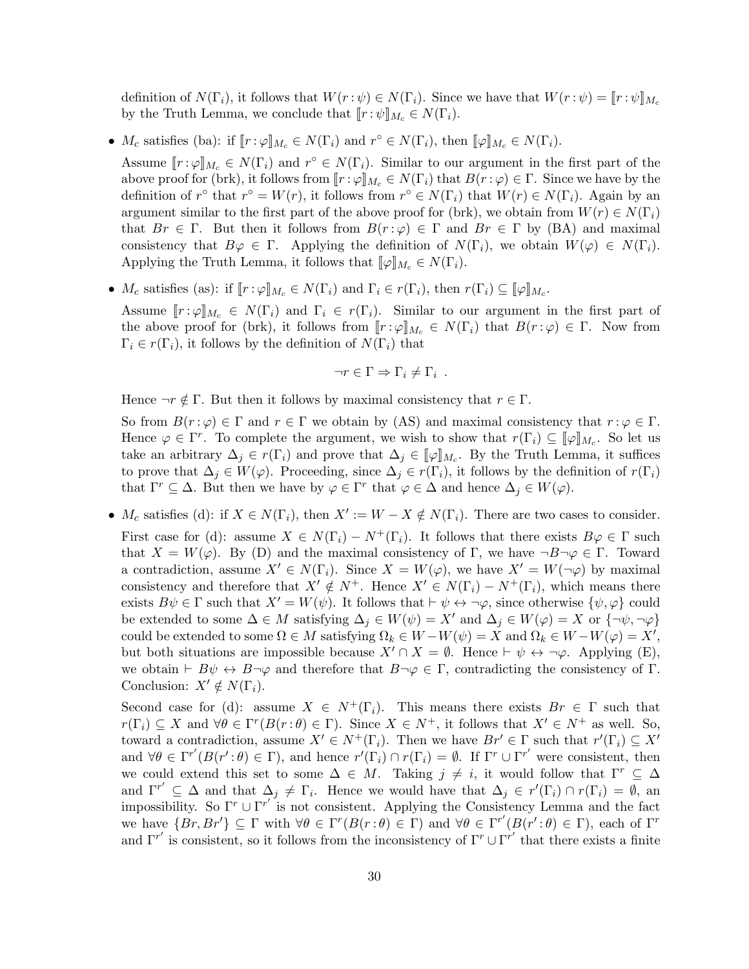definition of  $N(\Gamma_i)$ , it follows that  $W(r:\psi) \in N(\Gamma_i)$ . Since we have that  $W(r:\psi) = [r:\psi]_{M_c}$ by the Truth Lemma, we conclude that  $[r : \psi]_{M_c} \in N(\Gamma_i)$ .

•  $M_c$  satisfies (ba): if  $[\![r:\varphi]\!]_{M_c} \in N(\Gamma_i)$  and  $r^{\circ} \in N(\Gamma_i)$ , then  $[\![\varphi]\!]_{M_c} \in N(\Gamma_i)$ .

Assume  $[\![r:\varphi]\!]_{M_c} \in N(\Gamma_i)$  and  $r^{\circ} \in N(\Gamma_i)$ . Similar to our argument in the first part of the above proof for (brk), it follows from  $[r : \varphi]_{M_c} \in N(\Gamma_i)$  that  $B(r : \varphi) \in \Gamma$ . Since we have by the definition of  $r^{\circ}$  that  $r^{\circ} = W(r)$ , it follows from  $r^{\circ} \in N(\Gamma_i)$  that  $W(r) \in N(\Gamma_i)$ . Again by an argument similar to the first part of the above proof for (brk), we obtain from  $W(r) \in N(\Gamma_i)$ that  $Br \in \Gamma$ . But then it follows from  $B(r:\varphi) \in \Gamma$  and  $Br \in \Gamma$  by (BA) and maximal consistency that  $B\varphi \in \Gamma$ . Applying the definition of  $N(\Gamma_i)$ , we obtain  $W(\varphi) \in N(\Gamma_i)$ . Applying the Truth Lemma, it follows that  $\llbracket \varphi \rrbracket_{M_c} \in N(\Gamma_i)$ .

•  $M_c$  satisfies (as): if  $[r:\varphi]_{M_c} \in N(\Gamma_i)$  and  $\Gamma_i \in r(\Gamma_i)$ , then  $r(\Gamma_i) \subseteq [\varphi]_{M_c}$ .

Assume  $[r:\varphi]_{M_c} \in N(\Gamma_i)$  and  $\Gamma_i \in r(\Gamma_i)$ . Similar to our argument in the first part of the above proof for (brk), it follows from  $[r:\varphi]_{M_c} \in N(\Gamma_i)$  that  $B(r:\varphi) \in \Gamma$ . Now from  $\Gamma_i \in r(\Gamma_i)$ , it follows by the definition of  $N(\Gamma_i)$  that

$$
\neg r \in \Gamma \Rightarrow \Gamma_i \neq \Gamma_i .
$$

Hence  $\neg r \notin \Gamma$ . But then it follows by maximal consistency that  $r \in \Gamma$ .

So from  $B(r:\varphi) \in \Gamma$  and  $r \in \Gamma$  we obtain by (AS) and maximal consistency that  $r:\varphi \in \Gamma$ . Hence  $\varphi \in \Gamma^r$ . To complete the argument, we wish to show that  $r(\Gamma_i) \subseteq [\![\varphi]\!]_{M_c}$ . So let us take an arbitrary  $\Delta_j \in r(\Gamma_i)$  and prove that  $\Delta_j \in [\![\varphi]\!]_{M_c}$ . By the Truth Lemma, it suffices to prove that  $\Delta_j \in W(\varphi)$ . Proceeding, since  $\Delta_j \in r(\Gamma_i)$ , it follows by the definition of  $r(\Gamma_i)$ that  $\Gamma^r \subseteq \Delta$ . But then we have by  $\varphi \in \Gamma^r$  that  $\varphi \in \Delta$  and hence  $\Delta_j \in W(\varphi)$ .

•  $M_c$  satisfies (d): if  $X \in N(\Gamma_i)$ , then  $X' := W - X \notin N(\Gamma_i)$ . There are two cases to consider. First case for (d): assume  $X \in N(\Gamma_i) - N^+(\Gamma_i)$ . It follows that there exists  $B\varphi \in \Gamma$  such that  $X = W(\varphi)$ . By (D) and the maximal consistency of Γ, we have  $\neg B\neg \varphi \in \Gamma$ . Toward a contradiction, assume  $X' \in N(\Gamma_i)$ . Since  $X = W(\varphi)$ , we have  $X' = W(\neg \varphi)$  by maximal consistency and therefore that  $X' \notin N^+$ . Hence  $X' \in N(\Gamma_i) - N^+(\Gamma_i)$ , which means there exists  $B\psi \in \Gamma$  such that  $X' = W(\psi)$ . It follows that  $\vdash \psi \leftrightarrow \neg \varphi$ , since otherwise  $\{\psi, \varphi\}$  could be extended to some  $\Delta \in M$  satisfying  $\Delta_j \in W(\psi) = X'$  and  $\Delta_j \in W(\varphi) = X$  or  $\{\neg \psi, \neg \varphi\}$  $\text{could be extended to some }\Omega\in M\text{ satisfying }\Omega_k\in W-W(\psi)=\overset{\circ}{X} \text{ and }\Omega_k\in W-W(\varphi)=X',$ but both situations are impossible because  $X' \cap X = \emptyset$ . Hence  $\vdash \psi \leftrightarrow \neg \varphi$ . Applying (E), we obtain  $\vdash B\psi \leftrightarrow B\neg\varphi$  and therefore that  $B\neg\varphi \in \Gamma$ , contradicting the consistency of  $\Gamma$ . Conclusion:  $X' \notin N(\Gamma_i)$ .

Second case for (d): assume  $X \in N^+(\Gamma_i)$ . This means there exists  $Br \in \Gamma$  such that  $r(\Gamma_i) \subseteq X$  and  $\forall \theta \in \Gamma^r(B(r:\theta) \in \Gamma)$ . Since  $X \in N^+$ , it follows that  $X' \in N^+$  as well. So, toward a contradiction, assume  $X' \in N^+(\Gamma_i)$ . Then we have  $Br' \in \Gamma$  such that  $r'(\Gamma_i) \subseteq X'$ and  $\forall \theta \in \Gamma^{r'}(B(r';\theta) \in \Gamma)$ , and hence  $r'(\Gamma_i) \cap r(\Gamma_i) = \emptyset$ . If  $\Gamma^r \cup \Gamma^{r'}$  were consistent, then we could extend this set to some  $\Delta \in M$ . Taking  $j \neq i$ , it would follow that  $\Gamma^r \subseteq \Delta$ and  $\Gamma^{r'} \subseteq \Delta$  and that  $\Delta_j \neq \Gamma_i$ . Hence we would have that  $\Delta_j \in r'(\Gamma_i) \cap r(\Gamma_i) = \emptyset$ , and impossibility. So  $\Gamma^r \cup \Gamma^{r'}$  is not consistent. Applying the Consistency Lemma and the fact we have  $\{Br, Br'\} \subseteq \Gamma$  with  $\forall \theta \in \Gamma^r(B(r:\theta) \in \Gamma)$  and  $\forall \theta \in \Gamma^{r'}(B(r':\theta) \in \Gamma)$ , each of  $\Gamma^r$ and  $\Gamma^{r'}$  is consistent, so it follows from the inconsistency of  $\Gamma^r \cup \Gamma^{r'}$  that there exists a finite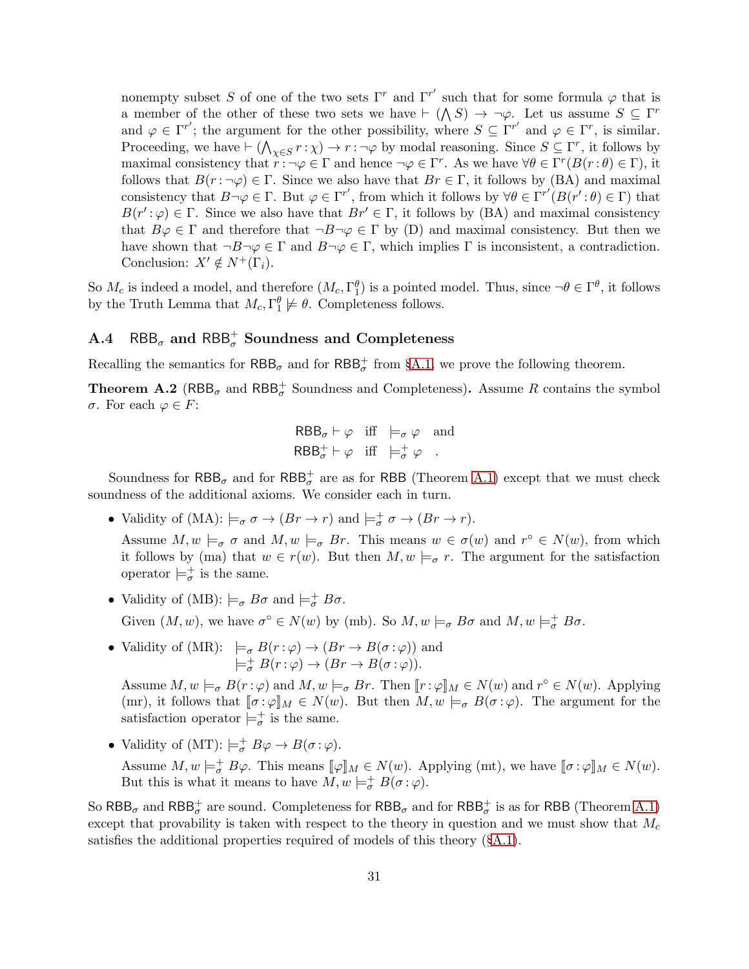nonempty subset S of one of the two sets  $\Gamma^r$  and  $\Gamma^{r'}$  such that for some formula  $\varphi$  that is a member of the other of these two sets we have  $\vdash (\bigwedge S) \rightarrow \neg \varphi$ . Let us assume  $S \subseteq \Gamma^r$ and  $\varphi \in \Gamma^{r'}$ ; the argument for the other possibility, where  $S \subseteq \Gamma^{r'}$  and  $\varphi \in \Gamma^{r}$ , is similar. Proceeding, we have  $\vdash (\bigwedge_{\chi \in S} r : \chi) \to r : \neg \varphi$  by modal reasoning. Since  $S \subseteq \Gamma^r$ , it follows by maximal consistency that  $r : \neg \varphi \in \Gamma$  and hence  $\neg \varphi \in \Gamma^r$ . As we have  $\forall \theta \in \Gamma^r(B(r : \theta) \in \Gamma)$ , it follows that  $B(r: \neg \varphi) \in \Gamma$ . Since we also have that  $Br \in \Gamma$ , it follows by (BA) and maximal consistency that  $B\neg\varphi \in \Gamma$ . But  $\varphi \in \Gamma^{r'}$ , from which it follows by  $\forall \theta \in \Gamma^{r'}(B(r';\theta) \in \Gamma)$  that  $B(r';\varphi) \in \Gamma$ . Since we also have that  $Br' \in \Gamma$ , it follows by (BA) and maximal consistency that  $B\varphi \in \Gamma$  and therefore that  $\neg B\neg \varphi \in \Gamma$  by (D) and maximal consistency. But then we have shown that  $\neg B\neg \varphi \in \Gamma$  and  $B\neg \varphi \in \Gamma$ , which implies  $\Gamma$  is inconsistent, a contradiction. Conclusion:  $X' \notin N^+(\Gamma_i)$ .

So  $M_c$  is indeed a model, and therefore  $(M_c, \Gamma_1^{\theta})$  is a pointed model. Thus, since  $\neg \theta \in \Gamma^{\theta}$ , it follows by the Truth Lemma that  $M_c, \Gamma_1^{\theta} \not\models \theta$ . Completeness follows.

# A.4 RBB<sub> $\sigma$ </sub> and RBB<sup>+</sup></sup> Soundness and Completeness

Recalling the semantics for  $RBB_{\sigma}$  and for  $RBB_{\sigma}^+$  from §[A.1,](#page-25-0) we prove the following theorem.

<span id="page-30-0"></span>**Theorem A.2** (RBB<sub> $\sigma$ </sub> and RBB<sup>+</sup><sub> $\sigma$ </sub> Soundness and Completeness). Assume R contains the symbol σ. For each ϕ ∈ F:

$$
RBB_{\sigma} \vdash \varphi \quad \text{iff} \quad \models_{\sigma} \varphi \quad \text{and}
$$
  

$$
RBB_{\sigma}^{+} \vdash \varphi \quad \text{iff} \quad \models_{\sigma}^{+} \varphi \quad .
$$

Soundness for  $\mathsf{RBB}_\sigma$  and for  $\mathsf{RBB}^+_\sigma$  are as for RBB (Theorem [A.1\)](#page-26-0) except that we must check soundness of the additional axioms. We consider each in turn.

• Validity of (MA):  $\models_{\sigma} \sigma \rightarrow (Br \rightarrow r)$  and  $\models_{\sigma}^+ \sigma \rightarrow (Br \rightarrow r)$ .

Assume  $M, w \models_{\sigma} \sigma$  and  $M, w \models_{\sigma} \vartheta r$ . This means  $w \in \sigma(w)$  and  $r^{\circ} \in N(w)$ , from which it follows by (ma) that  $w \in r(w)$ . But then  $M, w \models_{\sigma} r$ . The argument for the satisfaction operator  $\models_{\sigma}^+$  is the same.

• Validity of (MB):  $\models_{\sigma} B\sigma$  and  $\models_{\sigma}^+ B\sigma$ .

Given  $(M, w)$ , we have  $\sigma^{\circ} \in N(w)$  by (mb). So  $M, w \models_{\sigma} B\sigma$  and  $M, w \models_{\sigma}^{\dagger} B\sigma$ .

• Validity of (MR):  $\models_{\sigma} B(r:\varphi) \to (Br \to B(\sigma:\varphi))$  and  $\models_{\sigma}^+ B(r:\varphi) \to (Br \to B(\sigma:\varphi)).$ 

Assume  $M, w \models_{\sigma} B(r : \varphi)$  and  $M, w \models_{\sigma} Br$ . Then  $\llbracket r : \varphi \rrbracket_M \in N(w)$  and  $r^{\circ} \in N(w)$ . Applying (mr), it follows that  $[\![\sigma:\varphi]\!]_M \in N(w)$ . But then  $M, w \models_{\sigma} B(\sigma:\varphi)$ . The argument for the satisfaction operator  $\models_{\sigma}^+$  is the same.

• Validity of (MT):  $\models_{\sigma}^+ B\varphi \to B(\sigma:\varphi)$ .

Assume  $M, w \models_{\sigma}^{\perp} B\varphi$ . This means  $[\![\varphi]\!]_M \in N(w)$ . Applying (mt), we have  $[\![\sigma : \varphi]\!]_M \in N(w)$ . But this is what it means to have  $M, w \models^+_{\sigma} B(\sigma : \varphi)$ .

So  $RBB_{\sigma}$  and  $RBB_{\sigma}^+$  are sound. Completeness for  $RBB_{\sigma}$  and for  $RBB_{\sigma}^+$  is as for RBB (Theorem [A.1\)](#page-26-0) except that provability is taken with respect to the theory in question and we must show that  $M_c$ satisfies the additional properties required of models of this theory (§[A.1\)](#page-25-0).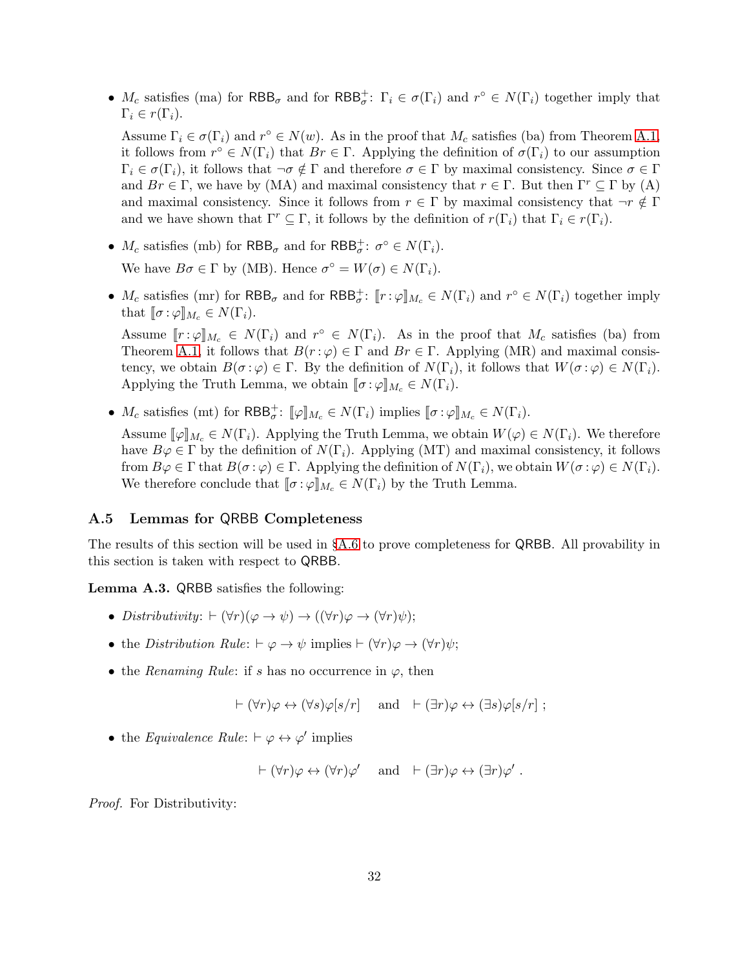•  $M_c$  satisfies (ma) for  $RBB_{\sigma}$  and for  $RBB_{\sigma}^{\dagger}$ :  $\Gamma_i \in \sigma(\Gamma_i)$  and  $r^{\circ} \in N(\Gamma_i)$  together imply that  $\Gamma_i \in r(\Gamma_i).$ 

Assume  $\Gamma_i \in \sigma(\Gamma_i)$  and  $r^{\circ} \in N(w)$ . As in the proof that  $M_c$  satisfies (ba) from Theorem [A.1,](#page-26-0) it follows from  $r^{\circ} \in N(\Gamma_i)$  that  $Br \in \Gamma$ . Applying the definition of  $\sigma(\Gamma_i)$  to our assumption  $\Gamma_i \in \sigma(\Gamma_i)$ , it follows that  $\neg \sigma \notin \Gamma$  and therefore  $\sigma \in \Gamma$  by maximal consistency. Since  $\sigma \in \Gamma$ and  $Br \in \Gamma$ , we have by (MA) and maximal consistency that  $r \in \Gamma$ . But then  $\Gamma^r \subseteq \Gamma$  by (A) and maximal consistency. Since it follows from  $r \in \Gamma$  by maximal consistency that  $\neg r \notin \Gamma$ and we have shown that  $\Gamma^r \subseteq \Gamma$ , it follows by the definition of  $r(\Gamma_i)$  that  $\Gamma_i \in r(\Gamma_i)$ .

- $M_c$  satisfies (mb) for  $RBB_\sigma$  and for  $RBB_\sigma^+$ :  $\sigma^\circ \in N(\Gamma_i)$ . We have  $B\sigma \in \Gamma$  by (MB). Hence  $\sigma^{\circ} = W(\sigma) \in N(\Gamma_i)$ .
- $M_c$  satisfies (mr) for  $RBB_{\sigma}$  and for  $RBB_{\sigma}^{\dagger}$ :  $[[r:\varphi]]_{M_c} \in N(\Gamma_i)$  and  $r^{\circ} \in N(\Gamma_i)$  together imply that  $\llbracket \sigma : \varphi \rrbracket_{M_c} \in N(\Gamma_i).$

Assume  $[r:\varphi]_{M_c} \in N(\Gamma_i)$  and  $r^{\circ} \in N(\Gamma_i)$ . As in the proof that  $M_c$  satisfies (ba) from Theorem [A.1,](#page-26-0) it follows that  $B(r : \varphi) \in \Gamma$  and  $Br \in \Gamma$ . Applying (MR) and maximal consistency, we obtain  $B(\sigma : \varphi) \in \Gamma$ . By the definition of  $N(\Gamma_i)$ , it follows that  $W(\sigma : \varphi) \in N(\Gamma_i)$ . Applying the Truth Lemma, we obtain  $[\![\sigma : \varphi]\!]_{M_c} \in N(\Gamma_i)$ .

•  $M_c$  satisfies (mt) for  $RBB^+_{\sigma}$ :  $[\![\varphi]\!]_{M_c} \in N(\Gamma_i)$  implies  $[\![\sigma:\varphi]\!]_{M_c} \in N(\Gamma_i)$ .

Assume  $[\![\varphi]\!]_{M_c} \in N(\Gamma_i)$ . Applying the Truth Lemma, we obtain  $W(\varphi) \in N(\Gamma_i)$ . We therefore have  $B\varphi \in \Gamma$  by the definition of  $N(\Gamma_i)$ . Applying (MT) and maximal consistency, it follows from  $B\varphi \in \Gamma$  that  $B(\sigma : \varphi) \in \Gamma$ . Applying the definition of  $N(\Gamma_i)$ , we obtain  $W(\sigma : \varphi) \in N(\Gamma_i)$ . We therefore conclude that  $\llbracket \sigma : \varphi \rrbracket_{M_c} \in N(\Gamma_i)$  by the Truth Lemma.

## A.5 Lemmas for QRBB Completeness

The results of this section will be used in §[A.6](#page-34-1) to prove completeness for QRBB. All provability in this section is taken with respect to QRBB.

<span id="page-31-0"></span>Lemma A.3. QRBB satisfies the following:

- *Distributivity*:  $\vdash (\forall r)(\varphi \rightarrow \psi) \rightarrow ((\forall r)\varphi \rightarrow (\forall r)\psi);$
- the *Distribution Rule*:  $\vdash \varphi \rightarrow \psi$  implies  $\vdash (\forall r)\varphi \rightarrow (\forall r)\psi;$
- the *Renaming Rule*: if s has no occurrence in  $\varphi$ , then

$$
\vdash (\forall r)\varphi \leftrightarrow (\forall s)\varphi[s/r]
$$
 and  $\vdash (\exists r)\varphi \leftrightarrow (\exists s)\varphi[s/r]$ ;

• the *Equivalence Rule*:  $\vdash \varphi \leftrightarrow \varphi'$  implies

$$
\vdash (\forall r)\varphi \leftrightarrow (\forall r)\varphi' \quad \text{ and } \quad \vdash (\exists r)\varphi \leftrightarrow (\exists r)\varphi' .
$$

*Proof.* For Distributivity: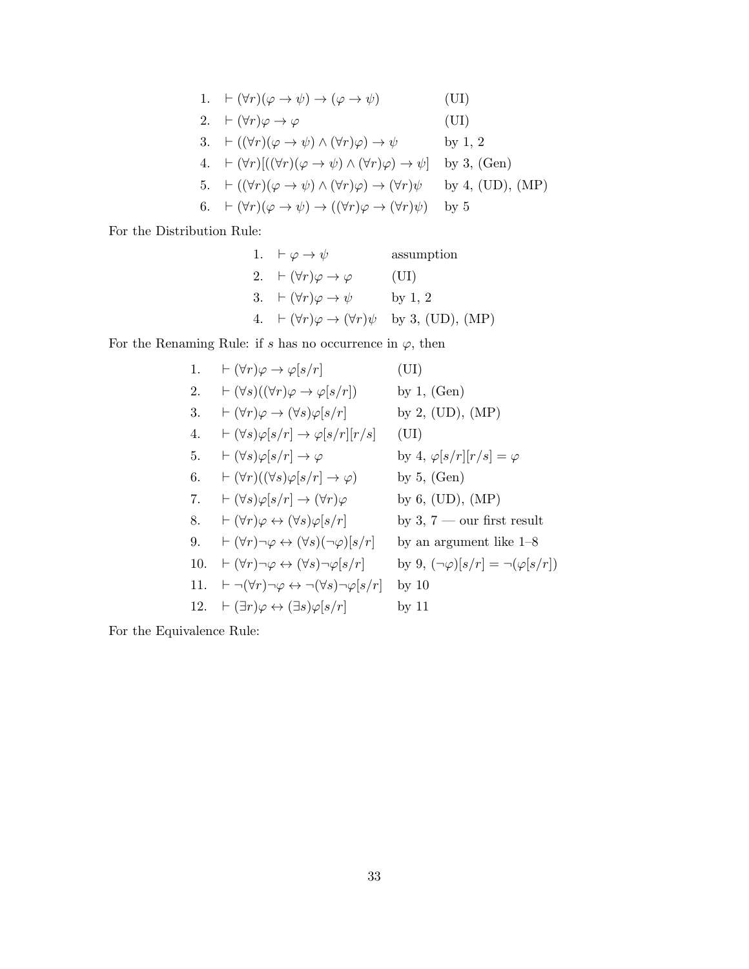1. 
$$
\vdash (\forall r)(\varphi \rightarrow \psi) \rightarrow (\varphi \rightarrow \psi)
$$
 (UI)  
\n2.  $\vdash (\forall r)\varphi \rightarrow \varphi$  (UI)  
\n3.  $\vdash ((\forall r)(\varphi \rightarrow \psi) \land (\forall r)\varphi) \rightarrow \psi$  by 1, 2  
\n4.  $\vdash (\forall r)[((\forall r)(\varphi \rightarrow \psi) \land (\forall r)\varphi) \rightarrow \psi]$  by 3, (Gen)  
\n5.  $\vdash ((\forall r)(\varphi \rightarrow \psi) \land (\forall r)\varphi) \rightarrow (\forall r)\psi$  by 4, (UD), (MP)  
\n6.  $\vdash (\forall r)(\varphi \rightarrow \psi) \rightarrow ((\forall r)\varphi \rightarrow (\forall r)\psi)$  by 5

For the Distribution Rule:

1. 
$$
\vdash \varphi \rightarrow \psi
$$
 assumption  
\n2.  $\vdash (\forall r)\varphi \rightarrow \varphi$  (UI)  
\n3.  $\vdash (\forall r)\varphi \rightarrow \psi$  by 1, 2  
\n4.  $\vdash (\forall r)\varphi \rightarrow (\forall r)\psi$  by 3, (UD), (MP)

For the Renaming Rule: if s has no occurrence in  $\varphi$ , then

1. 
$$
\vdash (\forall r)\varphi \rightarrow \varphi[s/r]
$$
 (UI)  
\n2.  $\vdash (\forall s)((\forall r)\varphi \rightarrow \varphi[s/r])$  by 1, (Gen)  
\n3.  $\vdash (\forall r)\varphi \rightarrow (\forall s)\varphi[s/r]$  by 2, (UD), (MP)  
\n4.  $\vdash (\forall s)\varphi[s/r] \rightarrow \varphi[s/r][r/s]$  (UI)  
\n5.  $\vdash (\forall s)\varphi[s/r] \rightarrow \varphi$  by 4,  $\varphi[s/r][r/s] = \varphi$   
\n6.  $\vdash (\forall r)((\forall s)\varphi[s/r] \rightarrow \varphi)$  by 5, (Gen)  
\n7.  $\vdash (\forall s)\varphi[s/r] \rightarrow (\forall r)\varphi$  by 6, (UD), (MP)  
\n8.  $\vdash (\forall r)\varphi \leftrightarrow (\forall s)\varphi[s/r]$  by 3, 7 — our first result  
\n9.  $\vdash (\forall r)\neg\varphi \leftrightarrow (\forall s)(\neg\varphi)[s/r]$  by an argument like 1–8  
\n10.  $\vdash (\forall r)\neg\varphi \leftrightarrow (\forall s)\neg\varphi[s/r]$  by 9,  $(\neg\varphi)[s/r] = \neg(\varphi[s/r])$   
\n11.  $\vdash \neg(\forall r)\neg\varphi \leftrightarrow \neg(\forall s)\neg\varphi[s/r]$  by 10  
\n12.  $\vdash (\exists r)\varphi \leftrightarrow (\exists s)\varphi[s/r]$  by 11

For the Equivalence Rule: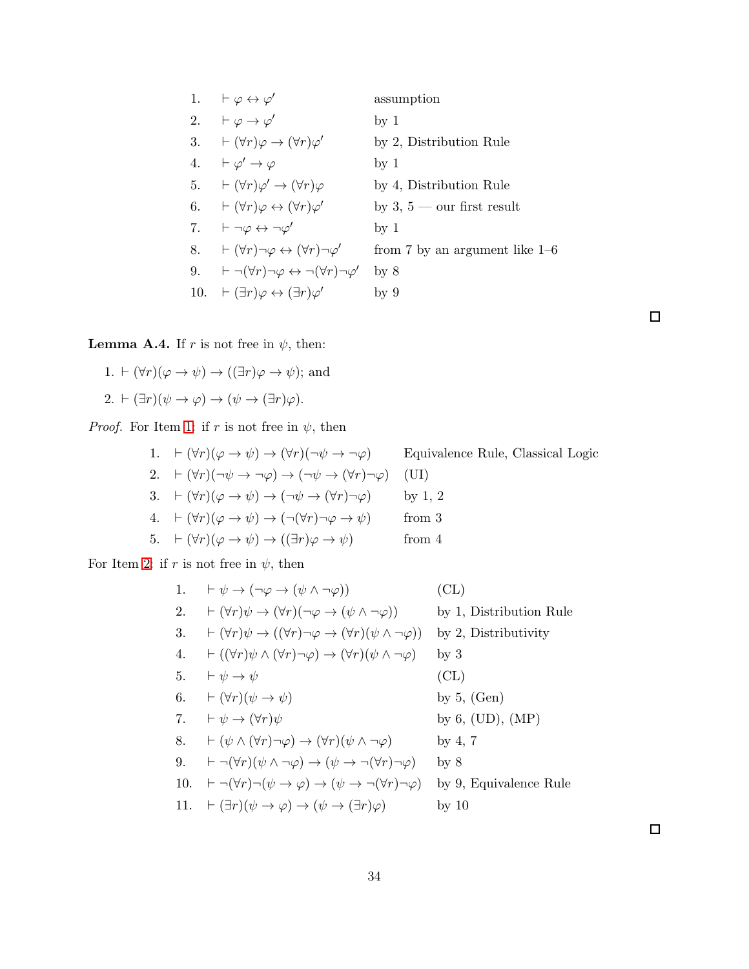1. 
$$
\vdash \varphi \leftrightarrow \varphi'
$$
 assumption  
\n2.  $\vdash \varphi \rightarrow \varphi'$  by 1  
\n3.  $\vdash (\forall r)\varphi \rightarrow (\forall r)\varphi'$  by 2, Distribution Rule  
\n4.  $\vdash \varphi' \rightarrow \varphi$  by 1  
\n5.  $\vdash (\forall r)\varphi' \rightarrow (\forall r)\varphi$  by 4, Distribution Rule  
\n6.  $\vdash (\forall r)\varphi \leftrightarrow (\forall r)\varphi'$  by 3, 5 — our first result  
\n7.  $\vdash \neg \varphi \leftrightarrow \neg \varphi'$  by 1  
\n8.  $\vdash (\forall r)\neg \varphi \leftrightarrow (\forall r)\neg \varphi'$  from 7 by an argument like 1-6  
\n9.  $\vdash \neg(\forall r)\neg \varphi \leftrightarrow \neg(\forall r)\neg \varphi'$  by 8  
\n10.  $\vdash (\exists r)\varphi \leftrightarrow (\exists r)\varphi'$  by 9

<span id="page-33-2"></span><span id="page-33-0"></span>**Lemma A.4.** If r is not free in  $\psi$ , then:

<span id="page-33-1"></span>1.  $\vdash (\forall r)(\varphi \rightarrow \psi) \rightarrow ((\exists r)\varphi \rightarrow \psi);$  and 2.  $\vdash (\exists r)(\psi \rightarrow \varphi) \rightarrow (\psi \rightarrow (\exists r)\varphi)$ .

*Proof.* For Item [1:](#page-33-0) if r is not free in  $\psi$ , then

\n- 1. 
$$
\vdash (\forall r)(\varphi \rightarrow \psi) \rightarrow (\forall r)(\neg \psi \rightarrow \neg \varphi)
$$
 Equivalence Rule, Classical Logic
\n- 2.  $\vdash (\forall r)(\neg \psi \rightarrow \neg \varphi) \rightarrow (\neg \psi \rightarrow (\forall r)\neg \varphi)$  (UI)
\n- 3.  $\vdash (\forall r)(\varphi \rightarrow \psi) \rightarrow (\neg \psi \rightarrow (\forall r)\neg \varphi)$  by 1, 2
\n- 4.  $\vdash (\forall r)(\varphi \rightarrow \psi) \rightarrow (\neg (\forall r)\neg \varphi \rightarrow \psi)$  from 3
\n- 5.  $\vdash (\forall r)(\varphi \rightarrow \psi) \rightarrow ((\exists r)\varphi \rightarrow \psi)$  from 4
\n

For Item [2:](#page-33-1) if  $r$  is not free in  $\psi$ , then

1. 
$$
\vdash \psi \rightarrow (\neg \varphi \rightarrow (\psi \land \neg \varphi))
$$
 (CL)  
\n2.  $\vdash (\forall r)\psi \rightarrow (\forall r)(\neg \varphi \rightarrow (\psi \land \neg \varphi))$  by 1, Distribution Rule  
\n3.  $\vdash (\forall r)\psi \rightarrow ((\forall r)\neg \varphi \rightarrow (\forall r)(\psi \land \neg \varphi))$  by 2, Distribution Rule  
\n4.  $\vdash ((\forall r)\psi \land (\forall r)\neg \varphi) \rightarrow (\forall r)(\psi \land \neg \varphi)$  by 3  
\n5.  $\vdash \psi \rightarrow \psi$  (CL)  
\n6.  $\vdash (\forall r)(\psi \rightarrow \psi)$  by 5, (Gen)  
\n7.  $\vdash \psi \rightarrow (\forall r)\psi$  by 6, (UD), (MP)  
\n8.  $\vdash (\psi \land (\forall r)\neg \varphi) \rightarrow (\forall r)(\psi \land \neg \varphi)$  by 4, 7  
\n9.  $\vdash \neg(\forall r)(\psi \land \neg \varphi) \rightarrow (\psi \rightarrow \neg(\forall r)\neg \varphi)$  by 8  
\n10.  $\vdash \neg(\forall r)(\psi \rightarrow \varphi) \rightarrow (\psi \rightarrow \neg(\forall r)\neg \varphi)$  by 9, Equivalence Rule  
\n11.  $\vdash (\exists r)(\psi \rightarrow \varphi) \rightarrow (\psi \rightarrow (\exists r)\varphi)$  by 10

 $\Box$ 

 $\Box$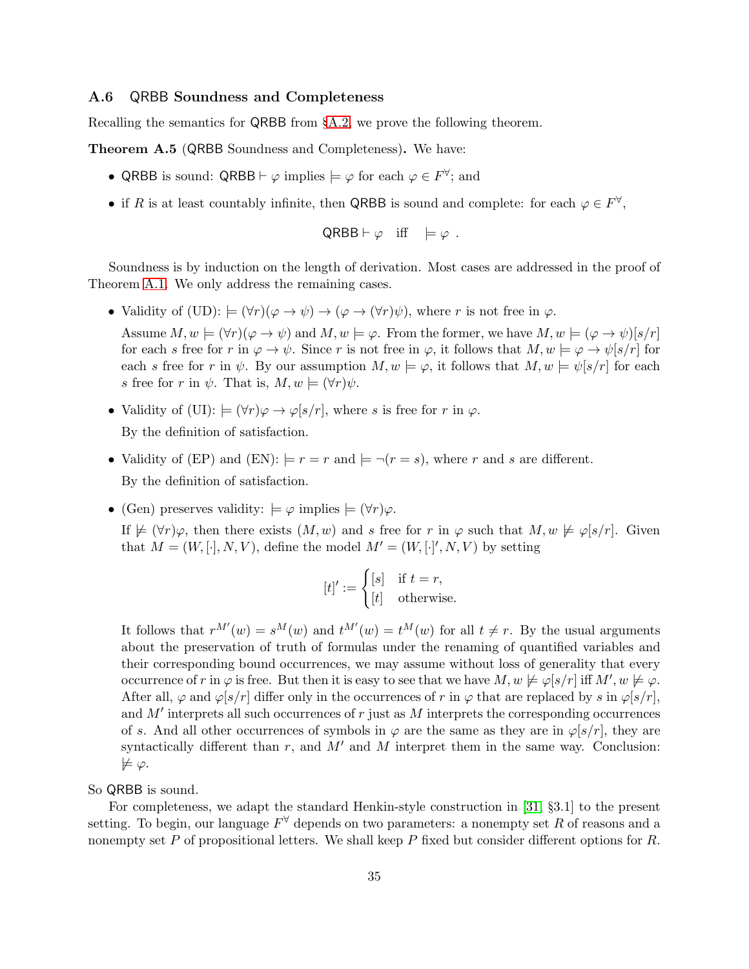## <span id="page-34-1"></span>A.6 QRBB Soundness and Completeness

Recalling the semantics for QRBB from §[A.2,](#page-25-1) we prove the following theorem.

<span id="page-34-0"></span>Theorem A.5 (QRBB Soundness and Completeness). We have:

- QRBB is sound: QRBB  $\vdash \varphi$  implies  $\models \varphi$  for each  $\varphi \in F^{\forall}$ ; and
- if R is at least countably infinite, then QRBB is sound and complete: for each  $\varphi \in F^{\vee}$ ,

$$
\mathsf{QRBB} \vdash \varphi \quad \text{iff} \quad \models \varphi \; .
$$

Soundness is by induction on the length of derivation. Most cases are addressed in the proof of Theorem [A.1.](#page-26-0) We only address the remaining cases.

• Validity of (UD):  $\models (\forall r)(\varphi \rightarrow \psi) \rightarrow (\varphi \rightarrow (\forall r)\psi)$ , where r is not free in  $\varphi$ .

Assume  $M, w \models (\forall r)(\varphi \rightarrow \psi)$  and  $M, w \models \varphi$ . From the former, we have  $M, w \models (\varphi \rightarrow \psi)[s/r]$ for each s free for r in  $\varphi \to \psi$ . Since r is not free in  $\varphi$ , it follows that  $M, w \models \varphi \to \psi[s/r]$  for each s free for r in  $\psi$ . By our assumption  $M, w \models \varphi$ , it follows that  $M, w \models \psi[s/r]$  for each s free for r in  $\psi$ . That is,  $M, w \models (\forall r) \psi$ .

- Validity of (UI):  $\models (\forall r)\varphi \rightarrow \varphi[s/r]$ , where s is free for r in  $\varphi$ . By the definition of satisfaction.
- Validity of (EP) and (EN):  $=r=r$  and  $\models \neg(r=s)$ , where r and s are different. By the definition of satisfaction.
- (Gen) preserves validity:  $\models \varphi$  implies  $\models (\forall r)\varphi$ .

If  $\not\models$   $(\forall r)\varphi$ , then there exists  $(M, w)$  and s free for r in  $\varphi$  such that  $M, w \not\models \varphi[s/r]$ . Given that  $M = (W, [\cdot], N, V)$ , define the model  $M' = (W, [\cdot]', N, V)$  by setting

$$
[t]' := \begin{cases} [s] & \text{if } t = r, \\ [t] & \text{otherwise.} \end{cases}
$$

It follows that  $r^{M'}(w) = s^M(w)$  and  $t^{M'}(w) = t^M(w)$  for all  $t \neq r$ . By the usual arguments about the preservation of truth of formulas under the renaming of quantified variables and their corresponding bound occurrences, we may assume without loss of generality that every occurrence of r in  $\varphi$  is free. But then it is easy to see that we have  $M, w \not\models \varphi[s/r]$  iff  $M', w \not\models \varphi$ . After all,  $\varphi$  and  $\varphi$ [s/r] differ only in the occurrences of r in  $\varphi$  that are replaced by s in  $\varphi$ [s/r], and  $M'$  interprets all such occurrences of r just as  $M$  interprets the corresponding occurrences of s. And all other occurrences of symbols in  $\varphi$  are the same as they are in  $\varphi[s/r]$ , they are syntactically different than  $r$ , and  $M'$  and  $M$  interpret them in the same way. Conclusion:  $\not\models \varphi.$ 

So QRBB is sound.

For completeness, we adapt the standard Henkin-style construction in [\[31,](#page-41-11) §3.1] to the present setting. To begin, our language  $F^{\forall}$  depends on two parameters: a nonempty set R of reasons and a nonempty set  $P$  of propositional letters. We shall keep  $P$  fixed but consider different options for  $R$ .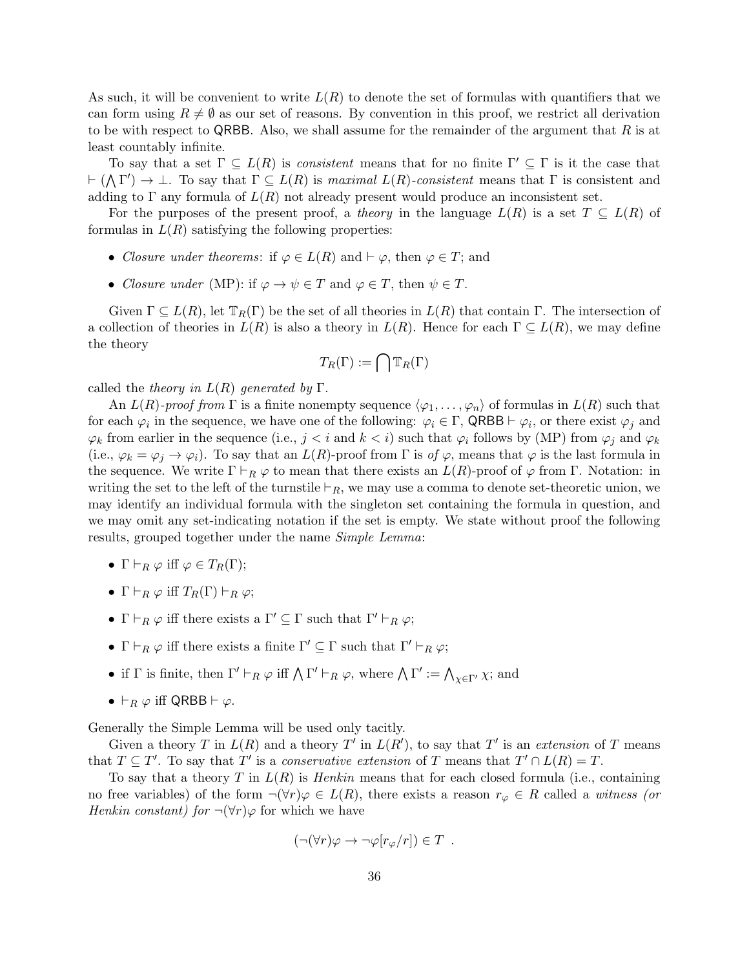As such, it will be convenient to write  $L(R)$  to denote the set of formulas with quantifiers that we can form using  $R \neq \emptyset$  as our set of reasons. By convention in this proof, we restrict all derivation to be with respect to QRBB. Also, we shall assume for the remainder of the argument that  $R$  is at least countably infinite.

To say that a set  $\Gamma \subseteq L(R)$  is *consistent* means that for no finite  $\Gamma' \subseteq \Gamma$  is it the case that  $\vdash (\bigwedge \Gamma') \to \bot$ . To say that  $\Gamma \subseteq L(R)$  is *maximal*  $L(R)$ -consistent means that  $\Gamma$  is consistent and adding to  $\Gamma$  any formula of  $L(R)$  not already present would produce an inconsistent set.

For the purposes of the present proof, a *theory* in the language  $L(R)$  is a set  $T \subseteq L(R)$  of formulas in  $L(R)$  satisfying the following properties:

- *Closure under theorems*: if  $\varphi \in L(R)$  and  $\vdash \varphi$ , then  $\varphi \in T$ ; and
- *Closure under* (MP): if  $\varphi \to \psi \in T$  and  $\varphi \in T$ , then  $\psi \in T$ .

Given  $\Gamma \subseteq L(R)$ , let  $\mathbb{T}_R(\Gamma)$  be the set of all theories in  $L(R)$  that contain  $\Gamma$ . The intersection of a collection of theories in  $L(R)$  is also a theory in  $L(R)$ . Hence for each  $\Gamma \subseteq L(R)$ , we may define the theory

$$
T_R(\Gamma) := \bigcap \mathbb{T}_R(\Gamma)
$$

called the *theory in* L(R) *generated by* Γ.

An  $L(R)$ -proof from  $\Gamma$  is a finite nonempty sequence  $\langle \varphi_1, \ldots, \varphi_n \rangle$  of formulas in  $L(R)$  such that for each  $\varphi_i$  in the sequence, we have one of the following:  $\varphi_i \in \Gamma$ , QRBB  $\vdash \varphi_i$ , or there exist  $\varphi_j$  and  $\varphi_k$  from earlier in the sequence (i.e.,  $j < i$  and  $k < i$ ) such that  $\varphi_i$  follows by (MP) from  $\varphi_j$  and  $\varphi_k$ (i.e.,  $\varphi_k = \varphi_j \to \varphi_i$ ). To say that an  $L(R)$ -proof from  $\Gamma$  is  $of \varphi$ , means that  $\varphi$  is the last formula in the sequence. We write  $\Gamma \vdash_R \varphi$  to mean that there exists an  $L(R)$ -proof of  $\varphi$  from Γ. Notation: in writing the set to the left of the turnstile  $\vdash_R$ , we may use a comma to denote set-theoretic union, we may identify an individual formula with the singleton set containing the formula in question, and we may omit any set-indicating notation if the set is empty. We state without proof the following results, grouped together under the name *Simple Lemma*:

- $\Gamma \vdash_R \varphi$  iff  $\varphi \in T_R(\Gamma);$
- $\Gamma \vdash_R \varphi$  iff  $T_R(\Gamma) \vdash_R \varphi$ ;
- $\Gamma \vdash_R \varphi$  iff there exists a  $\Gamma' \subseteq \Gamma$  such that  $\Gamma' \vdash_R \varphi$ ;
- $\Gamma \vdash_R \varphi$  iff there exists a finite  $\Gamma' \subseteq \Gamma$  such that  $\Gamma' \vdash_R \varphi$ ;
- if  $\Gamma$  is finite, then  $\Gamma' \vdash_R \varphi$  iff  $\bigwedge \Gamma' \vdash_R \varphi$ , where  $\bigwedge \Gamma' := \bigwedge_{\chi \in \Gamma'} \chi$ ; and
- $\vdash_R \varphi$  iff QRBB  $\vdash \varphi$ .

Generally the Simple Lemma will be used only tacitly.

Given a theory T in  $L(R)$  and a theory T' in  $L(R')$ , to say that T' is an *extension* of T means that  $T \subseteq T'$ . To say that T' is a *conservative extension* of T means that  $T' \cap L(R) = T$ .

To say that a theory T in L(R) is *Henkin* means that for each closed formula (i.e., containing no free variables) of the form  $\neg(\forall r)\varphi \in L(R)$ , there exists a reason  $r_{\varphi} \in R$  called a *witness (or Henkin constant) for*  $\neg(\forall r)\varphi$  for which we have

$$
(\neg(\forall r)\varphi \to \neg \varphi[r_{\varphi}/r]) \in T .
$$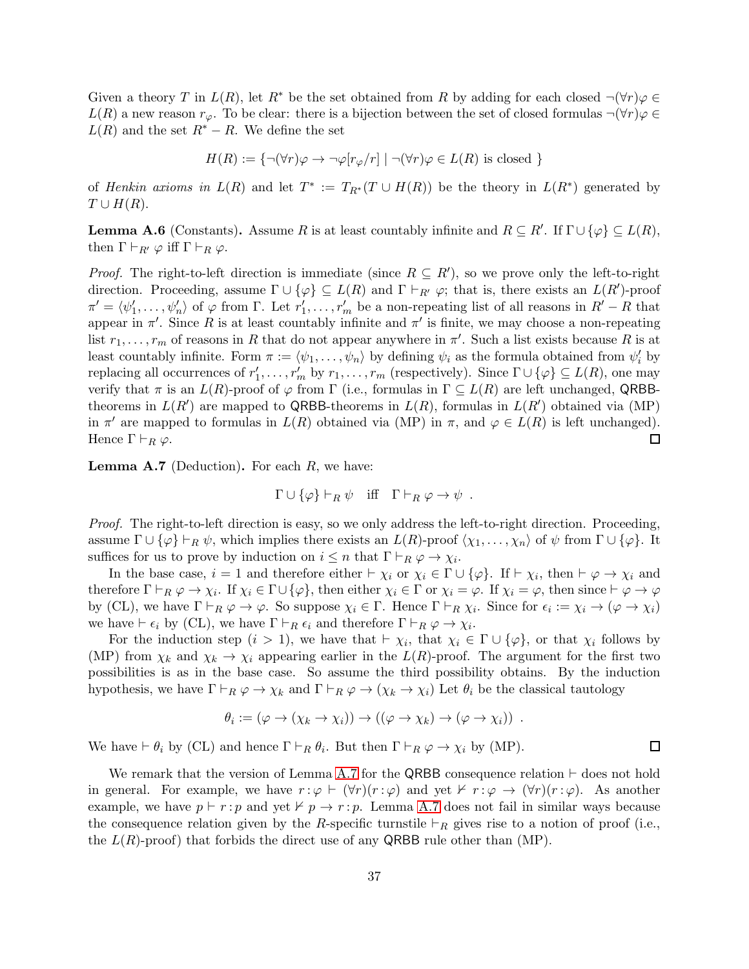Given a theory T in  $L(R)$ , let  $R^*$  be the set obtained from R by adding for each closed  $\neg(\forall r)\varphi \in$  $L(R)$  a new reason  $r_{\varphi}$ . To be clear: there is a bijection between the set of closed formulas  $\neg(\forall r)\varphi \in$  $L(R)$  and the set  $R^* - R$ . We define the set

$$
H(R) := \{ \neg(\forall r)\varphi \to \neg \varphi[r_{\varphi}/r] \mid \neg(\forall r)\varphi \in L(R) \text{ is closed } \}
$$

of *Henkin axioms in*  $L(R)$  and let  $T^* := T_{R^*}(T \cup H(R))$  be the theory in  $L(R^*)$  generated by  $T \cup H(R)$ .

<span id="page-36-1"></span>**Lemma A.6** (Constants). Assume R is at least countably infinite and  $R \subseteq R'$ . If  $\Gamma \cup \{\varphi\} \subseteq L(R)$ , then  $\Gamma\vdash_{R'}\varphi$  iff  $\Gamma\vdash_R\varphi$ .

*Proof.* The right-to-left direction is immediate (since  $R \subseteq R'$ ), so we prove only the left-to-right direction. Proceeding, assume  $\Gamma \cup \{\varphi\} \subseteq L(R)$  and  $\Gamma \vdash_{R'} \varphi$ ; that is, there exists an  $L(R')$ -proof  $\pi' = \langle \psi'_1, \ldots, \psi'_n \rangle$  of  $\varphi$  from  $\Gamma$ . Let  $r'_1, \ldots, r'_m$  be a non-repeating list of all reasons in  $R' - R$  that appear in  $\pi'$ . Since R is at least countably infinite and  $\pi'$  is finite, we may choose a non-repeating list  $r_1, \ldots, r_m$  of reasons in R that do not appear anywhere in  $\pi'$ . Such a list exists because R is at least countably infinite. Form  $\pi := \langle \psi_1, \ldots, \psi_n \rangle$  by defining  $\psi_i$  as the formula obtained from  $\psi'_i$  by replacing all occurrences of  $r'_1, \ldots, r'_m$  by  $r_1, \ldots, r_m$  (respectively). Since  $\Gamma \cup {\varphi} \subseteq L(R)$ , one may verify that  $\pi$  is an  $L(R)$ -proof of  $\varphi$  from  $\Gamma$  (i.e., formulas in  $\Gamma \subseteq L(R)$  are left unchanged, QRBBtheorems in  $L(R')$  are mapped to QRBB-theorems in  $L(R)$ , formulas in  $L(R')$  obtained via (MP) in  $\pi'$  are mapped to formulas in  $L(R)$  obtained via (MP) in  $\pi$ , and  $\varphi \in L(R)$  is left unchanged). Hence  $\Gamma \vdash_R \varphi$ .  $\Box$ 

<span id="page-36-0"></span>**Lemma A.7** (Deduction). For each  $R$ , we have:

$$
\Gamma \cup \{\varphi\} \vdash_R \psi \quad \text{iff} \quad \Gamma \vdash_R \varphi \to \psi \ .
$$

*Proof.* The right-to-left direction is easy, so we only address the left-to-right direction. Proceeding, assume  $\Gamma \cup {\varphi} \vdash_R \psi$ , which implies there exists an  $L(R)$ -proof  $\langle \chi_1, \ldots, \chi_n \rangle$  of  $\psi$  from  $\Gamma \cup {\varphi}$ . It suffices for us to prove by induction on  $i \leq n$  that  $\Gamma \vdash_R \varphi \to \chi_i$ .

In the base case,  $i = 1$  and therefore either  $\vdash \chi_i$  or  $\chi_i \in \Gamma \cup \{\varphi\}$ . If  $\vdash \chi_i$ , then  $\vdash \varphi \to \chi_i$  and therefore  $\Gamma \vdash_R \varphi \to \chi_i$ . If  $\chi_i \in \Gamma \cup {\varphi}$ , then either  $\chi_i \in \Gamma$  or  $\chi_i = \varphi$ . If  $\chi_i = \varphi$ , then since  $\vdash \varphi \to \varphi$ by (CL), we have  $\Gamma \vdash_R \varphi \to \varphi$ . So suppose  $\chi_i \in \Gamma$ . Hence  $\Gamma \vdash_R \chi_i$ . Since for  $\epsilon_i := \chi_i \to (\varphi \to \chi_i)$ we have  $\vdash \epsilon_i$  by (CL), we have  $\Gamma \vdash_R \epsilon_i$  and therefore  $\Gamma \vdash_R \varphi \to \chi_i$ .

For the induction step  $(i > 1)$ , we have that  $\vdash \chi_i$ , that  $\chi_i \in \Gamma \cup \{\varphi\}$ , or that  $\chi_i$  follows by (MP) from  $\chi_k$  and  $\chi_k \to \chi_i$  appearing earlier in the  $L(R)$ -proof. The argument for the first two possibilities is as in the base case. So assume the third possibility obtains. By the induction hypothesis, we have  $\Gamma \vdash_R \varphi \to \chi_k$  and  $\Gamma \vdash_R \varphi \to (\chi_k \to \chi_i)$  Let  $\theta_i$  be the classical tautology

$$
\theta_i := (\varphi \to (\chi_k \to \chi_i)) \to ((\varphi \to \chi_k) \to (\varphi \to \chi_i)) \ .
$$

We have  $\vdash \theta_i$  by (CL) and hence  $\Gamma \vdash_R \theta_i$ . But then  $\Gamma \vdash_R \varphi \to \chi_i$  by (MP).

We remark that the version of Lemma [A.7](#page-36-0) for the QRBB consequence relation ⊢ does not hold in general. For example, we have  $r : \varphi \vdash (\forall r)(r : \varphi)$  and yet  $\nvdash r : \varphi \rightarrow (\forall r)(r : \varphi)$ . As another example, we have  $p \vdash r : p$  and yet  $\nvdash p \rightarrow r : p$ . Lemma [A.7](#page-36-0) does not fail in similar ways because the consequence relation given by the R-specific turnstile  $\vdash_R$  gives rise to a notion of proof (i.e., the  $L(R)$ -proof) that forbids the direct use of any QRBB rule other than (MP).

 $\Box$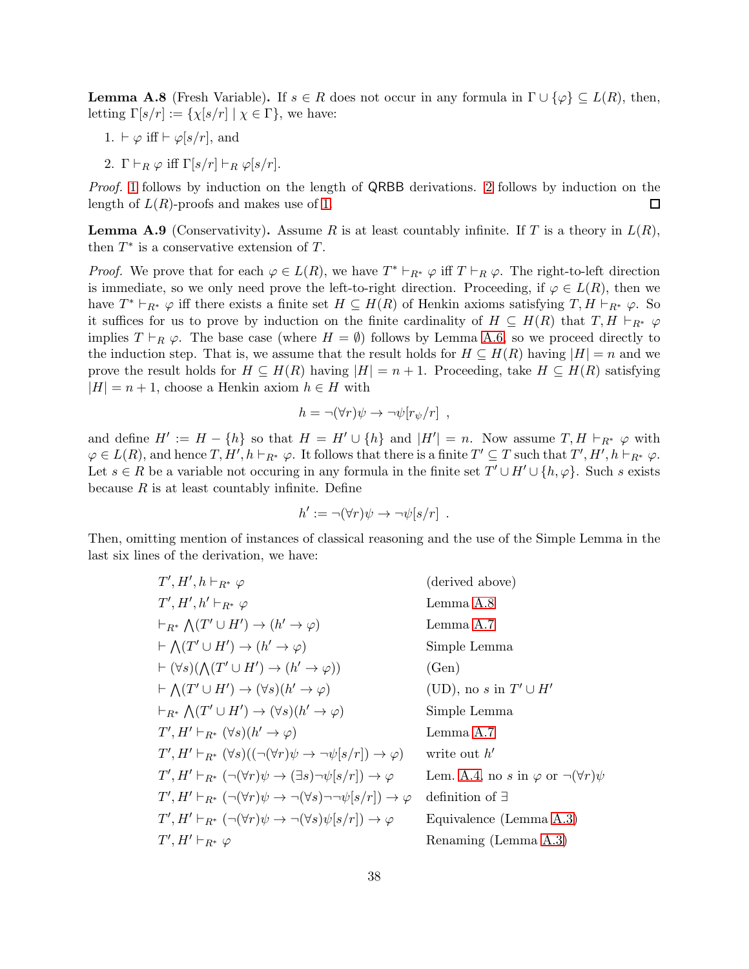<span id="page-37-2"></span><span id="page-37-0"></span>**Lemma A.8** (Fresh Variable). If  $s \in R$  does not occur in any formula in  $\Gamma \cup \{\varphi\} \subseteq L(R)$ , then, letting  $\Gamma[s/r] := {\chi[s/r] \mid \chi \in \Gamma}$ , we have:

- <span id="page-37-1"></span>1.  $\vdash \varphi$  iff  $\vdash \varphi[s/r]$ , and
- 2.  $\Gamma \vdash_R \varphi$  iff  $\Gamma[s/r] \vdash_R \varphi[s/r]$ .

*Proof.* [1](#page-37-0) follows by induction on the length of QRBB derivations. [2](#page-37-1) follows by induction on the length of  $L(R)$ -proofs and makes use of [1.](#page-37-0)  $\Box$ 

<span id="page-37-3"></span>**Lemma A.9** (Conservativity). Assume R is at least countably infinite. If T is a theory in  $L(R)$ , then  $T^*$  is a conservative extension of T.

*Proof.* We prove that for each  $\varphi \in L(R)$ , we have  $T^* \vdash_{R^*} \varphi$  iff  $T \vdash_R \varphi$ . The right-to-left direction is immediate, so we only need prove the left-to-right direction. Proceeding, if  $\varphi \in L(R)$ , then we have  $T^* \vdash_{R^*} \varphi$  iff there exists a finite set  $H \subseteq H(R)$  of Henkin axioms satisfying  $T, H \vdash_{R^*} \varphi$ . So it suffices for us to prove by induction on the finite cardinality of  $H \subseteq H(R)$  that  $T, H \vdash_{R^*} \varphi$ implies  $T \vdash_R \varphi$ . The base case (where  $H = \emptyset$ ) follows by Lemma [A.6,](#page-36-1) so we proceed directly to the induction step. That is, we assume that the result holds for  $H \subseteq H(R)$  having  $|H| = n$  and we prove the result holds for  $H \subseteq H(R)$  having  $|H| = n + 1$ . Proceeding, take  $H \subseteq H(R)$  satisfying  $|H| = n + 1$ , choose a Henkin axiom  $h \in H$  with

$$
h = \neg(\forall r)\psi \to \neg\psi[r_{\psi}/r],
$$

and define  $H' := H - \{h\}$  so that  $H = H' \cup \{h\}$  and  $|H'| = n$ . Now assume  $T, H \vdash_{R^*} \varphi$  with  $\varphi \in L(R)$ , and hence  $T, H', h \vdash_{R^*} \varphi$ . It follows that there is a finite  $T' \subseteq T$  such that  $T', H', h \vdash_{R^*} \varphi$ . Let  $s \in R$  be a variable not occuring in any formula in the finite set  $T' \cup H' \cup \{h, \varphi\}$ . Such s exists because  $R$  is at least countably infinite. Define

$$
h' := \neg(\forall r)\psi \to \neg \psi[s/r] .
$$

Then, omitting mention of instances of classical reasoning and the use of the Simple Lemma in the last six lines of the derivation, we have:

$$
T', H', h \vdash_{R^*} \varphi
$$
 (derived above)  
\n
$$
T', H', h' \vdash_{R^*} \varphi
$$
 Lemma A.8  
\n
$$
\vdash_{R^*} \Lambda(T' \cup H') \to (h' \to \varphi)
$$
 Lemma A.7  
\n
$$
\vdash \Lambda(T' \cup H') \to (h' \to \varphi)
$$
 (Gen)  
\n
$$
\vdash (\forall s)(\Lambda(T' \cup H') \to (h' \to \varphi))
$$
 (Gen)  
\n
$$
\vdash \Lambda(T' \cup H') \to (\forall s)(h' \to \varphi)
$$
 (UD), no s in  $T' \cup H'$   
\n
$$
\vdash_{R^*} \Lambda(T' \cup H') \to (\forall s)(h' \to \varphi)
$$
 Simple Lemma  
\n
$$
T', H' \vdash_{R^*} (\forall s)((\neg(\forall r)\psi \to \neg \psi[s/r]) \to \varphi)
$$
 write out h'  
\n
$$
T', H' \vdash_{R^*} (\neg(\forall r)\psi \to (\exists s)\neg \psi[s/r]) \to \varphi
$$
 Lem. A.4, no s in  $\varphi$  or  $\neg(\forall r)\psi$   
\n
$$
T', H' \vdash_{R^*} (\neg(\forall r)\psi \to \neg(\forall s)\neg \neg \psi[s/r]) \to \varphi
$$
 definition of  $\exists$   
\n
$$
T', H' \vdash_{R^*} (\neg(\forall r)\psi \to \neg(\forall s)\neg \neg \psi[s/r]) \to \varphi
$$
 Equivalence (Lemma A.3)  
\n
$$
T', H' \vdash_{R^*} \varphi
$$
 Renaming (Lemma A.3)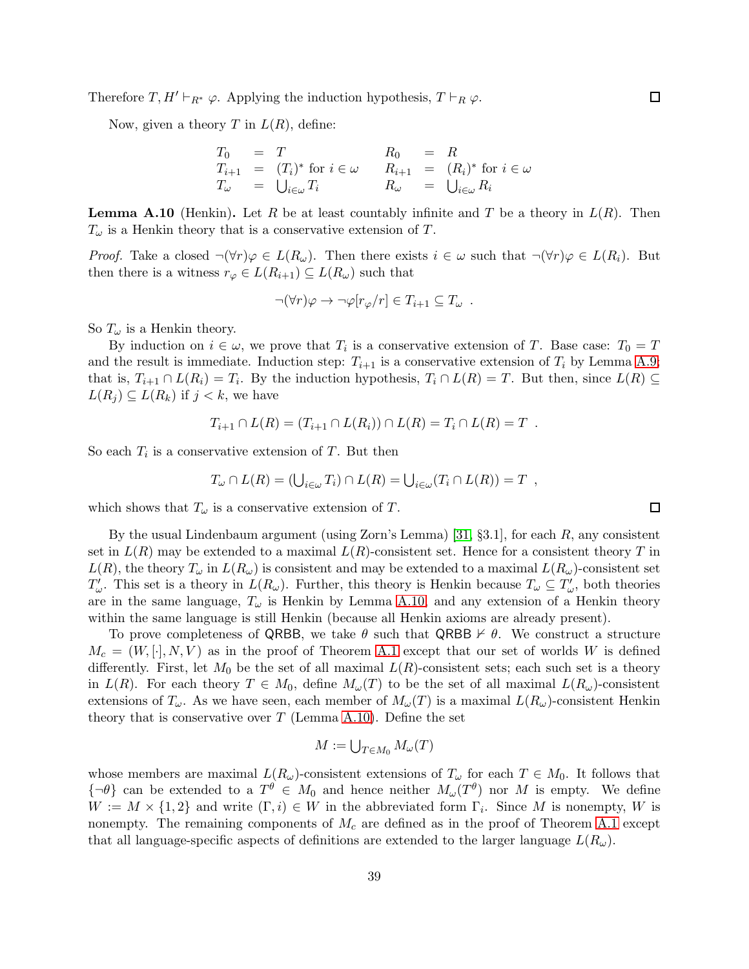Therefore  $T, H' \vdash_{R^*} \varphi$ . Applying the induction hypothesis,  $T \vdash_R \varphi$ .

Now, given a theory T in  $L(R)$ , define:

$$
T_0 = T
$$
  
\n
$$
T_{i+1} = (T_i)^* \text{ for } i \in \omega
$$
  
\n
$$
T_{i+1} = (R_i)^* \text{ for } i \in \omega
$$
  
\n
$$
T_{i+1} = (R_i)^* \text{ for } i \in \omega
$$
  
\n
$$
T_{i+1} = (R_i)^* \text{ for } i \in \omega
$$
  
\n
$$
R_0 = R
$$
  
\n
$$
R_{i+1} = (R_i)^* \text{ for } i \in \omega
$$

<span id="page-38-0"></span>**Lemma A.10** (Henkin). Let R be at least countably infinite and T be a theory in  $L(R)$ . Then  $T_{\omega}$  is a Henkin theory that is a conservative extension of T.

*Proof.* Take a closed  $\neg(\forall r)\varphi \in L(R_\omega)$ . Then there exists  $i \in \omega$  such that  $\neg(\forall r)\varphi \in L(R_i)$ . But then there is a witness  $r_{\varphi} \in L(R_{i+1}) \subseteq L(R_{\omega})$  such that

$$
\neg(\forall r)\varphi \to \neg \varphi[r_{\varphi}/r] \in T_{i+1} \subseteq T_{\omega} .
$$

So  $T_{\omega}$  is a Henkin theory.

By induction on  $i \in \omega$ , we prove that  $T_i$  is a conservative extension of T. Base case:  $T_0 = T$ and the result is immediate. Induction step:  $T_{i+1}$  is a conservative extension of  $T_i$  by Lemma [A.9;](#page-37-3) that is,  $T_{i+1} \cap L(R_i) = T_i$ . By the induction hypothesis,  $T_i \cap L(R) = T$ . But then, since  $L(R) \subseteq$  $L(R_i) \subseteq L(R_k)$  if  $j < k$ , we have

$$
T_{i+1} \cap L(R) = (T_{i+1} \cap L(R_i)) \cap L(R) = T_i \cap L(R) = T.
$$

So each  $T_i$  is a conservative extension of T. But then

$$
T_{\omega} \cap L(R) = (\bigcup_{i \in \omega} T_i) \cap L(R) = \bigcup_{i \in \omega} (T_i \cap L(R)) = T ,
$$

which shows that  $T_{\omega}$  is a conservative extension of T.

By the usual Lindenbaum argument (using Zorn's Lemma) [\[31,](#page-41-11)  $\S 3.1$ ], for each R, any consistent set in  $L(R)$  may be extended to a maximal  $L(R)$ -consistent set. Hence for a consistent theory T in  $L(R)$ , the theory  $T_{\omega}$  in  $L(R_{\omega})$  is consistent and may be extended to a maximal  $L(R_{\omega})$ -consistent set  $T'_\omega$ . This set is a theory in  $L(R_\omega)$ . Further, this theory is Henkin because  $T_\omega \subseteq T'_\omega$ , both theories are in the same language,  $T_{\omega}$  is Henkin by Lemma [A.10,](#page-38-0) and any extension of a Henkin theory within the same language is still Henkin (because all Henkin axioms are already present).

To prove completeness of QRBB, we take  $\theta$  such that QRBB  $\nvdash \theta$ . We construct a structure  $M_c = (W, [\cdot], N, V)$  as in the proof of Theorem [A.1](#page-26-0) except that our set of worlds W is defined differently. First, let  $M_0$  be the set of all maximal  $L(R)$ -consistent sets; each such set is a theory in  $L(R)$ . For each theory  $T \in M_0$ , define  $M_\omega(T)$  to be the set of all maximal  $L(R_\omega)$ -consistent extensions of  $T_{\omega}$ . As we have seen, each member of  $M_{\omega}(T)$  is a maximal  $L(R_{\omega})$ -consistent Henkin theory that is conservative over  $T$  (Lemma [A.10\)](#page-38-0). Define the set

$$
M := \bigcup_{T \in M_0} M_{\omega}(T)
$$

whose members are maximal  $L(R_\omega)$ -consistent extensions of  $T_\omega$  for each  $T \in M_0$ . It follows that  ${\lbrace \neg \theta \rbrace}$  can be extended to a  $T^{\theta} \in M_0$  and hence neither  $M_{\omega}(T^{\theta})$  nor M is empty. We define  $W := M \times \{1,2\}$  and write  $(\Gamma, i) \in W$  in the abbreviated form  $\Gamma_i$ . Since M is nonempty, W is nonempty. The remaining components of  $M_c$  are defined as in the proof of Theorem [A.1](#page-26-0) except that all language-specific aspects of definitions are extended to the larger language  $L(R_{\omega})$ .

 $\Box$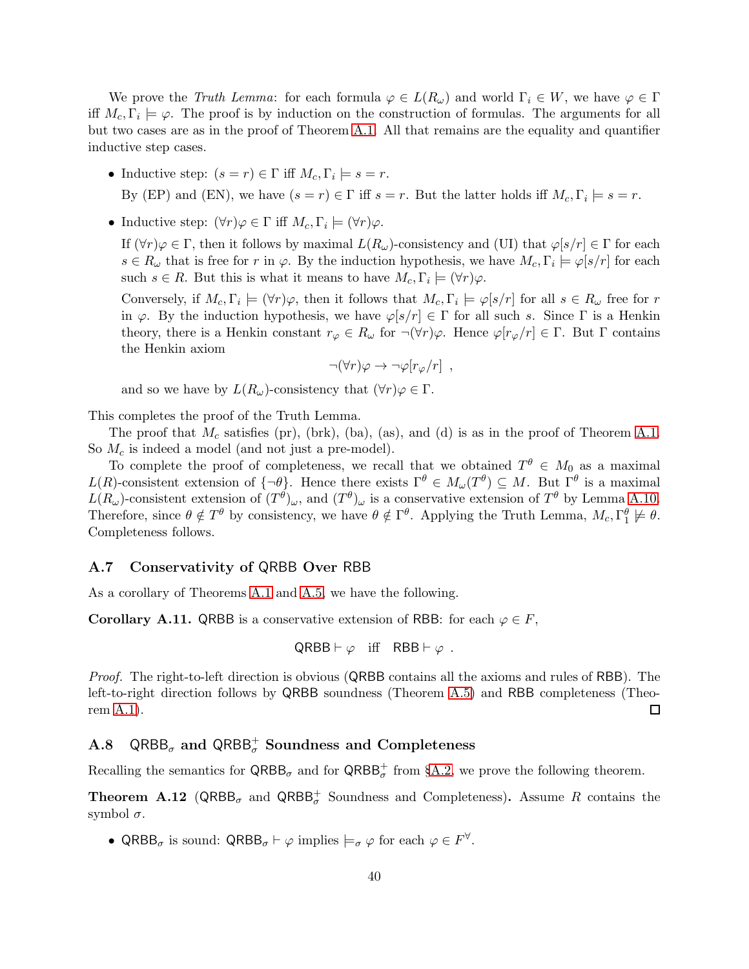We prove the *Truth Lemma*: for each formula  $\varphi \in L(R_{\omega})$  and world  $\Gamma_i \in W$ , we have  $\varphi \in \Gamma$ iff  $M_c, \Gamma_i \models \varphi$ . The proof is by induction on the construction of formulas. The arguments for all but two cases are as in the proof of Theorem [A.1.](#page-26-0) All that remains are the equality and quantifier inductive step cases.

- Inductive step:  $(s = r) \in \Gamma$  iff  $M_c$ ,  $\Gamma_i \models s = r$ . By (EP) and (EN), we have  $(s = r) \in \Gamma$  iff  $s = r$ . But the latter holds iff  $M_c, \Gamma_i \models s = r$ .
- Inductive step:  $(\forall r)\varphi \in \Gamma$  iff  $M_c, \Gamma_i \models (\forall r)\varphi$ .

If  $(\forall r)\varphi \in \Gamma$ , then it follows by maximal  $L(R_{\omega})$ -consistency and (UI) that  $\varphi[s/r] \in \Gamma$  for each  $s \in R_\omega$  that is free for r in  $\varphi$ . By the induction hypothesis, we have  $M_c$ ,  $\Gamma_i \models \varphi[s/r]$  for each such  $s \in R$ . But this is what it means to have  $M_c, \Gamma_i \models (\forall r) \varphi$ .

Conversely, if  $M_c, \Gamma_i \models (\forall r) \varphi$ , then it follows that  $M_c, \Gamma_i \models \varphi[s/r]$  for all  $s \in R_\omega$  free for r in  $\varphi$ . By the induction hypothesis, we have  $\varphi[s/r] \in \Gamma$  for all such s. Since  $\Gamma$  is a Henkin theory, there is a Henkin constant  $r_{\varphi} \in R_{\omega}$  for  $\neg(\forall r)\varphi$ . Hence  $\varphi[r_{\varphi}/r] \in \Gamma$ . But  $\Gamma$  contains the Henkin axiom

$$
\neg(\forall r)\varphi \to \neg \varphi[r_{\varphi}/r],
$$

and so we have by  $L(R_\omega)$ -consistency that  $(\forall r)\varphi \in \Gamma$ .

This completes the proof of the Truth Lemma.

The proof that  $M_c$  satisfies (pr), (brk), (ba), (as), and (d) is as in the proof of Theorem [A.1.](#page-26-0) So  $M_c$  is indeed a model (and not just a pre-model).

To complete the proof of completeness, we recall that we obtained  $T^{\theta} \in M_0$  as a maximal  $L(R)$ -consistent extension of  $\{\neg \theta\}$ . Hence there exists  $\Gamma^{\theta} \in M_{\omega}(T^{\theta}) \subseteq M$ . But  $\Gamma^{\theta}$  is a maximal  $L(R_\omega)$ -consistent extension of  $(T^\theta)_\omega$ , and  $(T^\theta)_\omega$  is a conservative extension of  $T^\theta$  by Lemma [A.10.](#page-38-0) Therefore, since  $\theta \notin T^{\theta}$  by consistency, we have  $\theta \notin \Gamma^{\theta}$ . Applying the Truth Lemma,  $M_c, \Gamma_1^{\theta} \not\models \theta$ . Completeness follows.

## A.7 Conservativity of QRBB Over RBB

As a corollary of Theorems [A.1](#page-26-0) and [A.5,](#page-34-0) we have the following.

<span id="page-39-0"></span>**Corollary A.11.** QRBB is a conservative extension of RBB: for each  $\varphi \in F$ ,

$$
\mathsf{QRBB} \vdash \varphi \quad \text{iff} \quad \mathsf{RBB} \vdash \varphi \ .
$$

*Proof.* The right-to-left direction is obvious (QRBB contains all the axioms and rules of RBB). The left-to-right direction follows by QRBB soundness (Theorem [A.5\)](#page-34-0) and RBB completeness (Theorem [A.1\)](#page-26-0).  $\Box$ 

# A.8  $QRBB_{\sigma}$  and  $QRBB_{\sigma}^{+}$  Soundness and Completeness

Recalling the semantics for  $QRBB_{\sigma}$  and for  $QRBB_{\sigma}^+$  from §[A.2,](#page-25-1) we prove the following theorem.

<span id="page-39-1"></span>**Theorem A.12** (QRBB<sub> $\sigma$ </sub> and QRBB<sub> $\sigma$ </sub><sup>+</sup> Soundness and Completeness). Assume R contains the symbol  $\sigma$ .

• QRBB<sub> $\sigma$ </sub> is sound: QRBB $_{\sigma} \vdash \varphi$  implies  $\models_{\sigma} \varphi$  for each  $\varphi \in F^{\forall}$ .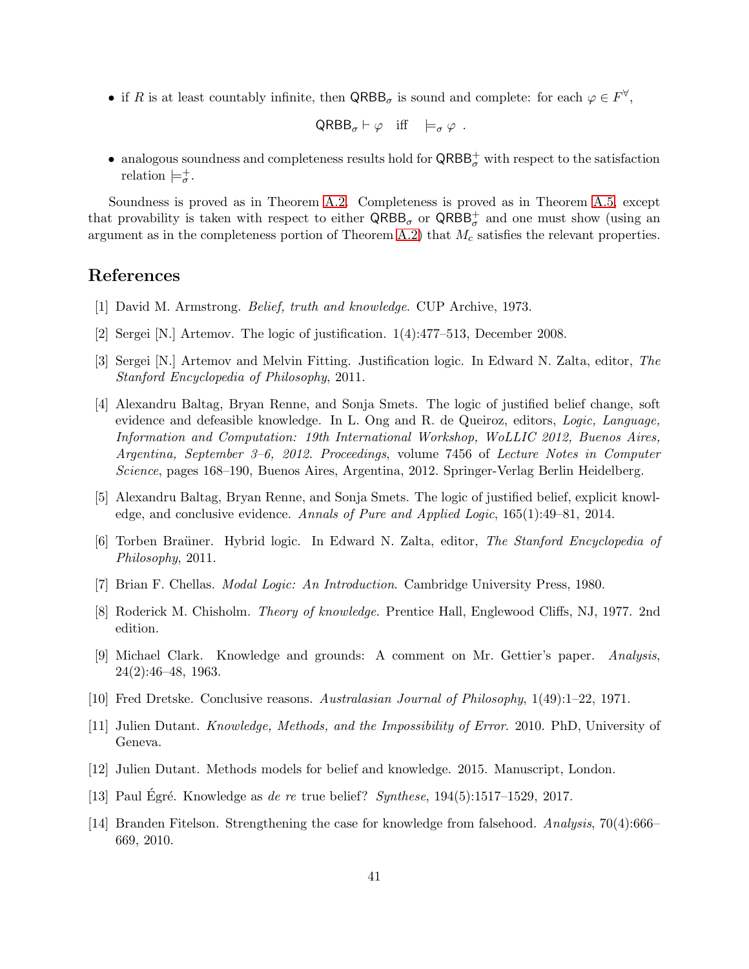• if R is at least countably infinite, then  $QRBB_{\sigma}$  is sound and complete: for each  $\varphi \in F^{\forall}$ ,

$$
\mathsf{QRBB}_{\sigma} \vdash \varphi \quad \text{iff} \quad \models_{\sigma} \varphi \ .
$$

• analogous soundness and completeness results hold for  $\mathsf{QRBB}_\sigma^+$  with respect to the satisfaction relation  $\models_{\sigma}^+$ .

Soundness is proved as in Theorem [A.2.](#page-30-0) Completeness is proved as in Theorem [A.5,](#page-34-0) except that provability is taken with respect to either  $QRBB_{\sigma}$  or  $QRBB_{\sigma}^+$  and one must show (using an argument as in the completeness portion of Theorem [A.2\)](#page-30-0) that  $M_c$  satisfies the relevant properties.

# <span id="page-40-6"></span>References

- <span id="page-40-2"></span>[1] David M. Armstrong. *Belief, truth and knowledge*. CUP Archive, 1973.
- <span id="page-40-3"></span>[2] Sergei [N.] Artemov. The logic of justification. 1(4):477–513, December 2008.
- <span id="page-40-4"></span>[3] Sergei [N.] Artemov and Melvin Fitting. Justification logic. In Edward N. Zalta, editor, *The Stanford Encyclopedia of Philosophy*, 2011.
- [4] Alexandru Baltag, Bryan Renne, and Sonja Smets. The logic of justified belief change, soft evidence and defeasible knowledge. In L. Ong and R. de Queiroz, editors, *Logic, Language, Information and Computation: 19th International Workshop, WoLLIC 2012, Buenos Aires, Argentina, September 3–6, 2012. Proceedings*, volume 7456 of *Lecture Notes in Computer Science*, pages 168–190, Buenos Aires, Argentina, 2012. Springer-Verlag Berlin Heidelberg.
- <span id="page-40-10"></span><span id="page-40-5"></span>[5] Alexandru Baltag, Bryan Renne, and Sonja Smets. The logic of justified belief, explicit knowledge, and conclusive evidence. *Annals of Pure and Applied Logic*, 165(1):49–81, 2014.
- [6] Torben Bra¨uner. Hybrid logic. In Edward N. Zalta, editor, *The Stanford Encyclopedia of Philosophy*, 2011.
- <span id="page-40-7"></span><span id="page-40-1"></span>[7] Brian F. Chellas. *Modal Logic: An Introduction*. Cambridge University Press, 1980.
- <span id="page-40-12"></span>[8] Roderick M. Chisholm. *Theory of knowledge*. Prentice Hall, Englewood Cliffs, NJ, 1977. 2nd edition.
- [9] Michael Clark. Knowledge and grounds: A comment on Mr. Gettier's paper. *Analysis*, 24(2):46–48, 1963.
- <span id="page-40-8"></span><span id="page-40-0"></span>[10] Fred Dretske. Conclusive reasons. *Australasian Journal of Philosophy*, 1(49):1–22, 1971.
- <span id="page-40-9"></span>[11] Julien Dutant. *Knowledge, Methods, and the Impossibility of Error*. 2010. PhD, University of Geneva.
- <span id="page-40-11"></span>[12] Julien Dutant. Methods models for belief and knowledge. 2015. Manuscript, London.
- <span id="page-40-13"></span>[13] Paul Egré. Knowledge as *de re* true belief? *Synthese*, 194(5):1517–1529, 2017.
- [14] Branden Fitelson. Strengthening the case for knowledge from falsehood. *Analysis*, 70(4):666– 669, 2010.